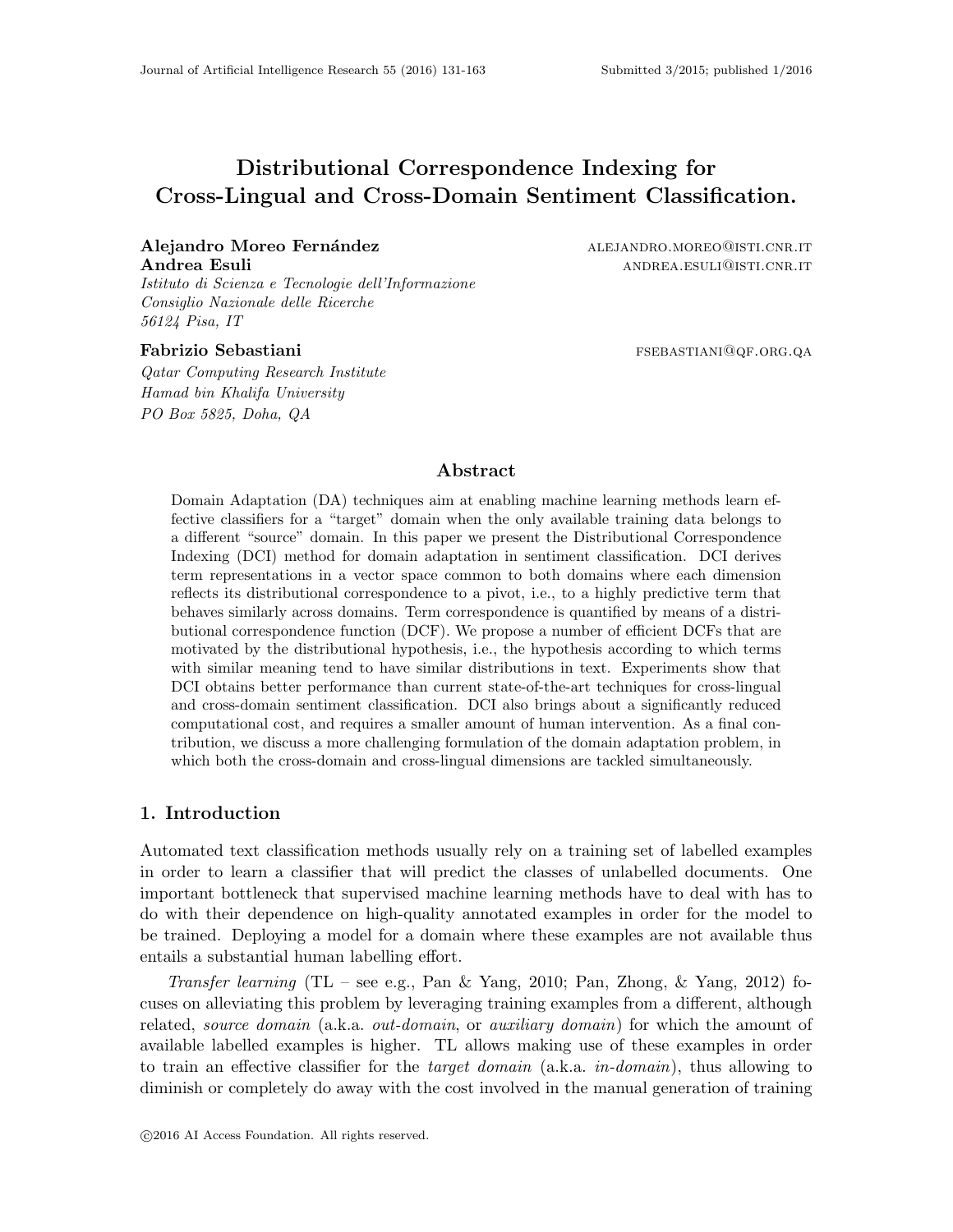# Distributional Correspondence Indexing for Cross-Lingual and Cross-Domain Sentiment Classification.

## Alejandro Moreo Fernández alegandro.moreo@isti.cnr.it Andrea Esuli andrea in the settlement of the settlement of the settlement of the settlement of the settlement of the settlement of the settlement of the settlement of the settlement of the settlement of the settlement of t

Istituto di Scienza e Tecnologie dell'Informazione Consiglio Nazionale delle Ricerche 56124 Pisa, IT

Qatar Computing Research Institute Hamad bin Khalifa University PO Box 5825, Doha, QA

Fabrizio Sebastiani fabrizio Sebastiani fabrizio sebastiani film e sebastiani film e sebastiani fabrizio sebastiani

## Abstract

Domain Adaptation (DA) techniques aim at enabling machine learning methods learn effective classifiers for a "target" domain when the only available training data belongs to a different "source" domain. In this paper we present the Distributional Correspondence Indexing (DCI) method for domain adaptation in sentiment classification. DCI derives term representations in a vector space common to both domains where each dimension reflects its distributional correspondence to a pivot, i.e., to a highly predictive term that behaves similarly across domains. Term correspondence is quantified by means of a distributional correspondence function (DCF). We propose a number of efficient DCFs that are motivated by the distributional hypothesis, i.e., the hypothesis according to which terms with similar meaning tend to have similar distributions in text. Experiments show that DCI obtains better performance than current state-of-the-art techniques for cross-lingual and cross-domain sentiment classification. DCI also brings about a significantly reduced computational cost, and requires a smaller amount of human intervention. As a final contribution, we discuss a more challenging formulation of the domain adaptation problem, in which both the cross-domain and cross-lingual dimensions are tackled simultaneously.

## 1. Introduction

Automated text classification methods usually rely on a training set of labelled examples in order to learn a classifier that will predict the classes of unlabelled documents. One important bottleneck that supervised machine learning methods have to deal with has to do with their dependence on high-quality annotated examples in order for the model to be trained. Deploying a model for a domain where these examples are not available thus entails a substantial human labelling effort.

Transfer learning  $(TL - see e.g., Pan & Yang, 2010; Pan, Zhong, & Yang, 2012)$  focuses on alleviating this problem by leveraging training examples from a different, although related, source domain (a.k.a. out-domain, or auxiliary domain) for which the amount of available labelled examples is higher. TL allows making use of these examples in order to train an effective classifier for the *target domain*  $(a.k.a. in-domain)$ , thus allowing to diminish or completely do away with the cost involved in the manual generation of training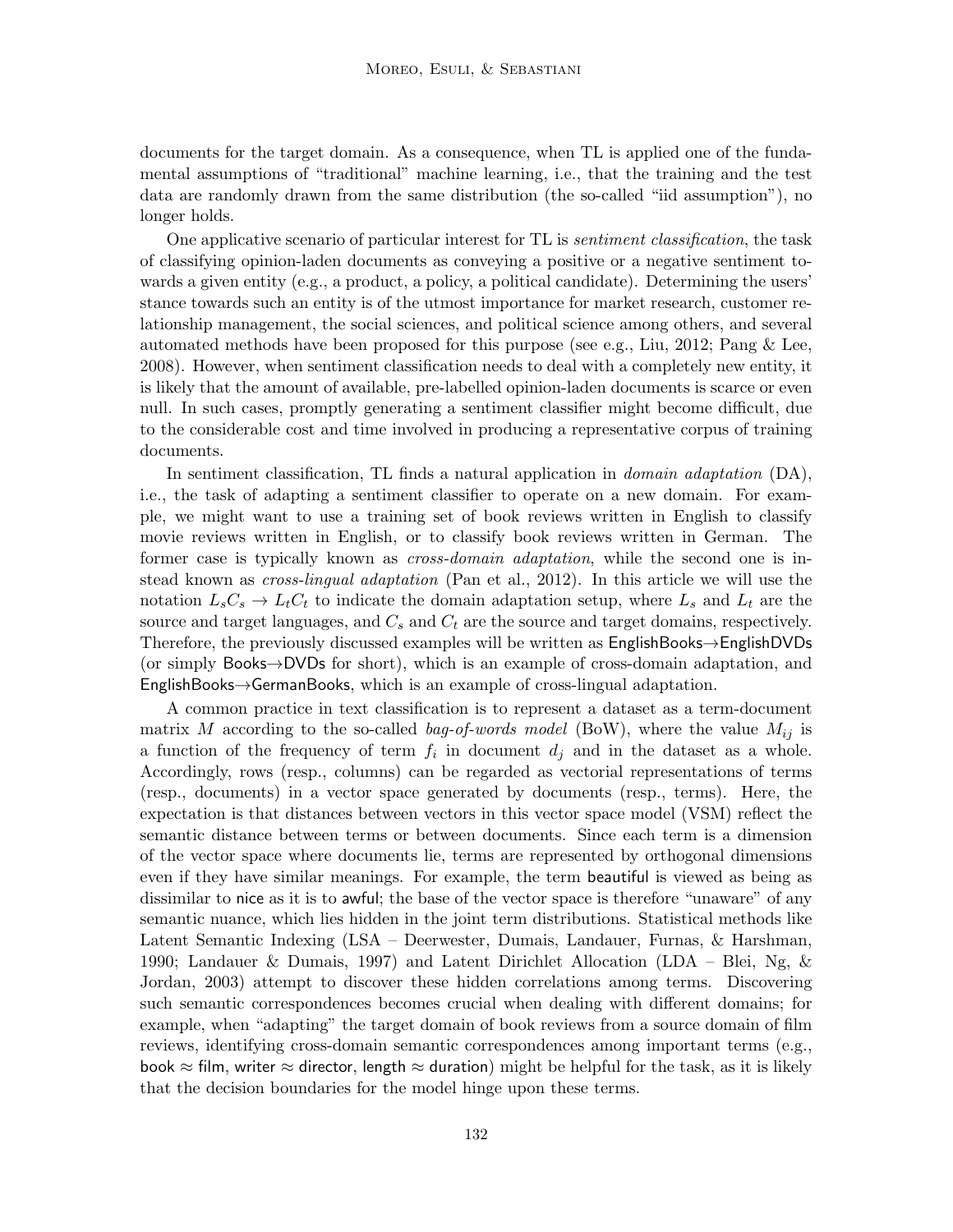documents for the target domain. As a consequence, when TL is applied one of the fundamental assumptions of "traditional" machine learning, i.e., that the training and the test data are randomly drawn from the same distribution (the so-called "iid assumption"), no longer holds.

One applicative scenario of particular interest for TL is sentiment classification, the task of classifying opinion-laden documents as conveying a positive or a negative sentiment towards a given entity (e.g., a product, a policy, a political candidate). Determining the users' stance towards such an entity is of the utmost importance for market research, customer relationship management, the social sciences, and political science among others, and several automated methods have been proposed for this purpose (see e.g., Liu, 2012; Pang & Lee, 2008). However, when sentiment classification needs to deal with a completely new entity, it is likely that the amount of available, pre-labelled opinion-laden documents is scarce or even null. In such cases, promptly generating a sentiment classifier might become difficult, due to the considerable cost and time involved in producing a representative corpus of training documents.

In sentiment classification, TL finds a natural application in *domain adaptation* (DA), i.e., the task of adapting a sentiment classifier to operate on a new domain. For example, we might want to use a training set of book reviews written in English to classify movie reviews written in English, or to classify book reviews written in German. The former case is typically known as *cross-domain adaptation*, while the second one is instead known as *cross-lingual adaptation* (Pan et al., 2012). In this article we will use the notation  $L_sC_s \rightarrow L_tC_t$  to indicate the domain adaptation setup, where  $L_s$  and  $L_t$  are the source and target languages, and  $C_s$  and  $C_t$  are the source and target domains, respectively. Therefore, the previously discussed examples will be written as EnglishBooks→EnglishDVDs (or simply Books→DVDs for short), which is an example of cross-domain adaptation, and EnglishBooks→GermanBooks, which is an example of cross-lingual adaptation.

A common practice in text classification is to represent a dataset as a term-document matrix M according to the so-called bag-of-words model (BoW), where the value  $M_{ij}$  is a function of the frequency of term  $f_i$  in document  $d_j$  and in the dataset as a whole. Accordingly, rows (resp., columns) can be regarded as vectorial representations of terms (resp., documents) in a vector space generated by documents (resp., terms). Here, the expectation is that distances between vectors in this vector space model (VSM) reflect the semantic distance between terms or between documents. Since each term is a dimension of the vector space where documents lie, terms are represented by orthogonal dimensions even if they have similar meanings. For example, the term beautiful is viewed as being as dissimilar to nice as it is to awful; the base of the vector space is therefore "unaware" of any semantic nuance, which lies hidden in the joint term distributions. Statistical methods like Latent Semantic Indexing (LSA – Deerwester, Dumais, Landauer, Furnas, & Harshman, 1990; Landauer & Dumais, 1997) and Latent Dirichlet Allocation (LDA – Blei, Ng, & Jordan, 2003) attempt to discover these hidden correlations among terms. Discovering such semantic correspondences becomes crucial when dealing with different domains; for example, when "adapting" the target domain of book reviews from a source domain of film reviews, identifying cross-domain semantic correspondences among important terms (e.g., book  $\approx$  film, writer  $\approx$  director, length  $\approx$  duration) might be helpful for the task, as it is likely that the decision boundaries for the model hinge upon these terms.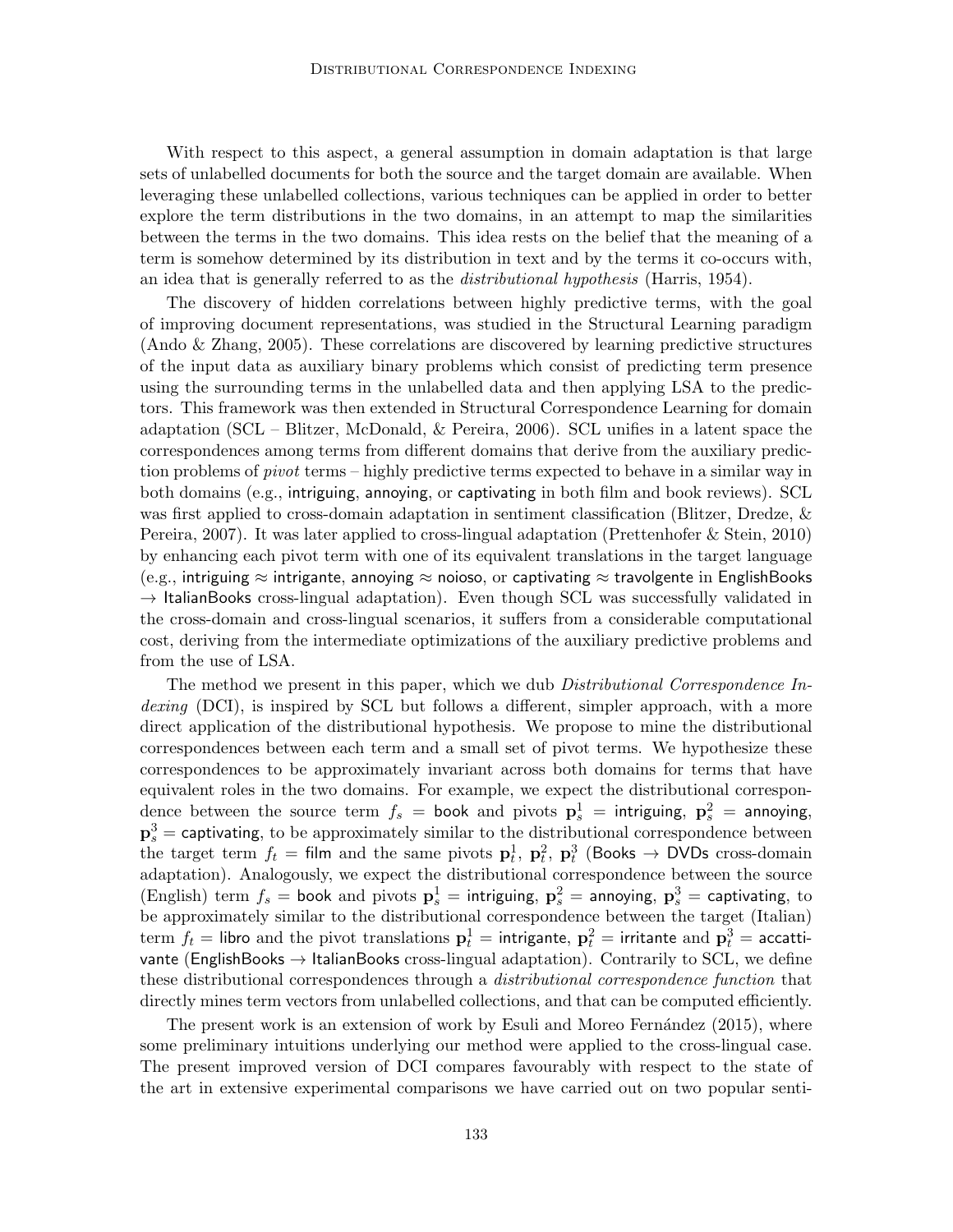With respect to this aspect, a general assumption in domain adaptation is that large sets of unlabelled documents for both the source and the target domain are available. When leveraging these unlabelled collections, various techniques can be applied in order to better explore the term distributions in the two domains, in an attempt to map the similarities between the terms in the two domains. This idea rests on the belief that the meaning of a term is somehow determined by its distribution in text and by the terms it co-occurs with, an idea that is generally referred to as the *distributional hypothesis* (Harris, 1954).

The discovery of hidden correlations between highly predictive terms, with the goal of improving document representations, was studied in the Structural Learning paradigm (Ando & Zhang, 2005). These correlations are discovered by learning predictive structures of the input data as auxiliary binary problems which consist of predicting term presence using the surrounding terms in the unlabelled data and then applying LSA to the predictors. This framework was then extended in Structural Correspondence Learning for domain adaptation (SCL – Blitzer, McDonald, & Pereira, 2006). SCL unifies in a latent space the correspondences among terms from different domains that derive from the auxiliary prediction problems of pivot terms – highly predictive terms expected to behave in a similar way in both domains (e.g., intriguing, annoying, or captivating in both film and book reviews). SCL was first applied to cross-domain adaptation in sentiment classification (Blitzer, Dredze, & Pereira, 2007). It was later applied to cross-lingual adaptation (Prettenhofer & Stein, 2010) by enhancing each pivot term with one of its equivalent translations in the target language (e.g., intriguing  $\approx$  intrigante, annoying  $\approx$  noioso, or captivating  $\approx$  travolgente in EnglishBooks  $\rightarrow$  ItalianBooks cross-lingual adaptation). Even though SCL was successfully validated in the cross-domain and cross-lingual scenarios, it suffers from a considerable computational cost, deriving from the intermediate optimizations of the auxiliary predictive problems and from the use of LSA.

The method we present in this paper, which we dub *Distributional Correspondence In*dexing (DCI), is inspired by SCL but follows a different, simpler approach, with a more direct application of the distributional hypothesis. We propose to mine the distributional correspondences between each term and a small set of pivot terms. We hypothesize these correspondences to be approximately invariant across both domains for terms that have equivalent roles in the two domains. For example, we expect the distributional correspondence between the source term  $f_s$  = book and pivots  ${\bf p}_s^1$  = intriguing,  ${\bf p}_s^2$  = annoying,  $\mathbf{p}_s^3$  = captivating, to be approximately similar to the distributional correspondence between the target term  $f_t = \text{film}$  and the same pivots  $\mathbf{p}_t^1$ ,  $\mathbf{p}_t^2$ ,  $\mathbf{p}_t^3$  (Books  $\rightarrow$  DVDs cross-domain adaptation). Analogously, we expect the distributional correspondence between the source (English) term  $f_s =$  book and pivots  $\mathbf{p}_s^1 =$  intriguing,  $\mathbf{p}_s^2 =$  annoying,  $\mathbf{p}_s^3 =$  captivating, to be approximately similar to the distributional correspondence between the target (Italian)  $\text{term} \,\, f_t =$  libro and the pivot translations  $\mathbf{p}_t^1 =$  intrigante,  $\mathbf{p}_t^2 =$  irritante and  $\mathbf{p}_t^3 =$  accattivante (EnglishBooks  $\rightarrow$  ItalianBooks cross-lingual adaptation). Contrarily to SCL, we define these distributional correspondences through a *distributional correspondence function* that directly mines term vectors from unlabelled collections, and that can be computed efficiently.

The present work is an extension of work by Esuli and Moreo Fernández  $(2015)$ , where some preliminary intuitions underlying our method were applied to the cross-lingual case. The present improved version of DCI compares favourably with respect to the state of the art in extensive experimental comparisons we have carried out on two popular senti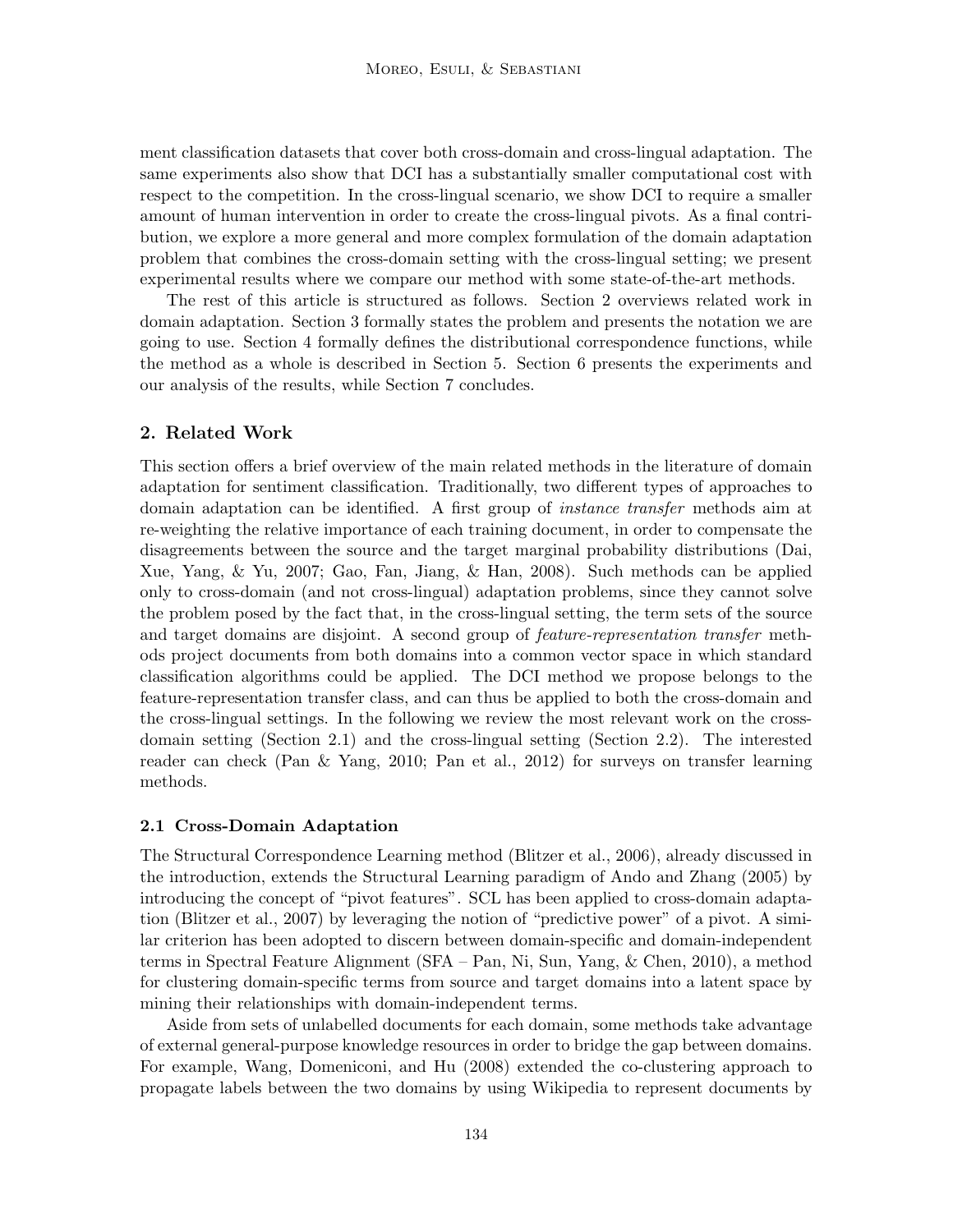ment classification datasets that cover both cross-domain and cross-lingual adaptation. The same experiments also show that DCI has a substantially smaller computational cost with respect to the competition. In the cross-lingual scenario, we show DCI to require a smaller amount of human intervention in order to create the cross-lingual pivots. As a final contribution, we explore a more general and more complex formulation of the domain adaptation problem that combines the cross-domain setting with the cross-lingual setting; we present experimental results where we compare our method with some state-of-the-art methods.

The rest of this article is structured as follows. Section 2 overviews related work in domain adaptation. Section 3 formally states the problem and presents the notation we are going to use. Section 4 formally defines the distributional correspondence functions, while the method as a whole is described in Section 5. Section 6 presents the experiments and our analysis of the results, while Section 7 concludes.

## 2. Related Work

This section offers a brief overview of the main related methods in the literature of domain adaptation for sentiment classification. Traditionally, two different types of approaches to domain adaptation can be identified. A first group of instance transfer methods aim at re-weighting the relative importance of each training document, in order to compensate the disagreements between the source and the target marginal probability distributions (Dai, Xue, Yang, & Yu, 2007; Gao, Fan, Jiang, & Han, 2008). Such methods can be applied only to cross-domain (and not cross-lingual) adaptation problems, since they cannot solve the problem posed by the fact that, in the cross-lingual setting, the term sets of the source and target domains are disjoint. A second group of *feature-representation transfer* methods project documents from both domains into a common vector space in which standard classification algorithms could be applied. The DCI method we propose belongs to the feature-representation transfer class, and can thus be applied to both the cross-domain and the cross-lingual settings. In the following we review the most relevant work on the crossdomain setting (Section 2.1) and the cross-lingual setting (Section 2.2). The interested reader can check (Pan & Yang, 2010; Pan et al., 2012) for surveys on transfer learning methods.

## 2.1 Cross-Domain Adaptation

The Structural Correspondence Learning method (Blitzer et al., 2006), already discussed in the introduction, extends the Structural Learning paradigm of Ando and Zhang (2005) by introducing the concept of "pivot features". SCL has been applied to cross-domain adaptation (Blitzer et al., 2007) by leveraging the notion of "predictive power" of a pivot. A similar criterion has been adopted to discern between domain-specific and domain-independent terms in Spectral Feature Alignment (SFA – Pan, Ni, Sun, Yang, & Chen, 2010), a method for clustering domain-specific terms from source and target domains into a latent space by mining their relationships with domain-independent terms.

Aside from sets of unlabelled documents for each domain, some methods take advantage of external general-purpose knowledge resources in order to bridge the gap between domains. For example, Wang, Domeniconi, and Hu (2008) extended the co-clustering approach to propagate labels between the two domains by using Wikipedia to represent documents by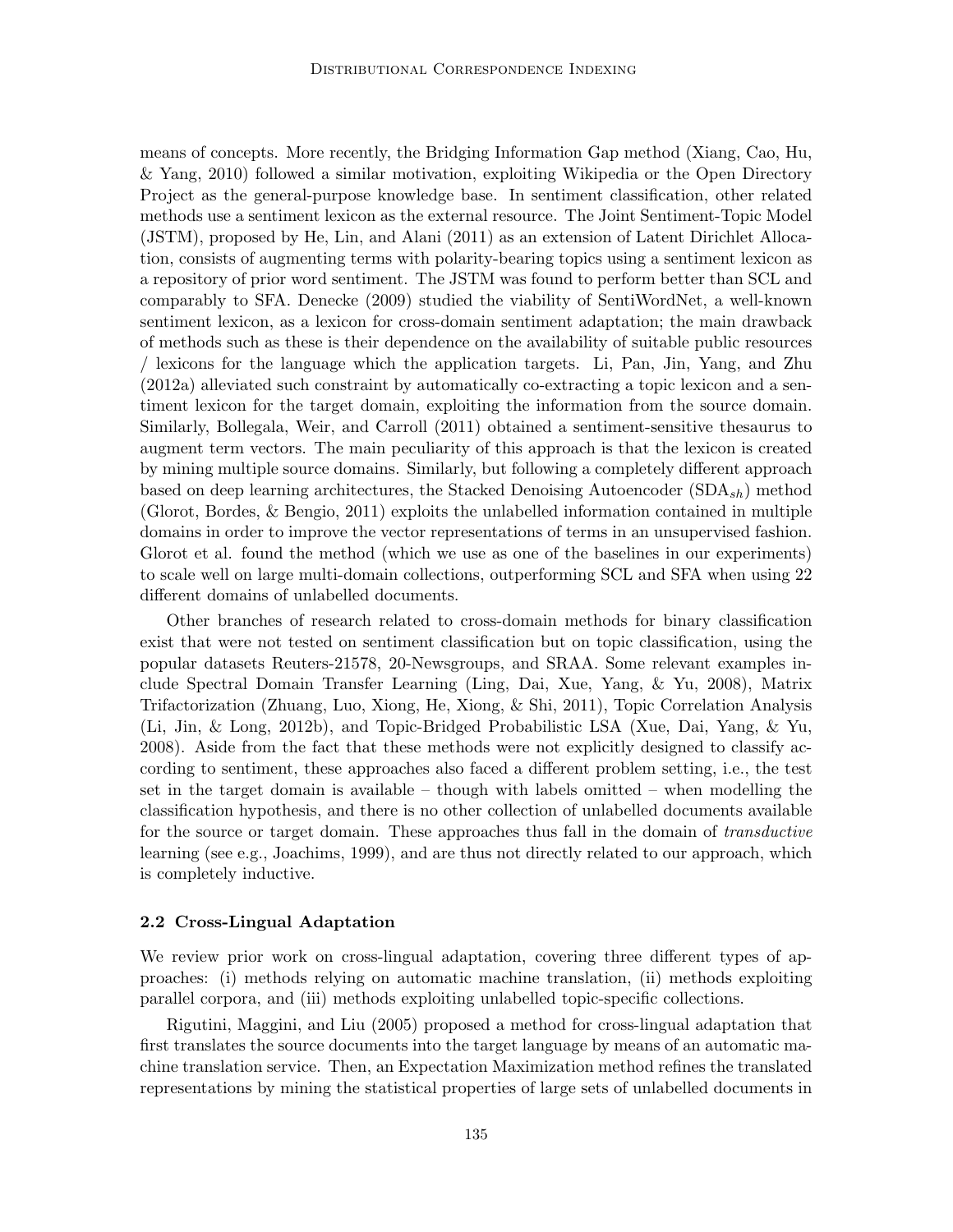means of concepts. More recently, the Bridging Information Gap method (Xiang, Cao, Hu, & Yang, 2010) followed a similar motivation, exploiting Wikipedia or the Open Directory Project as the general-purpose knowledge base. In sentiment classification, other related methods use a sentiment lexicon as the external resource. The Joint Sentiment-Topic Model (JSTM), proposed by He, Lin, and Alani (2011) as an extension of Latent Dirichlet Allocation, consists of augmenting terms with polarity-bearing topics using a sentiment lexicon as a repository of prior word sentiment. The JSTM was found to perform better than SCL and comparably to SFA. Denecke (2009) studied the viability of SentiWordNet, a well-known sentiment lexicon, as a lexicon for cross-domain sentiment adaptation; the main drawback of methods such as these is their dependence on the availability of suitable public resources / lexicons for the language which the application targets. Li, Pan, Jin, Yang, and Zhu (2012a) alleviated such constraint by automatically co-extracting a topic lexicon and a sentiment lexicon for the target domain, exploiting the information from the source domain. Similarly, Bollegala, Weir, and Carroll (2011) obtained a sentiment-sensitive thesaurus to augment term vectors. The main peculiarity of this approach is that the lexicon is created by mining multiple source domains. Similarly, but following a completely different approach based on deep learning architectures, the Stacked Denoising Autoencoder  $(SDA_{sh})$  method (Glorot, Bordes, & Bengio, 2011) exploits the unlabelled information contained in multiple domains in order to improve the vector representations of terms in an unsupervised fashion. Glorot et al. found the method (which we use as one of the baselines in our experiments) to scale well on large multi-domain collections, outperforming SCL and SFA when using 22 different domains of unlabelled documents.

Other branches of research related to cross-domain methods for binary classification exist that were not tested on sentiment classification but on topic classification, using the popular datasets Reuters-21578, 20-Newsgroups, and SRAA. Some relevant examples include Spectral Domain Transfer Learning (Ling, Dai, Xue, Yang, & Yu, 2008), Matrix Trifactorization (Zhuang, Luo, Xiong, He, Xiong, & Shi, 2011), Topic Correlation Analysis (Li, Jin, & Long, 2012b), and Topic-Bridged Probabilistic LSA (Xue, Dai, Yang, & Yu, 2008). Aside from the fact that these methods were not explicitly designed to classify according to sentiment, these approaches also faced a different problem setting, i.e., the test set in the target domain is available – though with labels omitted – when modelling the classification hypothesis, and there is no other collection of unlabelled documents available for the source or target domain. These approaches thus fall in the domain of transductive learning (see e.g., Joachims, 1999), and are thus not directly related to our approach, which is completely inductive.

## 2.2 Cross-Lingual Adaptation

We review prior work on cross-lingual adaptation, covering three different types of approaches: (i) methods relying on automatic machine translation, (ii) methods exploiting parallel corpora, and (iii) methods exploiting unlabelled topic-specific collections.

Rigutini, Maggini, and Liu (2005) proposed a method for cross-lingual adaptation that first translates the source documents into the target language by means of an automatic machine translation service. Then, an Expectation Maximization method refines the translated representations by mining the statistical properties of large sets of unlabelled documents in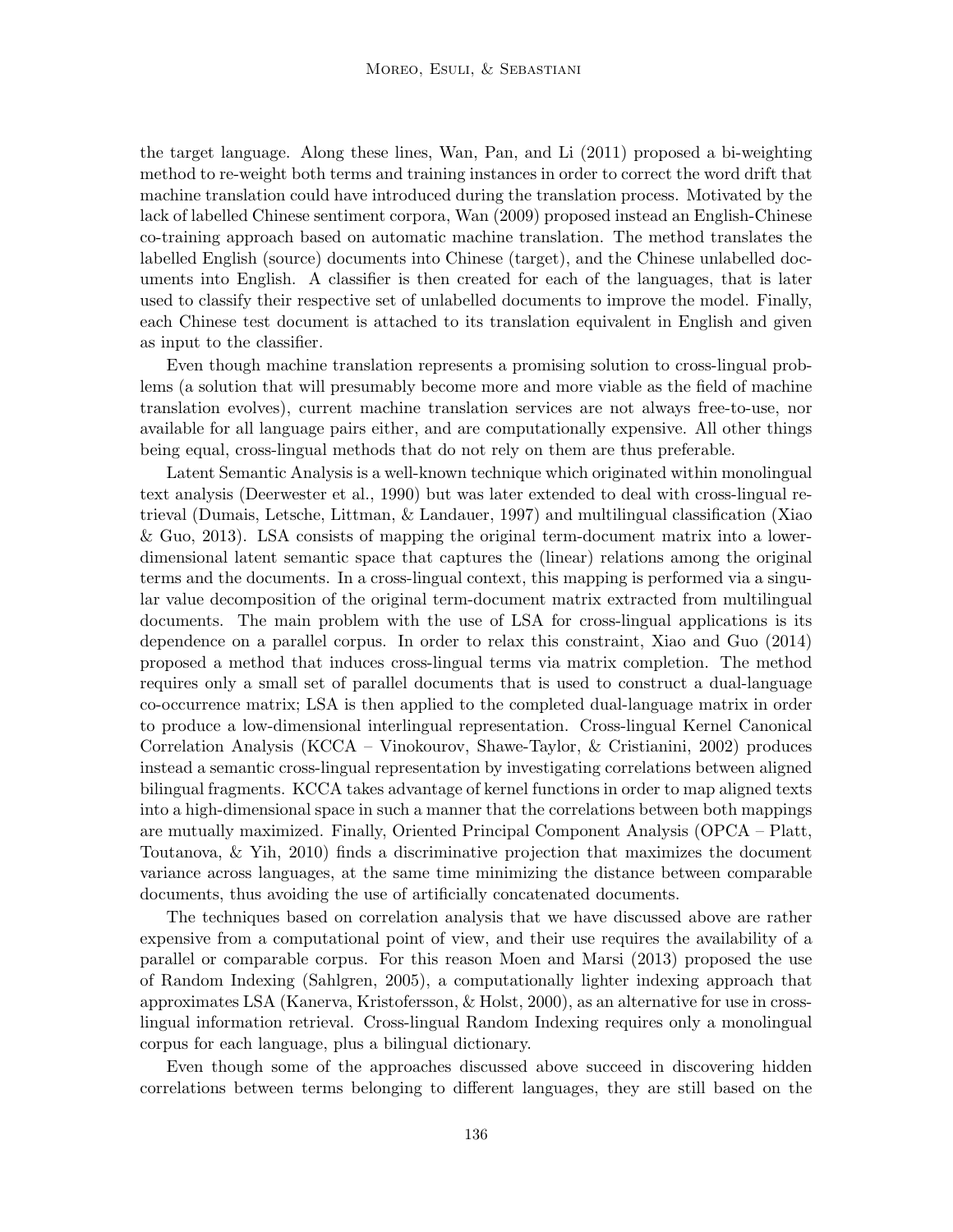the target language. Along these lines, Wan, Pan, and Li (2011) proposed a bi-weighting method to re-weight both terms and training instances in order to correct the word drift that machine translation could have introduced during the translation process. Motivated by the lack of labelled Chinese sentiment corpora, Wan (2009) proposed instead an English-Chinese co-training approach based on automatic machine translation. The method translates the labelled English (source) documents into Chinese (target), and the Chinese unlabelled documents into English. A classifier is then created for each of the languages, that is later used to classify their respective set of unlabelled documents to improve the model. Finally, each Chinese test document is attached to its translation equivalent in English and given as input to the classifier.

Even though machine translation represents a promising solution to cross-lingual problems (a solution that will presumably become more and more viable as the field of machine translation evolves), current machine translation services are not always free-to-use, nor available for all language pairs either, and are computationally expensive. All other things being equal, cross-lingual methods that do not rely on them are thus preferable.

Latent Semantic Analysis is a well-known technique which originated within monolingual text analysis (Deerwester et al., 1990) but was later extended to deal with cross-lingual retrieval (Dumais, Letsche, Littman, & Landauer, 1997) and multilingual classification (Xiao & Guo, 2013). LSA consists of mapping the original term-document matrix into a lowerdimensional latent semantic space that captures the (linear) relations among the original terms and the documents. In a cross-lingual context, this mapping is performed via a singular value decomposition of the original term-document matrix extracted from multilingual documents. The main problem with the use of LSA for cross-lingual applications is its dependence on a parallel corpus. In order to relax this constraint, Xiao and Guo (2014) proposed a method that induces cross-lingual terms via matrix completion. The method requires only a small set of parallel documents that is used to construct a dual-language co-occurrence matrix; LSA is then applied to the completed dual-language matrix in order to produce a low-dimensional interlingual representation. Cross-lingual Kernel Canonical Correlation Analysis (KCCA – Vinokourov, Shawe-Taylor, & Cristianini, 2002) produces instead a semantic cross-lingual representation by investigating correlations between aligned bilingual fragments. KCCA takes advantage of kernel functions in order to map aligned texts into a high-dimensional space in such a manner that the correlations between both mappings are mutually maximized. Finally, Oriented Principal Component Analysis (OPCA – Platt, Toutanova, & Yih, 2010) finds a discriminative projection that maximizes the document variance across languages, at the same time minimizing the distance between comparable documents, thus avoiding the use of artificially concatenated documents.

The techniques based on correlation analysis that we have discussed above are rather expensive from a computational point of view, and their use requires the availability of a parallel or comparable corpus. For this reason Moen and Marsi (2013) proposed the use of Random Indexing (Sahlgren, 2005), a computationally lighter indexing approach that approximates LSA (Kanerva, Kristofersson, & Holst, 2000), as an alternative for use in crosslingual information retrieval. Cross-lingual Random Indexing requires only a monolingual corpus for each language, plus a bilingual dictionary.

Even though some of the approaches discussed above succeed in discovering hidden correlations between terms belonging to different languages, they are still based on the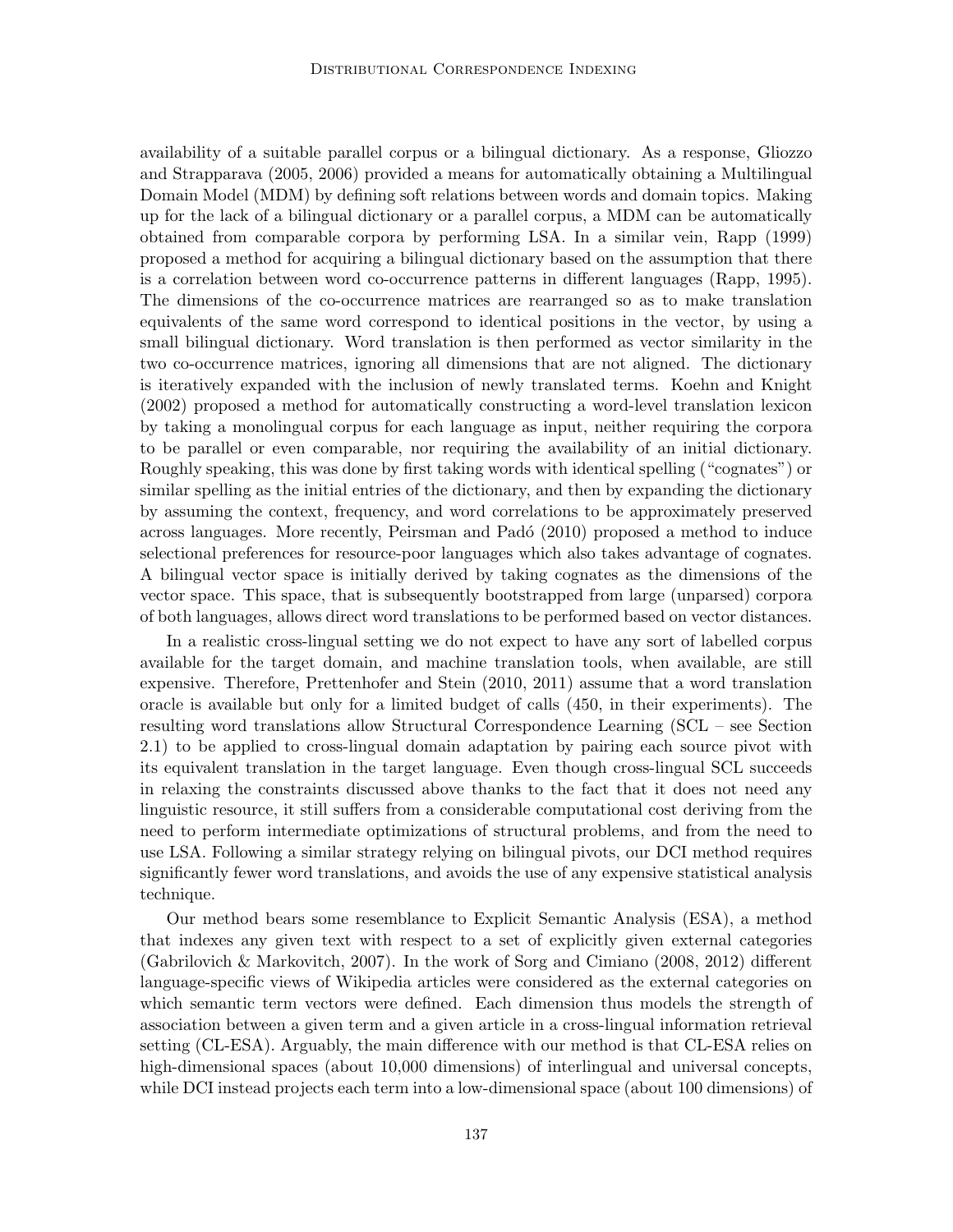availability of a suitable parallel corpus or a bilingual dictionary. As a response, Gliozzo and Strapparava (2005, 2006) provided a means for automatically obtaining a Multilingual Domain Model (MDM) by defining soft relations between words and domain topics. Making up for the lack of a bilingual dictionary or a parallel corpus, a MDM can be automatically obtained from comparable corpora by performing LSA. In a similar vein, Rapp (1999) proposed a method for acquiring a bilingual dictionary based on the assumption that there is a correlation between word co-occurrence patterns in different languages (Rapp, 1995). The dimensions of the co-occurrence matrices are rearranged so as to make translation equivalents of the same word correspond to identical positions in the vector, by using a small bilingual dictionary. Word translation is then performed as vector similarity in the two co-occurrence matrices, ignoring all dimensions that are not aligned. The dictionary is iteratively expanded with the inclusion of newly translated terms. Koehn and Knight (2002) proposed a method for automatically constructing a word-level translation lexicon by taking a monolingual corpus for each language as input, neither requiring the corpora to be parallel or even comparable, nor requiring the availability of an initial dictionary. Roughly speaking, this was done by first taking words with identical spelling ("cognates") or similar spelling as the initial entries of the dictionary, and then by expanding the dictionary by assuming the context, frequency, and word correlations to be approximately preserved across languages. More recently, Peirsman and Padó (2010) proposed a method to induce selectional preferences for resource-poor languages which also takes advantage of cognates. A bilingual vector space is initially derived by taking cognates as the dimensions of the vector space. This space, that is subsequently bootstrapped from large (unparsed) corpora of both languages, allows direct word translations to be performed based on vector distances.

In a realistic cross-lingual setting we do not expect to have any sort of labelled corpus available for the target domain, and machine translation tools, when available, are still expensive. Therefore, Prettenhofer and Stein (2010, 2011) assume that a word translation oracle is available but only for a limited budget of calls (450, in their experiments). The resulting word translations allow Structural Correspondence Learning (SCL – see Section 2.1) to be applied to cross-lingual domain adaptation by pairing each source pivot with its equivalent translation in the target language. Even though cross-lingual SCL succeeds in relaxing the constraints discussed above thanks to the fact that it does not need any linguistic resource, it still suffers from a considerable computational cost deriving from the need to perform intermediate optimizations of structural problems, and from the need to use LSA. Following a similar strategy relying on bilingual pivots, our DCI method requires significantly fewer word translations, and avoids the use of any expensive statistical analysis technique.

Our method bears some resemblance to Explicit Semantic Analysis (ESA), a method that indexes any given text with respect to a set of explicitly given external categories (Gabrilovich & Markovitch, 2007). In the work of Sorg and Cimiano (2008, 2012) different language-specific views of Wikipedia articles were considered as the external categories on which semantic term vectors were defined. Each dimension thus models the strength of association between a given term and a given article in a cross-lingual information retrieval setting (CL-ESA). Arguably, the main difference with our method is that CL-ESA relies on high-dimensional spaces (about 10,000 dimensions) of interlingual and universal concepts, while DCI instead projects each term into a low-dimensional space (about 100 dimensions) of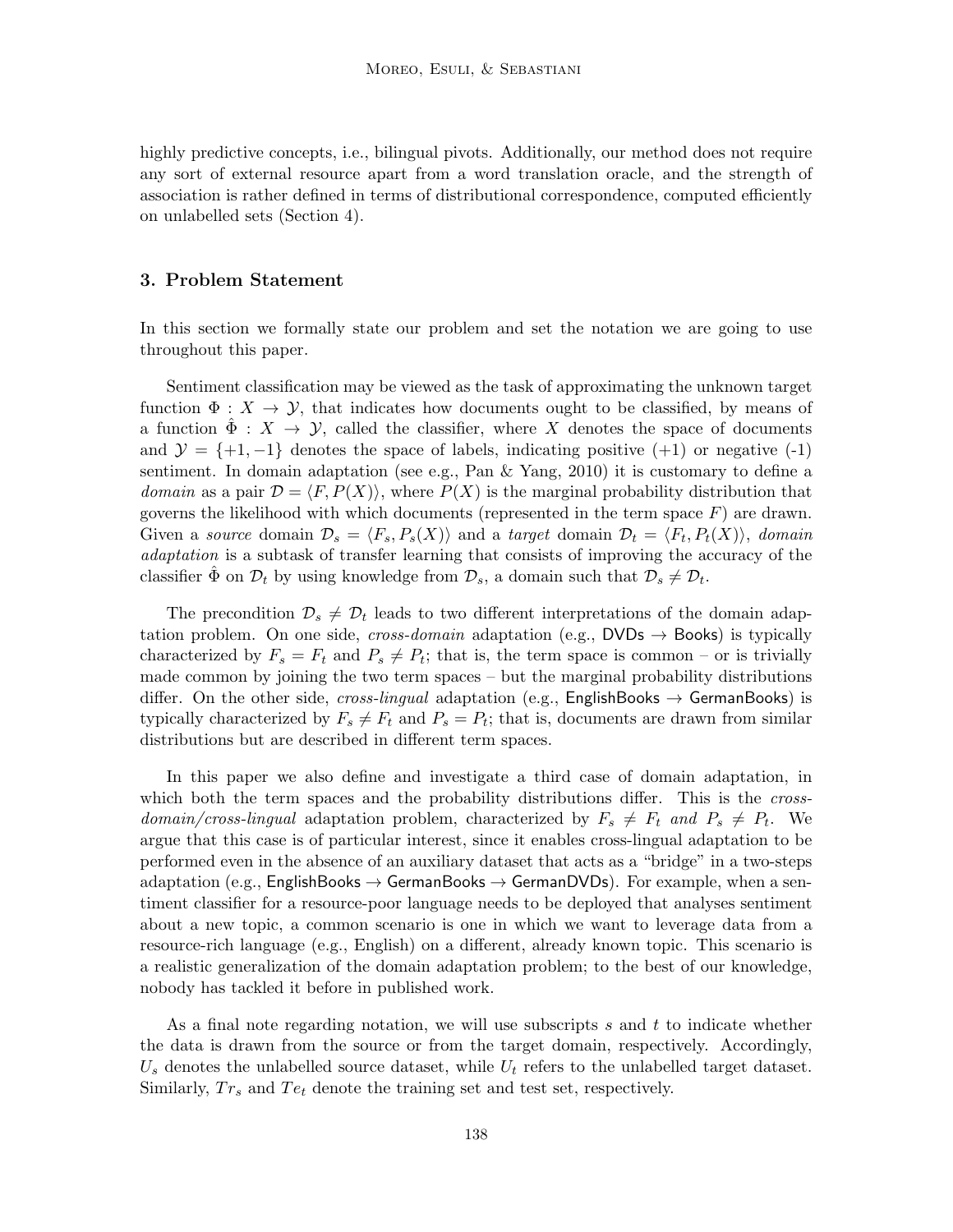highly predictive concepts, i.e., bilingual pivots. Additionally, our method does not require any sort of external resource apart from a word translation oracle, and the strength of association is rather defined in terms of distributional correspondence, computed efficiently on unlabelled sets (Section 4).

## 3. Problem Statement

In this section we formally state our problem and set the notation we are going to use throughout this paper.

Sentiment classification may be viewed as the task of approximating the unknown target function  $\Phi: X \to Y$ , that indicates how documents ought to be classified, by means of a function  $\Phi: X \to Y$ , called the classifier, where X denotes the space of documents and  $\mathcal{Y} = \{+1, -1\}$  denotes the space of labels, indicating positive  $(+1)$  or negative  $(-1)$ sentiment. In domain adaptation (see e.g., Pan & Yang, 2010) it is customary to define a domain as a pair  $\mathcal{D} = \langle F, P(X) \rangle$ , where  $P(X)$  is the marginal probability distribution that governs the likelihood with which documents (represented in the term space  $F$ ) are drawn. Given a source domain  $\mathcal{D}_s = \langle F_s, P_s(X) \rangle$  and a target domain  $\mathcal{D}_t = \langle F_t, P_t(X) \rangle$ , domain adaptation is a subtask of transfer learning that consists of improving the accuracy of the classifier  $\hat{\Phi}$  on  $\mathcal{D}_t$  by using knowledge from  $\mathcal{D}_s$ , a domain such that  $\mathcal{D}_s \neq \mathcal{D}_t$ .

The precondition  $\mathcal{D}_s \neq \mathcal{D}_t$  leads to two different interpretations of the domain adaptation problem. On one side, cross-domain adaptation (e.g.,  $DVDs \rightarrow Books$ ) is typically characterized by  $F_s = F_t$  and  $P_s \neq P_t$ ; that is, the term space is common – or is trivially made common by joining the two term spaces – but the marginal probability distributions differ. On the other side, *cross-lingual* adaptation (e.g., **EnglishBooks**  $\rightarrow$  **GermanBooks**) is typically characterized by  $F_s \neq F_t$  and  $P_s = P_t$ ; that is, documents are drawn from similar distributions but are described in different term spaces.

In this paper we also define and investigate a third case of domain adaptation, in which both the term spaces and the probability distributions differ. This is the *cross*domain/cross-lingual adaptation problem, characterized by  $F_s \neq F_t$  and  $P_s \neq P_t$ . We argue that this case is of particular interest, since it enables cross-lingual adaptation to be performed even in the absence of an auxiliary dataset that acts as a "bridge" in a two-steps adaptation (e.g., EnglishBooks  $\rightarrow$  GermanBooks  $\rightarrow$  GermanDVDs). For example, when a sentiment classifier for a resource-poor language needs to be deployed that analyses sentiment about a new topic, a common scenario is one in which we want to leverage data from a resource-rich language (e.g., English) on a different, already known topic. This scenario is a realistic generalization of the domain adaptation problem; to the best of our knowledge, nobody has tackled it before in published work.

As a final note regarding notation, we will use subscripts  $s$  and  $t$  to indicate whether the data is drawn from the source or from the target domain, respectively. Accordingly,  $U_s$  denotes the unlabelled source dataset, while  $U_t$  refers to the unlabelled target dataset. Similarly,  $Tr_s$  and  $Te_t$  denote the training set and test set, respectively.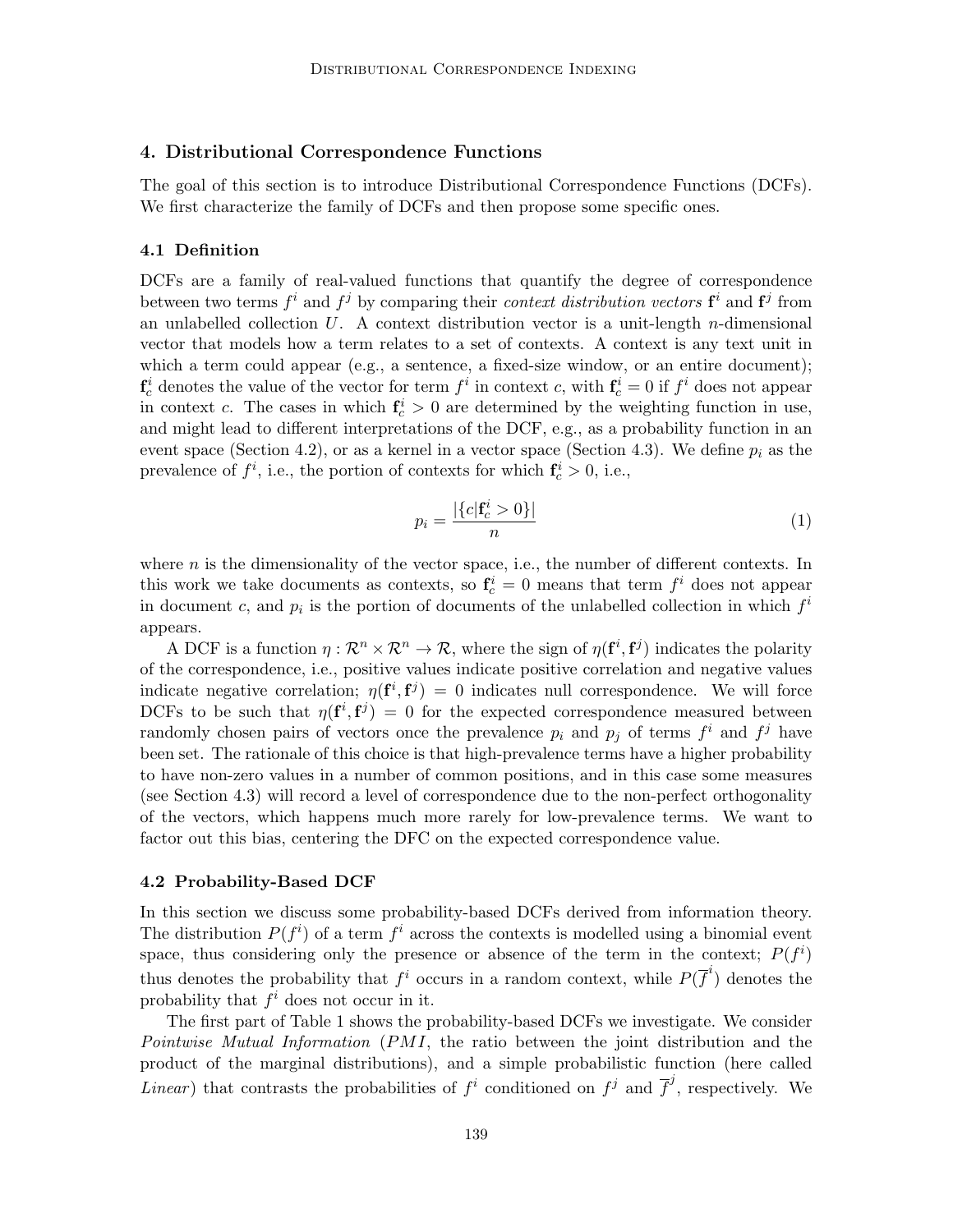## 4. Distributional Correspondence Functions

The goal of this section is to introduce Distributional Correspondence Functions (DCFs). We first characterize the family of DCFs and then propose some specific ones.

#### 4.1 Definition

DCFs are a family of real-valued functions that quantify the degree of correspondence between two terms  $f^i$  and  $f^j$  by comparing their *context distribution vectors*  $f^i$  and  $f^j$  from an unlabelled collection  $U$ . A context distribution vector is a unit-length *n*-dimensional vector that models how a term relates to a set of contexts. A context is any text unit in which a term could appear (e.g., a sentence, a fixed-size window, or an entire document);  $\mathbf{f}_c^i$  denotes the value of the vector for term  $f^i$  in context c, with  $\mathbf{f}_c^i = 0$  if  $f^i$  does not appear in context c. The cases in which  $f_c^i > 0$  are determined by the weighting function in use, and might lead to different interpretations of the DCF, e.g., as a probability function in an event space (Section 4.2), or as a kernel in a vector space (Section 4.3). We define  $p_i$  as the prevalence of  $f^i$ , i.e., the portion of contexts for which  $f_c^i > 0$ , i.e.,

$$
p_i = \frac{|\{c|\mathbf{f}_c^i > 0\}|}{n} \tag{1}
$$

where  $n$  is the dimensionality of the vector space, i.e., the number of different contexts. In this work we take documents as contexts, so  $f_c^i = 0$  means that term  $f^i$  does not appear in document c, and  $p_i$  is the portion of documents of the unlabelled collection in which  $f^i$ appears.

A DCF is a function  $\eta: \mathcal{R}^n \times \mathcal{R}^n \to \mathcal{R}$ , where the sign of  $\eta(\mathbf{f}^i, \mathbf{f}^j)$  indicates the polarity of the correspondence, i.e., positive values indicate positive correlation and negative values indicate negative correlation;  $\eta(\mathbf{f}^i, \mathbf{f}^j) = 0$  indicates null correspondence. We will force DCFs to be such that  $\eta(f^i, f^j) = 0$  for the expected correspondence measured between randomly chosen pairs of vectors once the prevalence  $p_i$  and  $p_j$  of terms  $f^i$  and  $f^j$  have been set. The rationale of this choice is that high-prevalence terms have a higher probability to have non-zero values in a number of common positions, and in this case some measures (see Section 4.3) will record a level of correspondence due to the non-perfect orthogonality of the vectors, which happens much more rarely for low-prevalence terms. We want to factor out this bias, centering the DFC on the expected correspondence value.

#### 4.2 Probability-Based DCF

In this section we discuss some probability-based DCFs derived from information theory. The distribution  $P(f^i)$  of a term  $f^i$  across the contexts is modelled using a binomial event space, thus considering only the presence or absence of the term in the context;  $P(f^i)$ thus denotes the probability that  $f^i$  occurs in a random context, while  $P(\overline{f}^i)$  denotes the probability that  $f^i$  does not occur in it.

The first part of Table 1 shows the probability-based DCFs we investigate. We consider Pointwise Mutual Information (PMI, the ratio between the joint distribution and the product of the marginal distributions), and a simple probabilistic function (here called *Linear*) that contrasts the probabilities of  $f^i$  conditioned on  $f^j$  and  $\overline{f}^j$ , respectively. We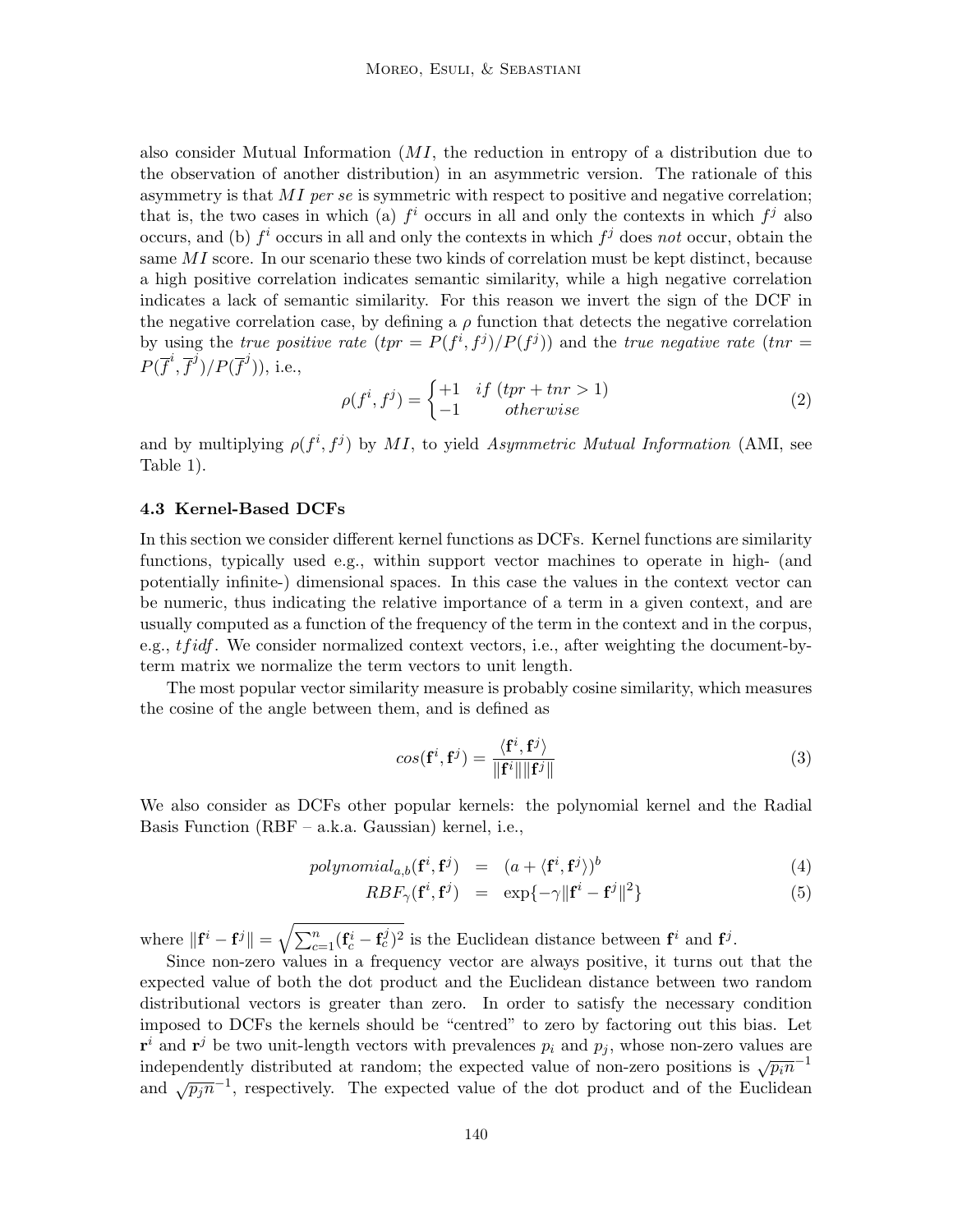also consider Mutual Information  $(MI)$ , the reduction in entropy of a distribution due to the observation of another distribution) in an asymmetric version. The rationale of this asymmetry is that  $MI$  per se is symmetric with respect to positive and negative correlation; that is, the two cases in which (a)  $f^i$  occurs in all and only the contexts in which  $f^j$  also occurs, and (b)  $f^i$  occurs in all and only the contexts in which  $f^j$  does not occur, obtain the same MI score. In our scenario these two kinds of correlation must be kept distinct, because a high positive correlation indicates semantic similarity, while a high negative correlation indicates a lack of semantic similarity. For this reason we invert the sign of the DCF in the negative correlation case, by defining a  $\rho$  function that detects the negative correlation by using the true positive rate  $(tpr = P(f^i, f^j)/P(f^j))$  and the true negative rate  $(tnr =$  $P(\overline{f}^i, \overline{f}^j)/P(\overline{f}^j)$ ), i.e.,

$$
\rho(f^i, f^j) = \begin{cases} +1 & \text{if } (tpr + tnr > 1) \\ -1 & \text{otherwise} \end{cases}
$$
\n(2)

and by multiplying  $\rho(f^i, f^j)$  by MI, to yield Asymmetric Mutual Information (AMI, see Table 1).

#### 4.3 Kernel-Based DCFs

In this section we consider different kernel functions as DCFs. Kernel functions are similarity functions, typically used e.g., within support vector machines to operate in high- (and potentially infinite-) dimensional spaces. In this case the values in the context vector can be numeric, thus indicating the relative importance of a term in a given context, and are usually computed as a function of the frequency of the term in the context and in the corpus, e.g., *tfidf*. We consider normalized context vectors, i.e., after weighting the document-byterm matrix we normalize the term vectors to unit length.

The most popular vector similarity measure is probably cosine similarity, which measures the cosine of the angle between them, and is defined as

$$
cos(\mathbf{f}^i, \mathbf{f}^j) = \frac{\langle \mathbf{f}^i, \mathbf{f}^j \rangle}{\|\mathbf{f}^i\| \|\mathbf{f}^j\|}
$$
(3)

We also consider as DCFs other popular kernels: the polynomial kernel and the Radial Basis Function (RBF – a.k.a. Gaussian) kernel, i.e.,

$$
polynomial_{a,b}(\mathbf{f}^i, \mathbf{f}^j) = (a + \langle \mathbf{f}^i, \mathbf{f}^j \rangle)^b \tag{4}
$$

$$
RBF_{\gamma}(\mathbf{f}^i, \mathbf{f}^j) = \exp\{-\gamma \|\mathbf{f}^i - \mathbf{f}^j\|^2\} \tag{5}
$$

where  $\|\mathbf{f}^i - \mathbf{f}^j\| = \sqrt{\sum_{c=1}^n (\mathbf{f}_c^i - \mathbf{f}_c^j)^2}$  is the Euclidean distance between  $\mathbf{f}^i$  and  $\mathbf{f}^j$ .

Since non-zero values in a frequency vector are always positive, it turns out that the expected value of both the dot product and the Euclidean distance between two random distributional vectors is greater than zero. In order to satisfy the necessary condition imposed to DCFs the kernels should be "centred" to zero by factoring out this bias. Let  $\mathbf{r}^i$  and  $\mathbf{r}^j$  be two unit-length vectors with prevalences  $p_i$  and  $p_j$ , whose non-zero values are independently distributed at random; the expected value of non-zero positions is  $\sqrt{p_i n}^{-1}$ and  $\sqrt{p_j n^{-1}}$ , respectively. The expected value of the dot product and of the Euclidean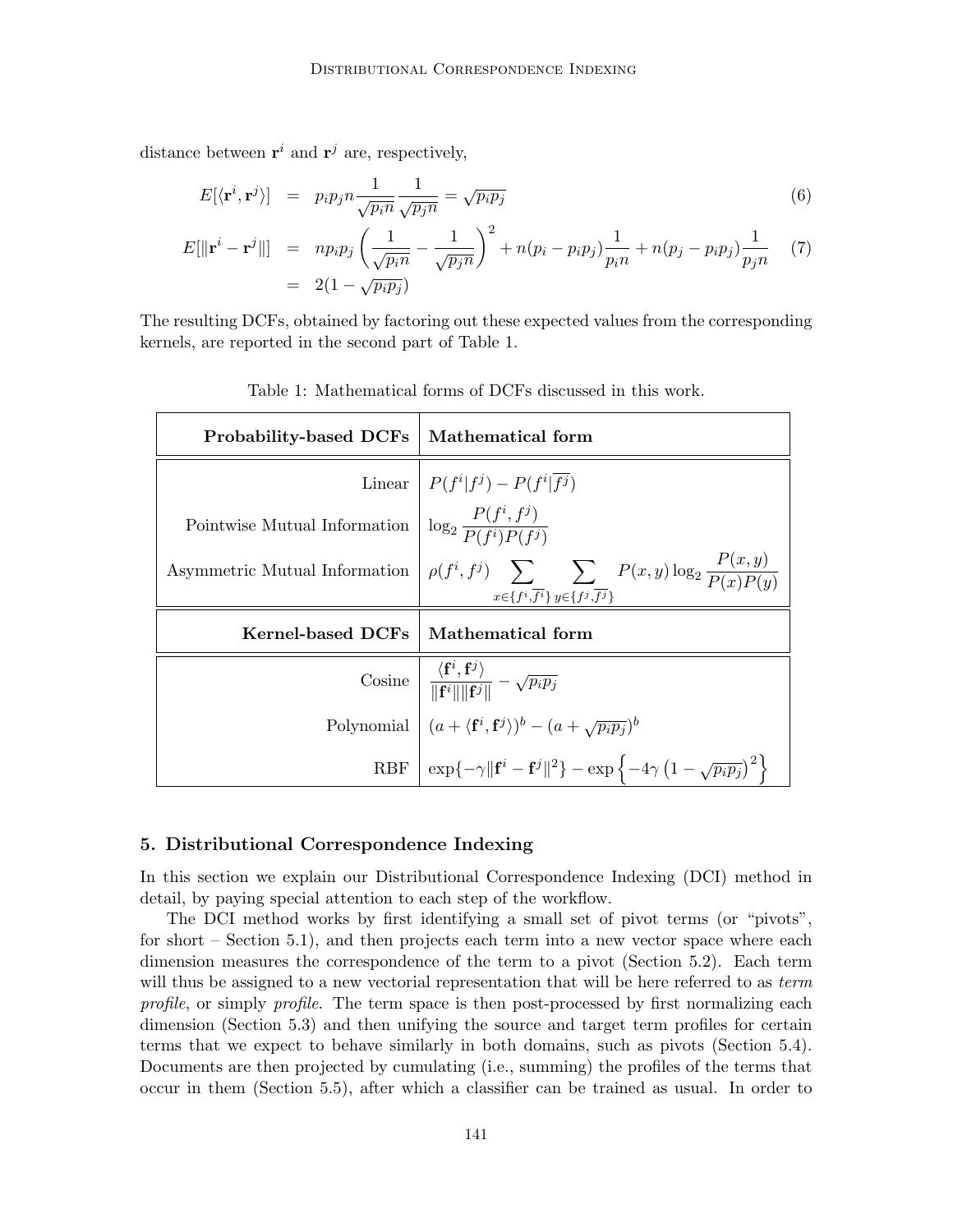distance between  $\mathbf{r}^i$  and  $\mathbf{r}^j$  are, respectively,

$$
E[\langle \mathbf{r}^i, \mathbf{r}^j \rangle] = p_i p_j n \frac{1}{\sqrt{p_i n}} \frac{1}{\sqrt{p_j n}} = \sqrt{p_i p_j} \tag{6}
$$

$$
E[\|\mathbf{r}^{i} - \mathbf{r}^{j}\|] = np_{i}p_{j} \left(\frac{1}{\sqrt{p_{i}n}} - \frac{1}{\sqrt{p_{j}n}}\right)^{2} + n(p_{i} - p_{i}p_{j}) \frac{1}{p_{i}n} + n(p_{j} - p_{i}p_{j}) \frac{1}{p_{j}n}
$$
(7)  
= 2(1 -  $\sqrt{p_{i}p_{j}}$ )

The resulting DCFs, obtained by factoring out these expected values from the corresponding kernels, are reported in the second part of Table 1.

| <b>Probability-based DCFs</b>                                                         | Mathematical form                                                                                                                                                                                                                                                                                                                                                                                                                                                                                |
|---------------------------------------------------------------------------------------|--------------------------------------------------------------------------------------------------------------------------------------------------------------------------------------------------------------------------------------------------------------------------------------------------------------------------------------------------------------------------------------------------------------------------------------------------------------------------------------------------|
|                                                                                       | Linear $\mid P(f^i f^j) - P(f^i f^j) \mid$                                                                                                                                                                                                                                                                                                                                                                                                                                                       |
| Pointwise Mutual Information $\left  \log_2 \frac{P(f^i, f^j)}{P(f^i)P(f^j)} \right $ |                                                                                                                                                                                                                                                                                                                                                                                                                                                                                                  |
|                                                                                       | Asymmetric Mutual Information $\rho(f^i, f^j)$ $\sum_{x \in \{f^i, \overline{f^i}\}} \sum_{y \in \{f^j, \overline{f^j}\}} P(x, y) \log_2 \frac{P(x, y)}{P(x)P(y)}$                                                                                                                                                                                                                                                                                                                               |
| Kernel-based DCFs                                                                     | Mathematical form                                                                                                                                                                                                                                                                                                                                                                                                                                                                                |
|                                                                                       | $\begin{array}{c c} \begin{array}{c} \text{Cosine} & \displaystyle \frac{\langle \mathbf{f}^i, \mathbf{f}^j \rangle}{\  \mathbf{f}^i \  \  \mathbf{f}^j \ } - \sqrt{p_i p_j} \end{array} \\ \begin{array}{c} \text{Polynomial} & \displaystyle (a + \langle \mathbf{f}^i, \mathbf{f}^j \rangle)^b - (a + \sqrt{p_i p_j})^b \end{array} \\ \begin{array}{c} \text{RBF} & \displaystyle \exp\{-\gamma \  \mathbf{f}^i - \mathbf{f}^j \ ^2 \} - \exp\left\{-4\gamma \left(1 - \sqrt{p_i p_j}\right$ |
|                                                                                       |                                                                                                                                                                                                                                                                                                                                                                                                                                                                                                  |
|                                                                                       |                                                                                                                                                                                                                                                                                                                                                                                                                                                                                                  |

Table 1: Mathematical forms of DCFs discussed in this work.

## 5. Distributional Correspondence Indexing

In this section we explain our Distributional Correspondence Indexing (DCI) method in detail, by paying special attention to each step of the workflow.

The DCI method works by first identifying a small set of pivot terms (or "pivots", for short – Section 5.1), and then projects each term into a new vector space where each dimension measures the correspondence of the term to a pivot (Section 5.2). Each term will thus be assigned to a new vectorial representation that will be here referred to as term profile, or simply profile. The term space is then post-processed by first normalizing each dimension (Section 5.3) and then unifying the source and target term profiles for certain terms that we expect to behave similarly in both domains, such as pivots (Section 5.4). Documents are then projected by cumulating (i.e., summing) the profiles of the terms that occur in them (Section 5.5), after which a classifier can be trained as usual. In order to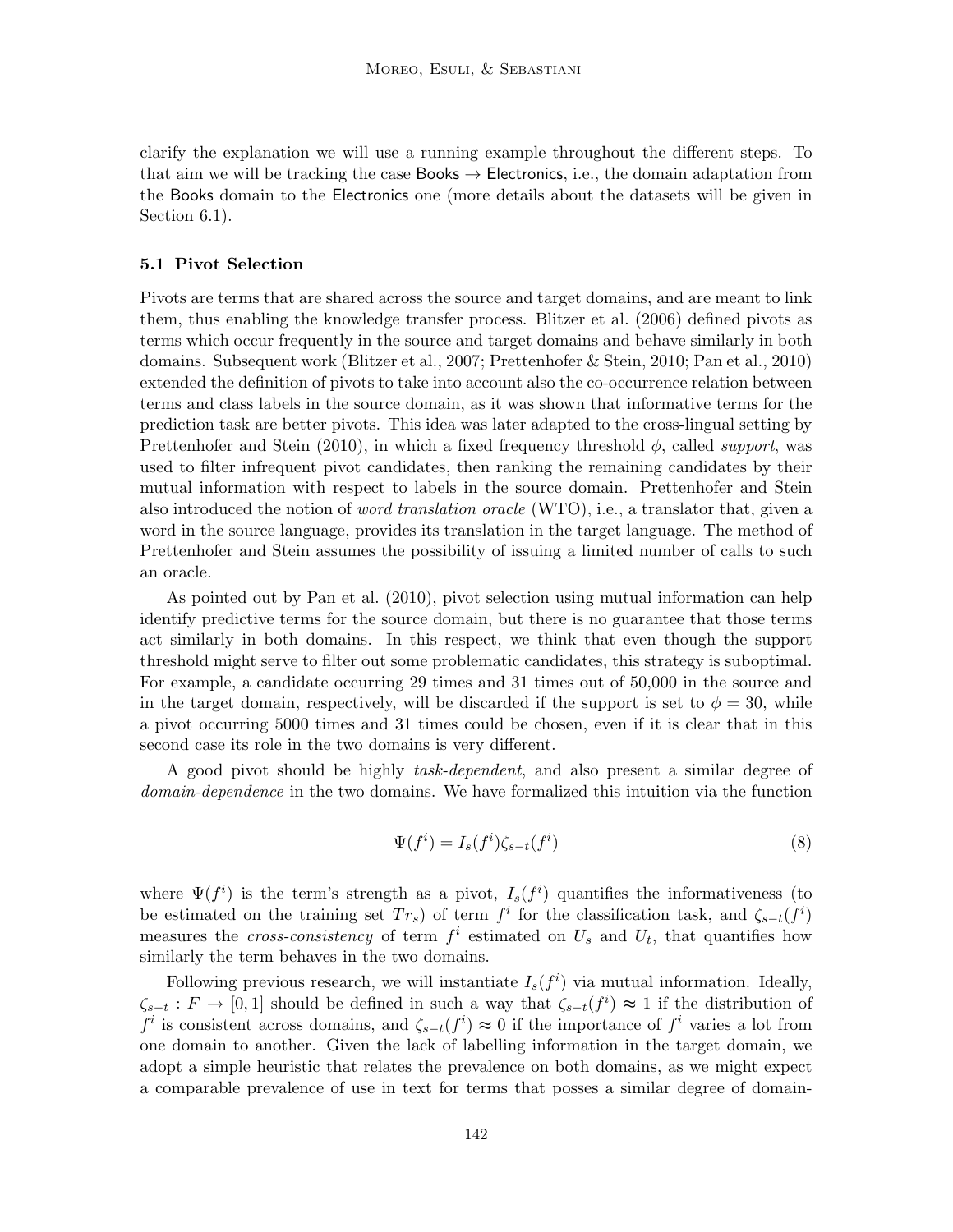clarify the explanation we will use a running example throughout the different steps. To that aim we will be tracking the case **Books**  $\rightarrow$  **Electronics**, i.e., the domain adaptation from the Books domain to the Electronics one (more details about the datasets will be given in Section 6.1).

## 5.1 Pivot Selection

Pivots are terms that are shared across the source and target domains, and are meant to link them, thus enabling the knowledge transfer process. Blitzer et al. (2006) defined pivots as terms which occur frequently in the source and target domains and behave similarly in both domains. Subsequent work (Blitzer et al., 2007; Prettenhofer & Stein, 2010; Pan et al., 2010) extended the definition of pivots to take into account also the co-occurrence relation between terms and class labels in the source domain, as it was shown that informative terms for the prediction task are better pivots. This idea was later adapted to the cross-lingual setting by Prettenhofer and Stein (2010), in which a fixed frequency threshold  $\phi$ , called *support*, was used to filter infrequent pivot candidates, then ranking the remaining candidates by their mutual information with respect to labels in the source domain. Prettenhofer and Stein also introduced the notion of *word translation oracle* (WTO), i.e., a translator that, given a word in the source language, provides its translation in the target language. The method of Prettenhofer and Stein assumes the possibility of issuing a limited number of calls to such an oracle.

As pointed out by Pan et al. (2010), pivot selection using mutual information can help identify predictive terms for the source domain, but there is no guarantee that those terms act similarly in both domains. In this respect, we think that even though the support threshold might serve to filter out some problematic candidates, this strategy is suboptimal. For example, a candidate occurring 29 times and 31 times out of 50,000 in the source and in the target domain, respectively, will be discarded if the support is set to  $\phi = 30$ , while a pivot occurring 5000 times and 31 times could be chosen, even if it is clear that in this second case its role in the two domains is very different.

A good pivot should be highly task-dependent, and also present a similar degree of domain-dependence in the two domains. We have formalized this intuition via the function

$$
\Psi(f^i) = I_s(f^i)\zeta_{s-t}(f^i)
$$
\n(8)

where  $\Psi(f^i)$  is the term's strength as a pivot,  $I_s(f^i)$  quantifies the informativeness (to be estimated on the training set  $Tr_s$ ) of term  $f^i$  for the classification task, and  $\zeta_{s-t}(f^i)$ measures the *cross-consistency* of term  $f^i$  estimated on  $U_s$  and  $U_t$ , that quantifies how similarly the term behaves in the two domains.

Following previous research, we will instantiate  $I_s(f^i)$  via mutual information. Ideally,  $\zeta_{s-t}: F \to [0,1]$  should be defined in such a way that  $\zeta_{s-t}(f^i) \approx 1$  if the distribution of  $f^i$  is consistent across domains, and  $\zeta_{s-t}(f^i) \approx 0$  if the importance of  $f^i$  varies a lot from one domain to another. Given the lack of labelling information in the target domain, we adopt a simple heuristic that relates the prevalence on both domains, as we might expect a comparable prevalence of use in text for terms that posses a similar degree of domain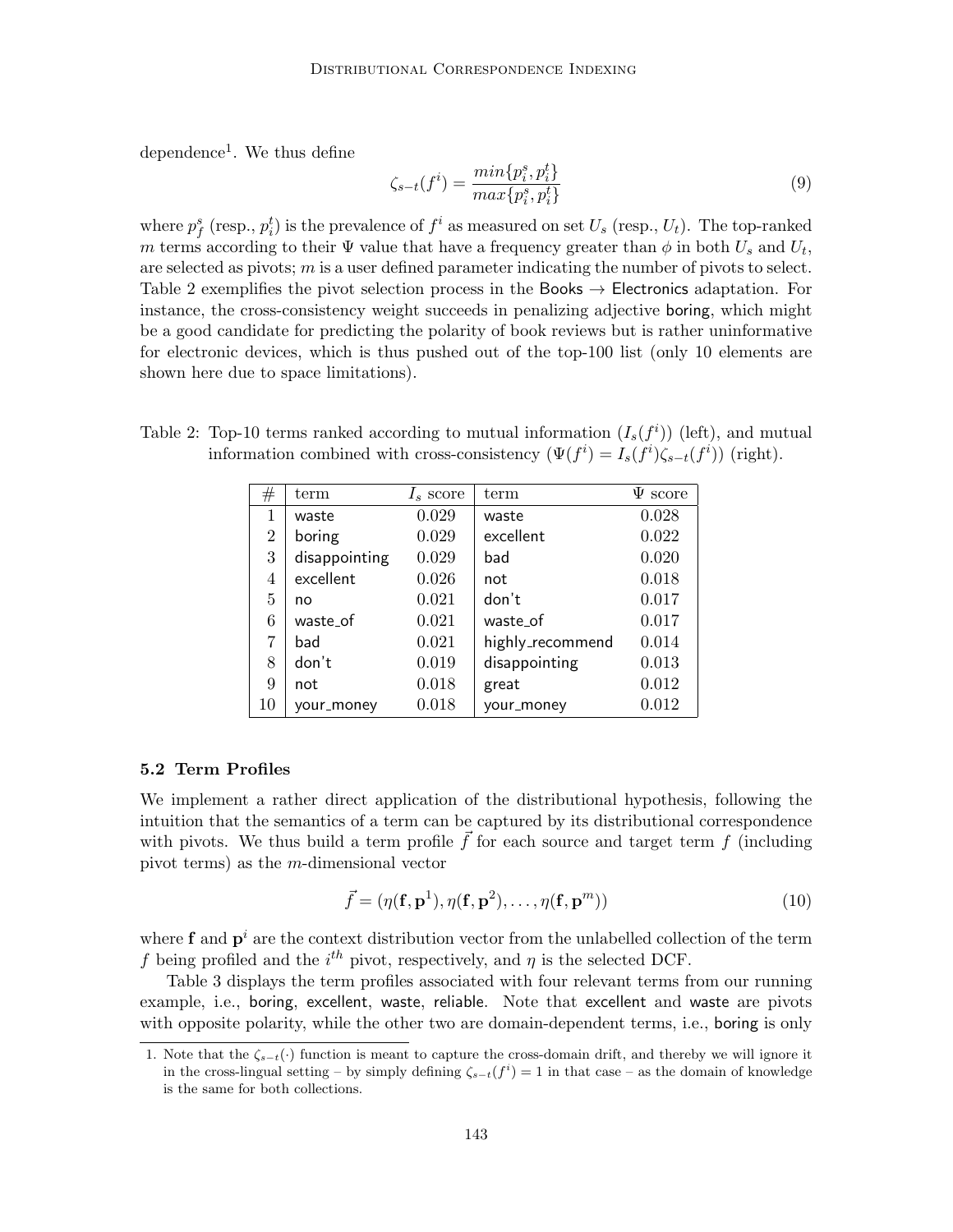dependence<sup>1</sup>. We thus define

$$
\zeta_{s-t}(f^i) = \frac{\min\{p_i^s, p_i^t\}}{\max\{p_i^s, p_i^t\}}\tag{9}
$$

where  $p_f^s$  (resp.,  $p_i^t$ ) is the prevalence of  $f^i$  as measured on set  $U_s$  (resp.,  $U_t$ ). The top-ranked m terms according to their  $\Psi$  value that have a frequency greater than  $\phi$  in both  $U_s$  and  $U_t$ , are selected as pivots;  $m$  is a user defined parameter indicating the number of pivots to select. Table 2 exemplifies the pivot selection process in the Books  $\rightarrow$  Electronics adaptation. For instance, the cross-consistency weight succeeds in penalizing adjective boring, which might be a good candidate for predicting the polarity of book reviews but is rather uninformative for electronic devices, which is thus pushed out of the top-100 list (only 10 elements are shown here due to space limitations).

| #  | term          | $I_s$ score | term             | $\Psi$ score |
|----|---------------|-------------|------------------|--------------|
| 1  | waste         | 0.029       | waste            | 0.028        |
| 2  | boring        | 0.029       | excellent        | 0.022        |
| 3  | disappointing | 0.029       | bad              | 0.020        |
| 4  | excellent     | 0.026       | not              | 0.018        |
| 5  | no            | 0.021       | don't            | 0.017        |
| 6  | waste_of      | 0.021       | waste_of         | 0.017        |
| 7  | bad           | 0.021       | highly_recommend | 0.014        |
| 8  | don't         | 0.019       | disappointing    | 0.013        |
| 9  | not           | 0.018       | great            | 0.012        |
| 10 | vour_money    | 0.018       | your_money       | 0.012        |

Table 2: Top-10 terms ranked according to mutual information  $(I_s(f^i))$  (left), and mutual information combined with cross-consistency  $(\Psi(f^i) = I_s(f^i)\zeta_{s-t}(f^i))$  (right).

## 5.2 Term Profiles

We implement a rather direct application of the distributional hypothesis, following the intuition that the semantics of a term can be captured by its distributional correspondence with pivots. We thus build a term profile  $\vec{f}$  for each source and target term f (including pivot terms) as the m-dimensional vector

$$
\vec{f} = (\eta(\mathbf{f}, \mathbf{p}^1), \eta(\mathbf{f}, \mathbf{p}^2), \dots, \eta(\mathbf{f}, \mathbf{p}^m))
$$
\n(10)

where **f** and  $\mathbf{p}^i$  are the context distribution vector from the unlabelled collection of the term f being profiled and the  $i^{th}$  pivot, respectively, and  $\eta$  is the selected DCF.

Table 3 displays the term profiles associated with four relevant terms from our running example, i.e., boring, excellent, waste, reliable. Note that excellent and waste are pivots with opposite polarity, while the other two are domain-dependent terms, i.e., boring is only

<sup>1.</sup> Note that the  $\zeta_{s-t}(\cdot)$  function is meant to capture the cross-domain drift, and thereby we will ignore it in the cross-lingual setting – by simply defining  $\zeta_{s-t}(f^i) = 1$  in that case – as the domain of knowledge is the same for both collections.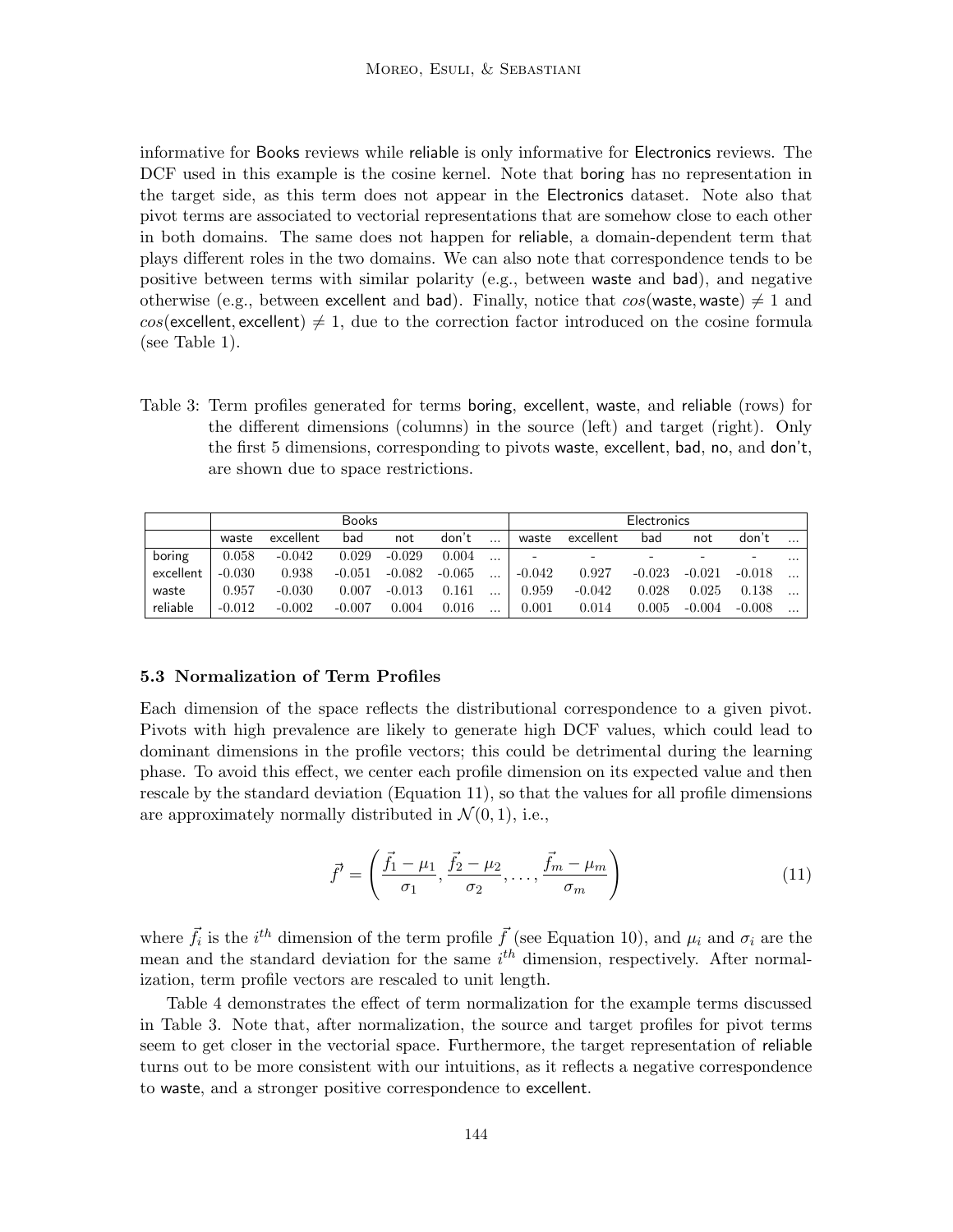informative for Books reviews while reliable is only informative for Electronics reviews. The DCF used in this example is the cosine kernel. Note that boring has no representation in the target side, as this term does not appear in the Electronics dataset. Note also that pivot terms are associated to vectorial representations that are somehow close to each other in both domains. The same does not happen for reliable, a domain-dependent term that plays different roles in the two domains. We can also note that correspondence tends to be positive between terms with similar polarity (e.g., between waste and bad), and negative otherwise (e.g., between excellent and bad). Finally, notice that  $cos(waste, waste) \neq 1$  and  $cos$ (excellent, excellent)  $\neq$  1, due to the correction factor introduced on the cosine formula (see Table 1).

Table 3: Term profiles generated for terms boring, excellent, waste, and reliable (rows) for the different dimensions (columns) in the source (left) and target (right). Only the first 5 dimensions, corresponding to pivots waste, excellent, bad, no, and don't, are shown due to space restrictions.

|           |          |           | <b>Books</b> |          |          | <b>Electronics</b> |          |                          |          |          |          |          |
|-----------|----------|-----------|--------------|----------|----------|--------------------|----------|--------------------------|----------|----------|----------|----------|
|           | waste    | excellent | bad          | not      | don't    |                    | waste    | excellent                | bad      | not      | don't    | $\cdots$ |
| boring    | 0.058    | $-0.042$  | 0.029        | $-0.029$ | 0.004    | $\cdots$           |          | $\overline{\phantom{0}}$ |          |          |          | $\cdots$ |
| excellent | $-0.030$ | 0.938     | $-0.051$     | $-0.082$ | $-0.065$ | $\cdots$           | $-0.042$ | 0.927                    | $-0.023$ | $-0.021$ | $-0.018$ | $\cdots$ |
| waste     | 0.957    | $-0.030$  | 0.007        | $-0.013$ | 0.161    |                    | 0.959    | $-0.042$                 | 0.028    | 0.025    | 0.138    | $\cdots$ |
| reliable  | $-0.012$ | $-0.002$  | $-0.007$     | 0.004    | 0.016    |                    | 0.001    | 0.014                    | 0.005    | $-0.004$ | $-0.008$ | $\cdots$ |

## 5.3 Normalization of Term Profiles

Each dimension of the space reflects the distributional correspondence to a given pivot. Pivots with high prevalence are likely to generate high DCF values, which could lead to dominant dimensions in the profile vectors; this could be detrimental during the learning phase. To avoid this effect, we center each profile dimension on its expected value and then rescale by the standard deviation (Equation 11), so that the values for all profile dimensions are approximately normally distributed in  $\mathcal{N}(0, 1)$ , i.e.,

$$
\vec{f'} = \left(\frac{\vec{f}_1 - \mu_1}{\sigma_1}, \frac{\vec{f}_2 - \mu_2}{\sigma_2}, \dots, \frac{\vec{f}_m - \mu_m}{\sigma_m}\right) \tag{11}
$$

where  $\vec{f}_i$  is the  $i^{th}$  dimension of the term profile  $\vec{f}$  (see Equation 10), and  $\mu_i$  and  $\sigma_i$  are the mean and the standard deviation for the same  $i<sup>th</sup>$  dimension, respectively. After normalization, term profile vectors are rescaled to unit length.

Table 4 demonstrates the effect of term normalization for the example terms discussed in Table 3. Note that, after normalization, the source and target profiles for pivot terms seem to get closer in the vectorial space. Furthermore, the target representation of reliable turns out to be more consistent with our intuitions, as it reflects a negative correspondence to waste, and a stronger positive correspondence to excellent.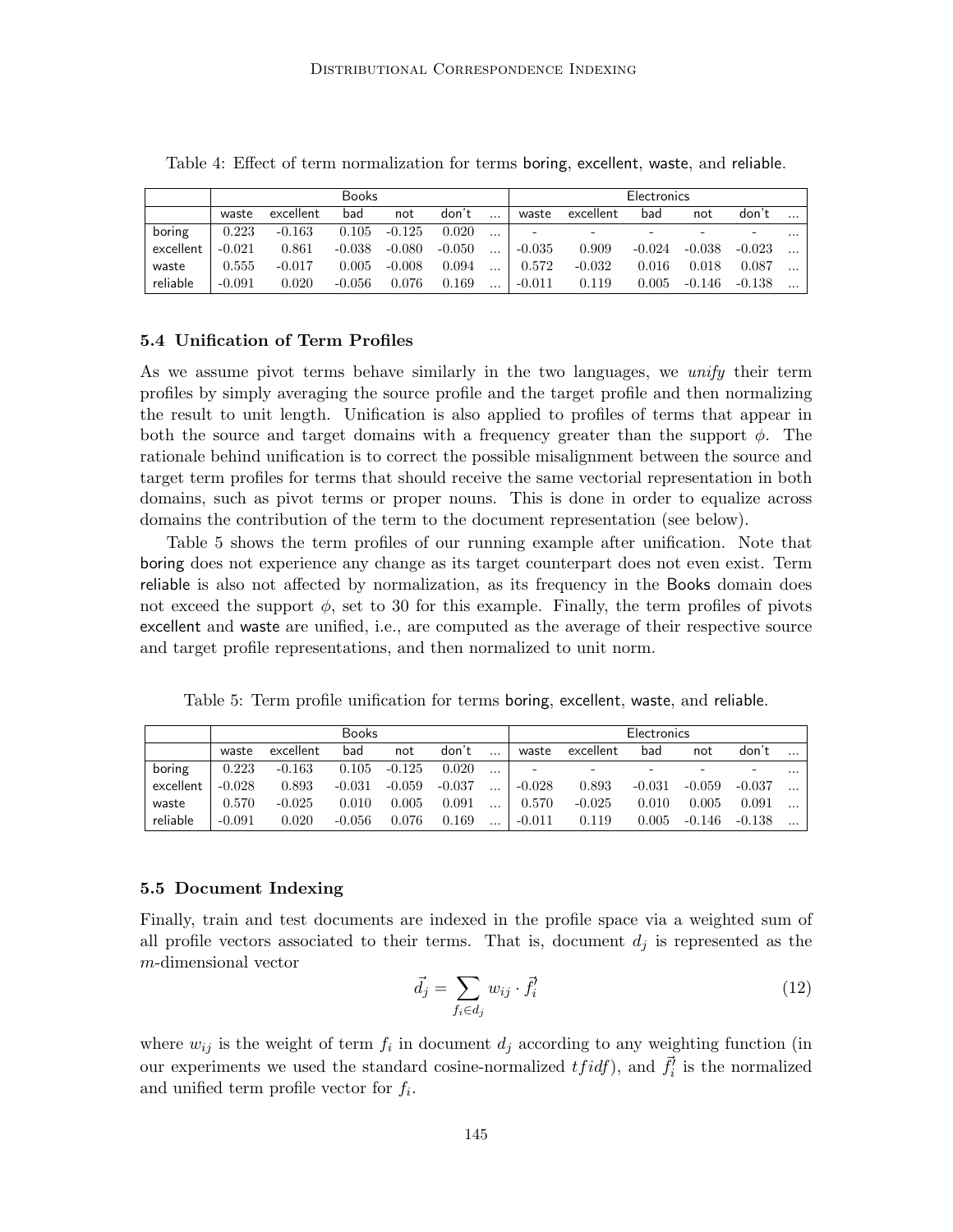|           |          |           | <b>Books</b> |          |        |          | Electronics |                          |       |                  |          |          |  |
|-----------|----------|-----------|--------------|----------|--------|----------|-------------|--------------------------|-------|------------------|----------|----------|--|
|           | waste    | excellent | bad          | not      | don't  | $\cdots$ | waste       | excellent                | bad   | not              | don't    |          |  |
| boring    | 0.223    | $-0.163$  | 0.105        | $-0.125$ | 0.020  | $\cdots$ |             | $\overline{\phantom{a}}$ |       |                  |          | $\cdots$ |  |
| excellent | $-0.021$ | 0.861     | $-0.038$     | -0.080   | -0.050 | $\ldots$ | -0.035      | 0.909                    |       | $-0.024 - 0.038$ | $-0.023$ |          |  |
| waste     | 0.555    | $-0.017$  | 0.005        | $-0.008$ | 0.094  |          | 0.572       | $-0.032$                 | 0.016 | 0.018            | 0.087    |          |  |
| reliable  | $-0.091$ | 0.020     | $-0.056$     | 0.076    | 0.169  | $\cdots$ | $-0.011$    | 0.119                    |       | $0.005$ -0.146   | $-0.138$ |          |  |

Table 4: Effect of term normalization for terms boring, excellent, waste, and reliable.

## 5.4 Unification of Term Profiles

As we assume pivot terms behave similarly in the two languages, we *unify* their term profiles by simply averaging the source profile and the target profile and then normalizing the result to unit length. Unification is also applied to profiles of terms that appear in both the source and target domains with a frequency greater than the support  $\phi$ . The rationale behind unification is to correct the possible misalignment between the source and target term profiles for terms that should receive the same vectorial representation in both domains, such as pivot terms or proper nouns. This is done in order to equalize across domains the contribution of the term to the document representation (see below).

Table 5 shows the term profiles of our running example after unification. Note that boring does not experience any change as its target counterpart does not even exist. Term reliable is also not affected by normalization, as its frequency in the Books domain does not exceed the support  $\phi$ , set to 30 for this example. Finally, the term profiles of pivots excellent and waste are unified, i.e., are computed as the average of their respective source and target profile representations, and then normalized to unit norm.

Table 5: Term profile unification for terms boring, excellent, waste, and reliable.

|           |          |           | Books    |          |          | Electronics |                          |           |          |          |          |           |
|-----------|----------|-----------|----------|----------|----------|-------------|--------------------------|-----------|----------|----------|----------|-----------|
|           | waste    | excellent | bad      | not      | don't    |             | waste                    | excellent | bad      | not      | don't    | $\ddotsc$ |
| boring    | 0.223    | $-0.163$  | 0.105    | $-0.125$ | 0.020    |             | $\overline{\phantom{0}}$ |           | -        |          |          |           |
| excellent | $-0.028$ | 0.893     | $-0.031$ | $-0.059$ | $-0.037$ | $\cdot$     | $-0.028$                 | 0.893     | $-0.031$ | $-0.059$ | $-0.037$ |           |
| waste     | 0.570    | $-0.025$  | 0.010    | 0.005    | 0.091    |             | 0.570                    | $-0.025$  | 0.010    | 0.005    | 0.091    |           |
| reliable  | $-0.091$ | 0.020     | $-0.056$ | 0.076    | 0.169    |             | $-0.011$                 | 0.119     | 0.005    | $-0.146$ | $-0.138$ |           |

## 5.5 Document Indexing

Finally, train and test documents are indexed in the profile space via a weighted sum of all profile vectors associated to their terms. That is, document  $d_j$  is represented as the m-dimensional vector

$$
\vec{d}_j = \sum_{f_i \in d_j} w_{ij} \cdot \vec{f}_i' \tag{12}
$$

where  $w_{ij}$  is the weight of term  $f_i$  in document  $d_j$  according to any weighting function (in our experiments we used the standard cosine-normalized  $tfidf$ ), and  $\vec{f}_i^j$  is the normalized and unified term profile vector for  $f_i$ .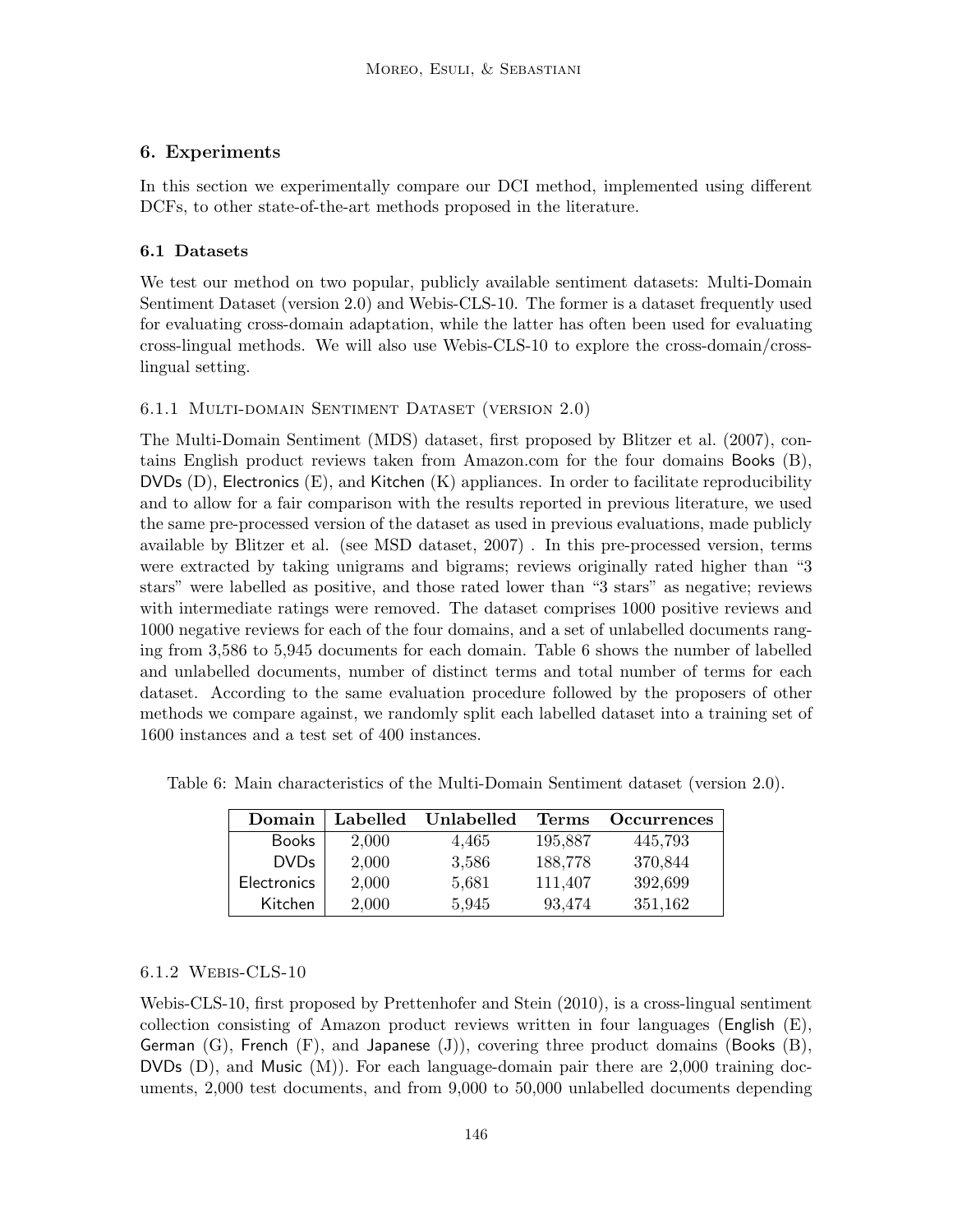## 6. Experiments

In this section we experimentally compare our DCI method, implemented using different DCFs, to other state-of-the-art methods proposed in the literature.

## 6.1 Datasets

We test our method on two popular, publicly available sentiment datasets: Multi-Domain Sentiment Dataset (version 2.0) and Webis-CLS-10. The former is a dataset frequently used for evaluating cross-domain adaptation, while the latter has often been used for evaluating cross-lingual methods. We will also use Webis-CLS-10 to explore the cross-domain/crosslingual setting.

## 6.1.1 Multi-domain Sentiment Dataset (version 2.0)

The Multi-Domain Sentiment (MDS) dataset, first proposed by Blitzer et al. (2007), contains English product reviews taken from Amazon.com for the four domains Books (B),  $DVDs$  (D), Electronics (E), and Kitchen (K) appliances. In order to facilitate reproducibility and to allow for a fair comparison with the results reported in previous literature, we used the same pre-processed version of the dataset as used in previous evaluations, made publicly available by Blitzer et al. (see MSD dataset, 2007) . In this pre-processed version, terms were extracted by taking unigrams and bigrams; reviews originally rated higher than "3 stars" were labelled as positive, and those rated lower than "3 stars" as negative; reviews with intermediate ratings were removed. The dataset comprises 1000 positive reviews and 1000 negative reviews for each of the four domains, and a set of unlabelled documents ranging from 3,586 to 5,945 documents for each domain. Table 6 shows the number of labelled and unlabelled documents, number of distinct terms and total number of terms for each dataset. According to the same evaluation procedure followed by the proposers of other methods we compare against, we randomly split each labelled dataset into a training set of 1600 instances and a test set of 400 instances.

| Domain             | Labelled | Unlabelled | Terms   | <b>Occurrences</b> |
|--------------------|----------|------------|---------|--------------------|
| <b>Books</b>       | 2,000    | 4,465      | 195,887 | 445,793            |
| <b>DVDs</b>        | 2,000    | 3,586      | 188,778 | 370,844            |
| <b>Electronics</b> | 2,000    | 5,681      | 111,407 | 392,699            |
| Kitchen            | 2,000    | 5,945      | 93,474  | 351,162            |

Table 6: Main characteristics of the Multi-Domain Sentiment dataset (version 2.0).

## 6.1.2 Webis-CLS-10

Webis-CLS-10, first proposed by Prettenhofer and Stein (2010), is a cross-lingual sentiment collection consisting of Amazon product reviews written in four languages (English (E), German  $(G)$ , French  $(F)$ , and Japanese  $(J)$ ), covering three product domains (Books  $(B)$ ), DVDs  $(D)$ , and Music  $(M)$ ). For each language-domain pair there are 2,000 training documents, 2,000 test documents, and from 9,000 to 50,000 unlabelled documents depending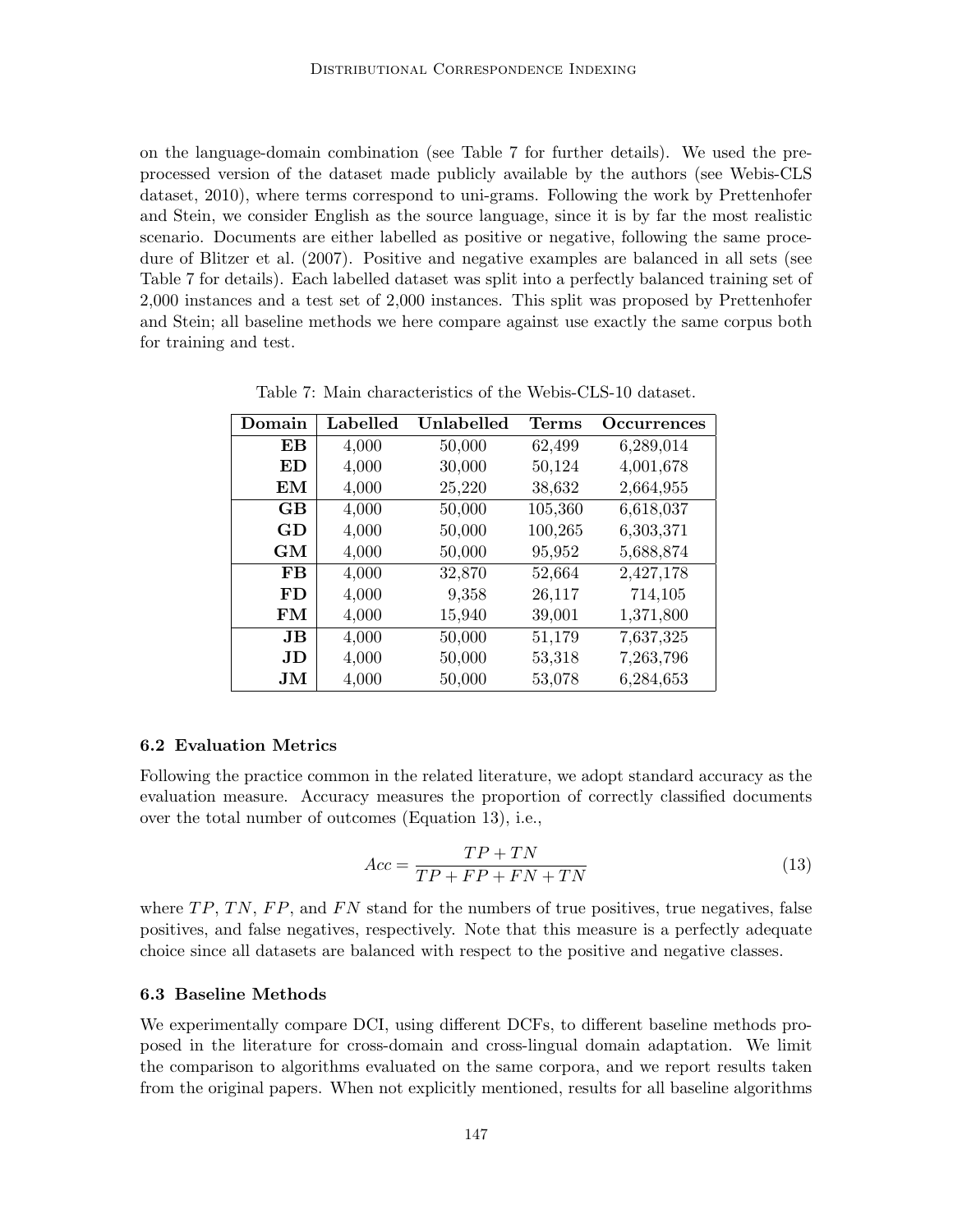on the language-domain combination (see Table 7 for further details). We used the preprocessed version of the dataset made publicly available by the authors (see Webis-CLS dataset, 2010), where terms correspond to uni-grams. Following the work by Prettenhofer and Stein, we consider English as the source language, since it is by far the most realistic scenario. Documents are either labelled as positive or negative, following the same procedure of Blitzer et al. (2007). Positive and negative examples are balanced in all sets (see Table 7 for details). Each labelled dataset was split into a perfectly balanced training set of 2,000 instances and a test set of 2,000 instances. This split was proposed by Prettenhofer and Stein; all baseline methods we here compare against use exactly the same corpus both for training and test.

| Domain             | Labelled | Unlabelled | <b>Terms</b> | <b>Occurrences</b> |
|--------------------|----------|------------|--------------|--------------------|
| EВ                 | 4,000    | 50,000     | 62,499       | 6,289,014          |
| ED                 | 4,000    | 30,000     | 50,124       | 4,001,678          |
| EМ                 | 4,000    | 25,220     | 38,632       | 2,664,955          |
| GB                 | 4,000    | 50,000     | 105,360      | 6,618,037          |
| GD                 | 4,000    | 50,000     | 100,265      | 6,303,371          |
| GM                 | 4,000    | 50,000     | 95,952       | 5,688,874          |
| FB                 | 4,000    | 32,870     | 52,664       | 2,427,178          |
| FD                 | 4,000    | 9,358      | 26,117       | 714,105            |
| FM                 | 4,000    | 15,940     | 39,001       | 1,371,800          |
| JB                 | 4,000    | 50,000     | 51,179       | 7,637,325          |
| JD                 | 4,000    | 50,000     | 53,318       | 7,263,796          |
| $\bold{J}\bold{M}$ | 4,000    | 50,000     | 53,078       | 6,284,653          |

Table 7: Main characteristics of the Webis-CLS-10 dataset.

#### 6.2 Evaluation Metrics

Following the practice common in the related literature, we adopt standard accuracy as the evaluation measure. Accuracy measures the proportion of correctly classified documents over the total number of outcomes (Equation 13), i.e.,

$$
Acc = \frac{TP + TN}{TP + FP + FN + TN}
$$
\n<sup>(13)</sup>

where  $TP, TN, FP$ , and  $FN$  stand for the numbers of true positives, true negatives, false positives, and false negatives, respectively. Note that this measure is a perfectly adequate choice since all datasets are balanced with respect to the positive and negative classes.

## 6.3 Baseline Methods

We experimentally compare DCI, using different DCFs, to different baseline methods proposed in the literature for cross-domain and cross-lingual domain adaptation. We limit the comparison to algorithms evaluated on the same corpora, and we report results taken from the original papers. When not explicitly mentioned, results for all baseline algorithms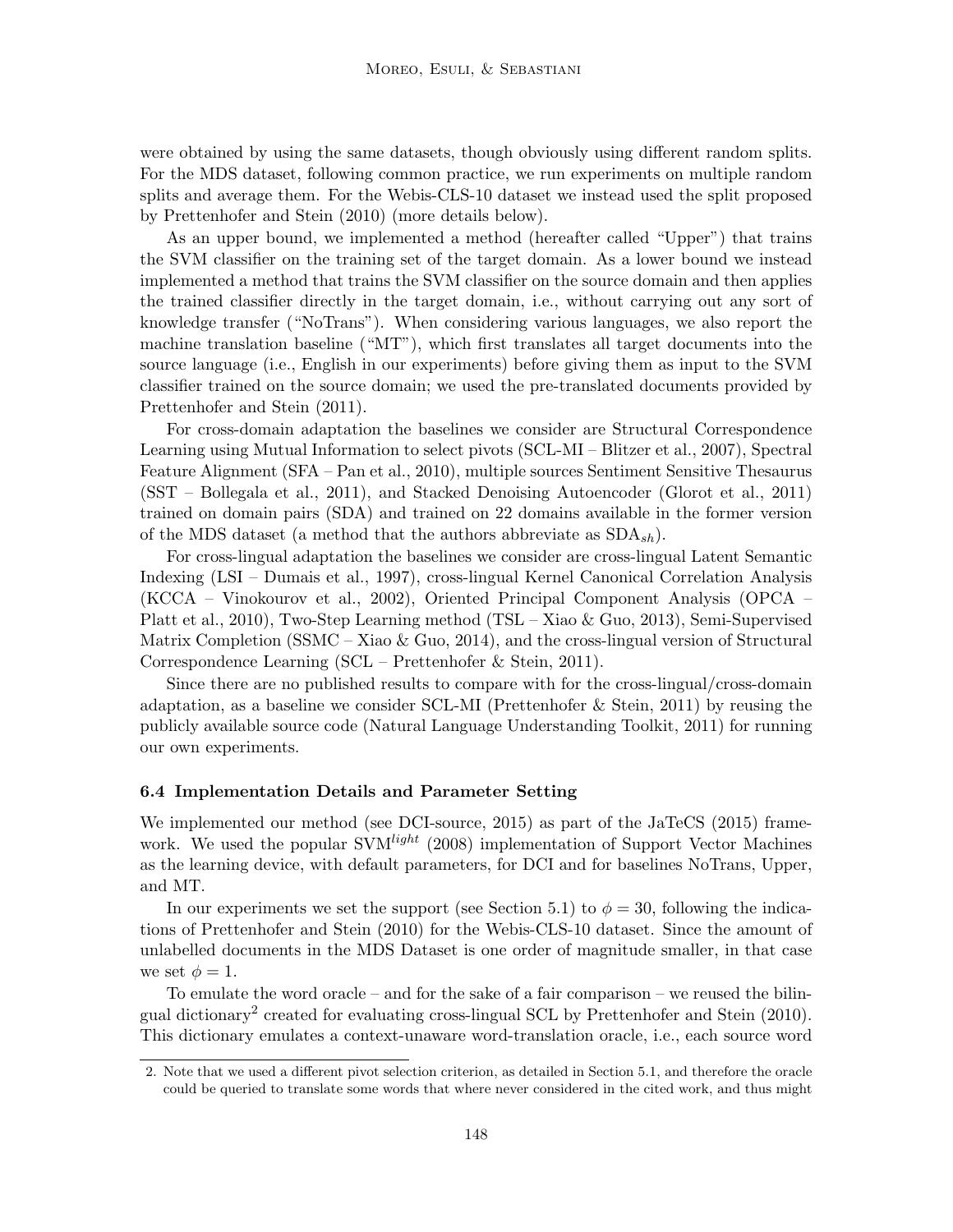were obtained by using the same datasets, though obviously using different random splits. For the MDS dataset, following common practice, we run experiments on multiple random splits and average them. For the Webis-CLS-10 dataset we instead used the split proposed by Prettenhofer and Stein (2010) (more details below).

As an upper bound, we implemented a method (hereafter called "Upper") that trains the SVM classifier on the training set of the target domain. As a lower bound we instead implemented a method that trains the SVM classifier on the source domain and then applies the trained classifier directly in the target domain, i.e., without carrying out any sort of knowledge transfer ("NoTrans"). When considering various languages, we also report the machine translation baseline ("MT"), which first translates all target documents into the source language (i.e., English in our experiments) before giving them as input to the SVM classifier trained on the source domain; we used the pre-translated documents provided by Prettenhofer and Stein (2011).

For cross-domain adaptation the baselines we consider are Structural Correspondence Learning using Mutual Information to select pivots (SCL-MI – Blitzer et al., 2007), Spectral Feature Alignment (SFA – Pan et al., 2010), multiple sources Sentiment Sensitive Thesaurus (SST – Bollegala et al., 2011), and Stacked Denoising Autoencoder (Glorot et al., 2011) trained on domain pairs (SDA) and trained on 22 domains available in the former version of the MDS dataset (a method that the authors abbreviate as  $SDA_{sh}$ ).

For cross-lingual adaptation the baselines we consider are cross-lingual Latent Semantic Indexing (LSI – Dumais et al., 1997), cross-lingual Kernel Canonical Correlation Analysis (KCCA – Vinokourov et al., 2002), Oriented Principal Component Analysis (OPCA – Platt et al., 2010), Two-Step Learning method (TSL – Xiao & Guo, 2013), Semi-Supervised Matrix Completion (SSMC – Xiao & Guo, 2014), and the cross-lingual version of Structural Correspondence Learning (SCL – Prettenhofer & Stein, 2011).

Since there are no published results to compare with for the cross-lingual/cross-domain adaptation, as a baseline we consider SCL-MI (Prettenhofer & Stein, 2011) by reusing the publicly available source code (Natural Language Understanding Toolkit, 2011) for running our own experiments.

#### 6.4 Implementation Details and Parameter Setting

We implemented our method (see DCI-source, 2015) as part of the JaTeCS (2015) framework. We used the popular  $SVM<sup>light</sup>$  (2008) implementation of Support Vector Machines as the learning device, with default parameters, for DCI and for baselines NoTrans, Upper, and MT.

In our experiments we set the support (see Section 5.1) to  $\phi = 30$ , following the indications of Prettenhofer and Stein (2010) for the Webis-CLS-10 dataset. Since the amount of unlabelled documents in the MDS Dataset is one order of magnitude smaller, in that case we set  $\phi = 1$ .

To emulate the word oracle – and for the sake of a fair comparison – we reused the bilingual dictionary<sup>2</sup> created for evaluating cross-lingual SCL by Prettenhofer and Stein (2010). This dictionary emulates a context-unaware word-translation oracle, i.e., each source word

<sup>2.</sup> Note that we used a different pivot selection criterion, as detailed in Section 5.1, and therefore the oracle could be queried to translate some words that where never considered in the cited work, and thus might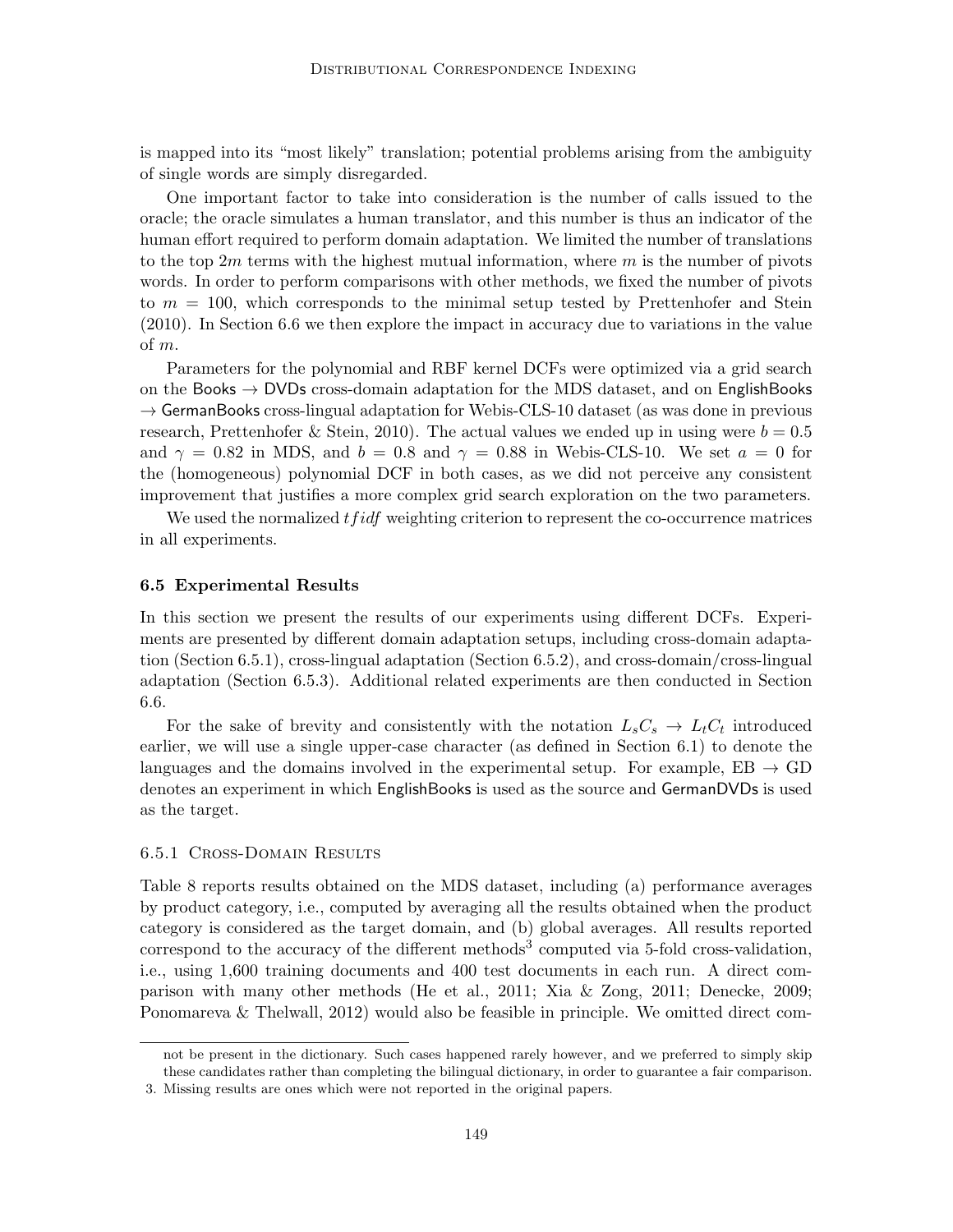is mapped into its "most likely" translation; potential problems arising from the ambiguity of single words are simply disregarded.

One important factor to take into consideration is the number of calls issued to the oracle; the oracle simulates a human translator, and this number is thus an indicator of the human effort required to perform domain adaptation. We limited the number of translations to the top  $2m$  terms with the highest mutual information, where m is the number of pivots words. In order to perform comparisons with other methods, we fixed the number of pivots to  $m = 100$ , which corresponds to the minimal setup tested by Prettenhofer and Stein (2010). In Section 6.6 we then explore the impact in accuracy due to variations in the value of m.

Parameters for the polynomial and RBF kernel DCFs were optimized via a grid search on the Books  $\rightarrow$  DVDs cross-domain adaptation for the MDS dataset, and on EnglishBooks  $\rightarrow$  GermanBooks cross-lingual adaptation for Webis-CLS-10 dataset (as was done in previous research, Prettenhofer & Stein, 2010). The actual values we ended up in using were  $b = 0.5$ and  $\gamma = 0.82$  in MDS, and  $b = 0.8$  and  $\gamma = 0.88$  in Webis-CLS-10. We set  $a = 0$  for the (homogeneous) polynomial DCF in both cases, as we did not perceive any consistent improvement that justifies a more complex grid search exploration on the two parameters.

We used the normalized  $tfidf$  weighting criterion to represent the co-occurrence matrices in all experiments.

#### 6.5 Experimental Results

In this section we present the results of our experiments using different DCFs. Experiments are presented by different domain adaptation setups, including cross-domain adaptation (Section 6.5.1), cross-lingual adaptation (Section 6.5.2), and cross-domain/cross-lingual adaptation (Section 6.5.3). Additional related experiments are then conducted in Section 6.6.

For the sake of brevity and consistently with the notation  $L_sC_s \rightarrow L_tC_t$  introduced earlier, we will use a single upper-case character (as defined in Section 6.1) to denote the languages and the domains involved in the experimental setup. For example,  $EB \rightarrow GD$ denotes an experiment in which EnglishBooks is used as the source and GermanDVDs is used as the target.

## 6.5.1 Cross-Domain Results

Table 8 reports results obtained on the MDS dataset, including (a) performance averages by product category, i.e., computed by averaging all the results obtained when the product category is considered as the target domain, and (b) global averages. All results reported correspond to the accuracy of the different methods<sup>3</sup> computed via 5-fold cross-validation, i.e., using 1,600 training documents and 400 test documents in each run. A direct comparison with many other methods (He et al., 2011; Xia & Zong, 2011; Denecke, 2009; Ponomareva & Thelwall, 2012) would also be feasible in principle. We omitted direct com-

not be present in the dictionary. Such cases happened rarely however, and we preferred to simply skip these candidates rather than completing the bilingual dictionary, in order to guarantee a fair comparison.

<sup>3.</sup> Missing results are ones which were not reported in the original papers.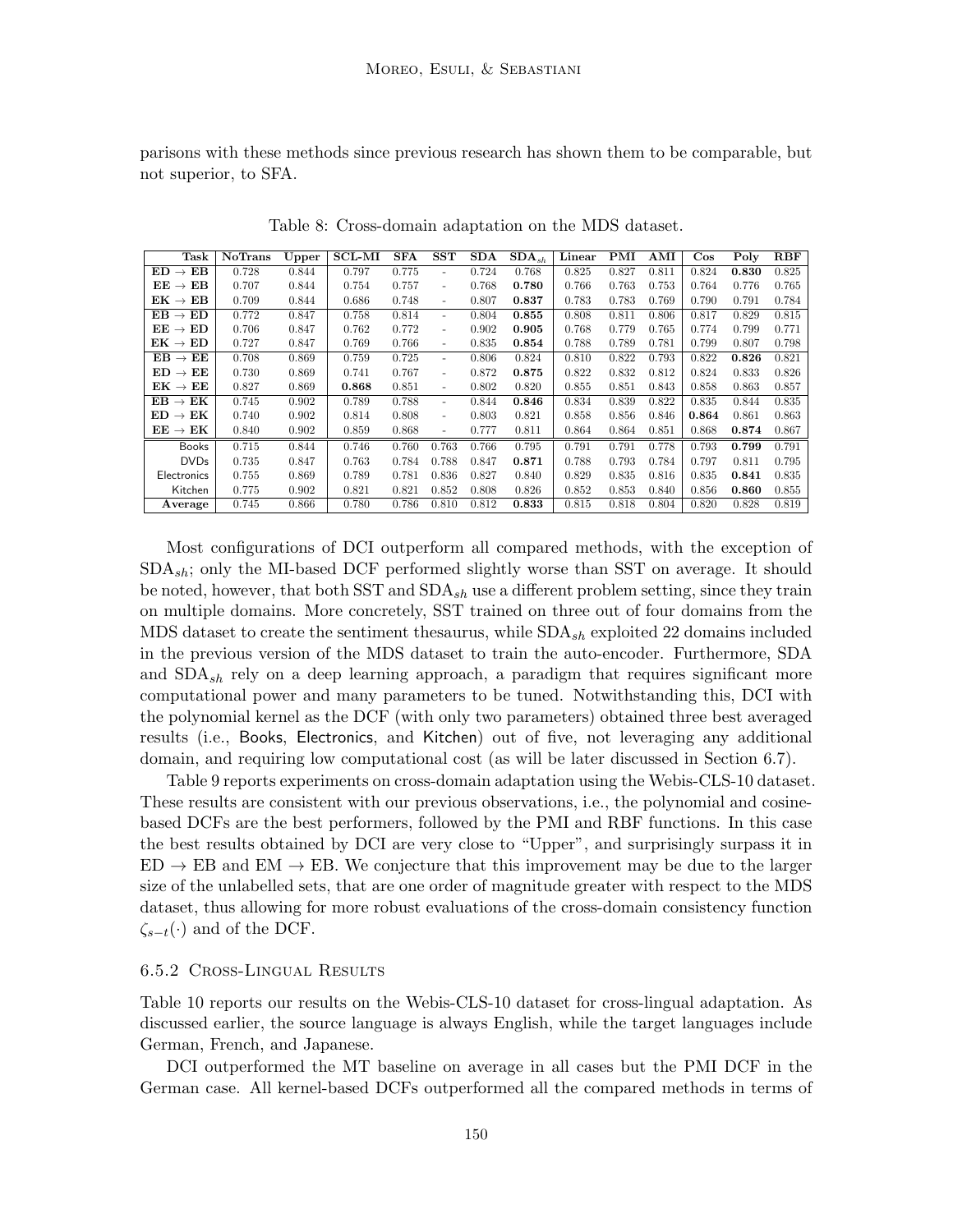parisons with these methods since previous research has shown them to be comparable, but not superior, to SFA.

| Task                                | <b>NoTrans</b> | Upper | $SCL-MI$ | <b>SFA</b> | <b>SST</b>               | SDA   | $\overline{\textbf{S}}\textbf{D}\textbf{A}_{sh}$ | Linear | PMI   | AMI   | $\cos$ | Poly  | RBF   |
|-------------------------------------|----------------|-------|----------|------------|--------------------------|-------|--------------------------------------------------|--------|-------|-------|--------|-------|-------|
| $\rightarrow$ EB<br>ED.             | 0.728          | 0.844 | 0.797    | 0.775      |                          | 0.724 | 0.768                                            | 0.825  | 0.827 | 0.811 | 0.824  | 0.830 | 0.825 |
| $\mathbf{EE} \rightarrow$<br>EВ     | 0.707          | 0.844 | 0.754    | 0.757      |                          | 0.768 | 0.780                                            | 0.766  | 0.763 | 0.753 | 0.764  | 0.776 | 0.765 |
| $\mathrm{EK}\rightarrow\mathrm{EB}$ | 0.709          | 0.844 | 0.686    | 0.748      | ٠                        | 0.807 | 0.837                                            | 0.783  | 0.783 | 0.769 | 0.790  | 0.791 | 0.784 |
| $\mathrm{EB}\rightarrow\mathrm{ED}$ | 0.772          | 0.847 | 0.758    | 0.814      |                          | 0.804 | 0.855                                            | 0.808  | 0.811 | 0.806 | 0.817  | 0.829 | 0.815 |
| $EE \rightarrow ED$                 | 0.706          | 0.847 | 0.762    | 0.772      |                          | 0.902 | 0.905                                            | 0.768  | 0.779 | 0.765 | 0.774  | 0.799 | 0.771 |
| $\mathrm{EK}\rightarrow\mathrm{ED}$ | 0.727          | 0.847 | 0.769    | 0.766      | $\overline{\phantom{0}}$ | 0.835 | 0.854                                            | 0.788  | 0.789 | 0.781 | 0.799  | 0.807 | 0.798 |
| $EB \rightarrow EE$                 | 0.708          | 0.869 | 0.759    | 0.725      | ٠                        | 0.806 | 0.824                                            | 0.810  | 0.822 | 0.793 | 0.822  | 0.826 | 0.821 |
| $\mathbf{ED}\rightarrow\mathbf{EE}$ | 0.730          | 0.869 | 0.741    | 0.767      | ٠                        | 0.872 | 0.875                                            | 0.822  | 0.832 | 0.812 | 0.824  | 0.833 | 0.826 |
| $\mathrm{EK}\rightarrow\mathrm{EE}$ | 0.827          | 0.869 | 0.868    | 0.851      | ۰                        | 0.802 | 0.820                                            | 0.855  | 0.851 | 0.843 | 0.858  | 0.863 | 0.857 |
| $EB \rightarrow EK$                 | 0.745          | 0.902 | 0.789    | 0.788      | $\overline{\phantom{0}}$ | 0.844 | 0.846                                            | 0.834  | 0.839 | 0.822 | 0.835  | 0.844 | 0.835 |
| $\mathrm{ED}\rightarrow\mathrm{EK}$ | 0.740          | 0.902 | 0.814    | 0.808      | $\overline{\phantom{a}}$ | 0.803 | 0.821                                            | 0.858  | 0.856 | 0.846 | 0.864  | 0.861 | 0.863 |
| $EE \rightarrow EK$                 | 0.840          | 0.902 | 0.859    | 0.868      | $\overline{\phantom{a}}$ | 0.777 | 0.811                                            | 0.864  | 0.864 | 0.851 | 0.868  | 0.874 | 0.867 |
| <b>Books</b>                        | 0.715          | 0.844 | 0.746    | 0.760      | 0.763                    | 0.766 | 0.795                                            | 0.791  | 0.791 | 0.778 | 0.793  | 0.799 | 0.791 |
| <b>DVDs</b>                         | 0.735          | 0.847 | 0.763    | 0.784      | 0.788                    | 0.847 | 0.871                                            | 0.788  | 0.793 | 0.784 | 0.797  | 0.811 | 0.795 |
| Electronics                         | 0.755          | 0.869 | 0.789    | 0.781      | 0.836                    | 0.827 | 0.840                                            | 0.829  | 0.835 | 0.816 | 0.835  | 0.841 | 0.835 |
| Kitchen                             | 0.775          | 0.902 | 0.821    | 0.821      | 0.852                    | 0.808 | 0.826                                            | 0.852  | 0.853 | 0.840 | 0.856  | 0.860 | 0.855 |
| Average                             | 0.745          | 0.866 | 0.780    | 0.786      | 0.810                    | 0.812 | 0.833                                            | 0.815  | 0.818 | 0.804 | 0.820  | 0.828 | 0.819 |

Table 8: Cross-domain adaptation on the MDS dataset.

Most configurations of DCI outperform all compared methods, with the exception of  $SDA_{sh}$ ; only the MI-based DCF performed slightly worse than SST on average. It should be noted, however, that both SST and  $SDA_{sh}$  use a different problem setting, since they train on multiple domains. More concretely, SST trained on three out of four domains from the MDS dataset to create the sentiment thesaurus, while  $SDA_{sh}$  exploited 22 domains included in the previous version of the MDS dataset to train the auto-encoder. Furthermore, SDA and  $SDA_{sh}$  rely on a deep learning approach, a paradigm that requires significant more computational power and many parameters to be tuned. Notwithstanding this, DCI with the polynomial kernel as the DCF (with only two parameters) obtained three best averaged results (i.e., Books, Electronics, and Kitchen) out of five, not leveraging any additional domain, and requiring low computational cost (as will be later discussed in Section 6.7).

Table 9 reports experiments on cross-domain adaptation using the Webis-CLS-10 dataset. These results are consistent with our previous observations, i.e., the polynomial and cosinebased DCFs are the best performers, followed by the PMI and RBF functions. In this case the best results obtained by DCI are very close to "Upper", and surprisingly surpass it in  $ED \rightarrow EB$  and  $EM \rightarrow EB$ . We conjecture that this improvement may be due to the larger size of the unlabelled sets, that are one order of magnitude greater with respect to the MDS dataset, thus allowing for more robust evaluations of the cross-domain consistency function  $\zeta_{s-t}(\cdot)$  and of the DCF.

## 6.5.2 Cross-Lingual Results

Table 10 reports our results on the Webis-CLS-10 dataset for cross-lingual adaptation. As discussed earlier, the source language is always English, while the target languages include German, French, and Japanese.

DCI outperformed the MT baseline on average in all cases but the PMI DCF in the German case. All kernel-based DCFs outperformed all the compared methods in terms of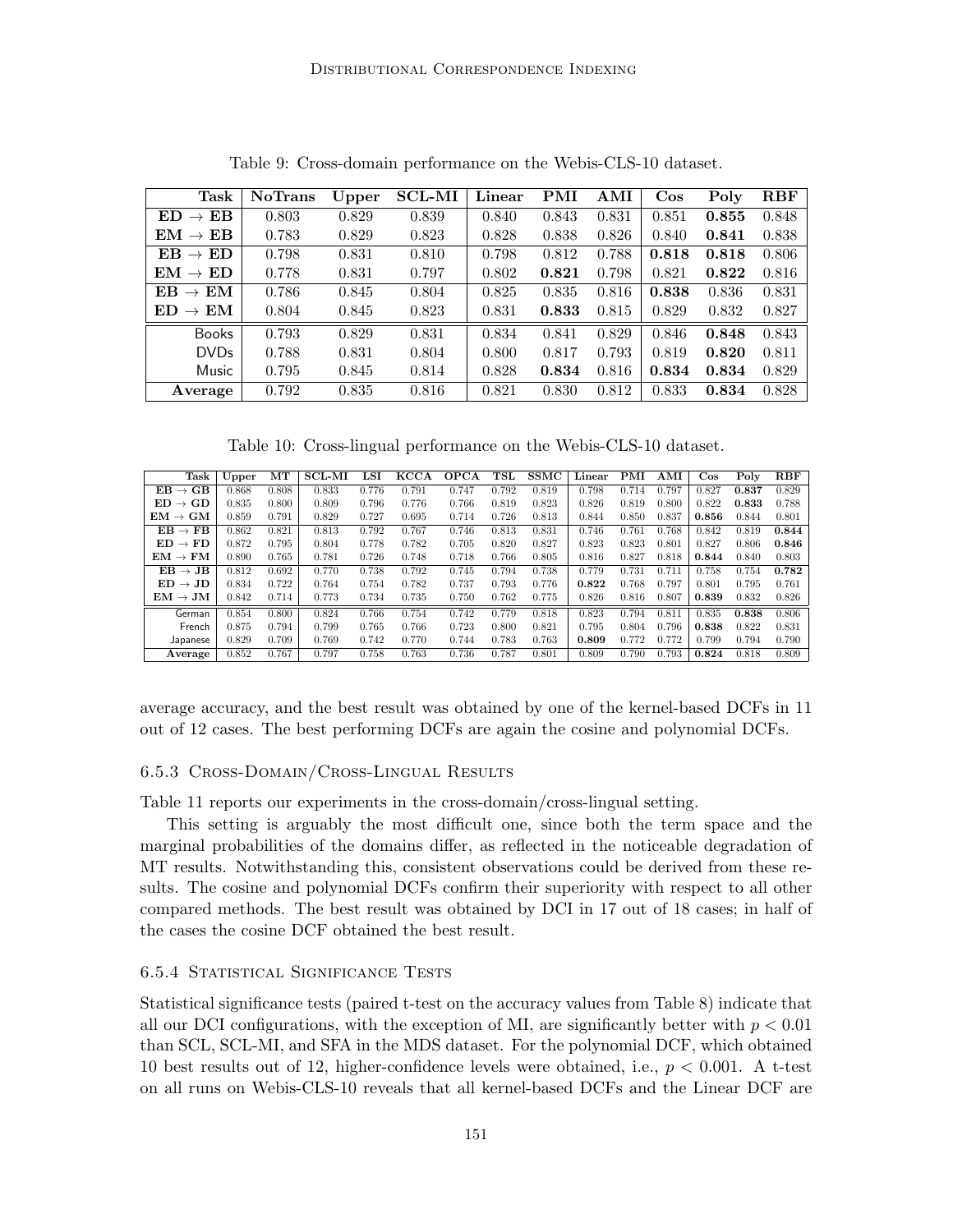| Task                                | <b>NoTrans</b> | $_{\rm Upper}$ | <b>SCL-MI</b> | Linear | PMI   | AMI   | $\cos$ | Poly  | RBF   |
|-------------------------------------|----------------|----------------|---------------|--------|-------|-------|--------|-------|-------|
| $ED \rightarrow EB$                 | 0.803          | 0.829          | 0.839         | 0.840  | 0.843 | 0.831 | 0.851  | 0.855 | 0.848 |
| $EM \rightarrow EB$                 | 0.783          | 0.829          | 0.823         | 0.828  | 0.838 | 0.826 | 0.840  | 0.841 | 0.838 |
| $\mathrm{EB}\rightarrow\mathrm{ED}$ | 0.798          | 0.831          | 0.810         | 0.798  | 0.812 | 0.788 | 0.818  | 0.818 | 0.806 |
| $EM \rightarrow ED$                 | 0.778          | 0.831          | 0.797         | 0.802  | 0.821 | 0.798 | 0.821  | 0.822 | 0.816 |
| $EB \rightarrow EM$                 | 0.786          | 0.845          | 0.804         | 0.825  | 0.835 | 0.816 | 0.838  | 0.836 | 0.831 |
| $ED \rightarrow EM$                 | 0.804          | 0.845          | 0.823         | 0.831  | 0.833 | 0.815 | 0.829  | 0.832 | 0.827 |
| Books                               | 0.793          | 0.829          | 0.831         | 0.834  | 0.841 | 0.829 | 0.846  | 0.848 | 0.843 |
| <b>DVDs</b>                         | 0.788          | 0.831          | 0.804         | 0.800  | 0.817 | 0.793 | 0.819  | 0.820 | 0.811 |
| Music                               | 0.795          | 0.845          | 0.814         | 0.828  | 0.834 | 0.816 | 0.834  | 0.834 | 0.829 |
| Average                             | 0.792          | 0.835          | 0.816         | 0.821  | 0.830 | 0.812 | 0.833  | 0.834 | 0.828 |

Table 9: Cross-domain performance on the Webis-CLS-10 dataset.

Table 10: Cross-lingual performance on the Webis-CLS-10 dataset.

| Task                                 | Upper | MT    | <b>SCL-MI</b> | LSI   | KCCA  | <b>OPCA</b> | TSL   | <b>SSMC</b> | Linear | PMI   | AMI   | $\cos$ | Poly  | <b>RBF</b> |
|--------------------------------------|-------|-------|---------------|-------|-------|-------------|-------|-------------|--------|-------|-------|--------|-------|------------|
| $EB \rightarrow GB$                  | 0.868 | 0.808 | 0.833         | 0.776 | 0.791 | 0.747       | 0.792 | 0.819       | 0.798  | 0.714 | 0.797 | 0.827  | 0.837 | 0.829      |
| $ED \rightarrow GD$                  | 0.835 | 0.800 | 0.809         | 0.796 | 0.776 | 0.766       | 0.819 | 0.823       | 0.826  | 0.819 | 0.800 | 0.822  | 0.833 | 0.788      |
| $\mathrm{EM}\rightarrow \mathrm{GM}$ | 0.859 | 0.791 | 0.829         | 0.727 | 0.695 | 0.714       | 0.726 | 0.813       | 0.844  | 0.850 | 0.837 | 0.856  | 0.844 | 0.801      |
| $EB \rightarrow FB$                  | 0.862 | 0.821 | 0.813         | 0.792 | 0.767 | 0.746       | 0.813 | 0.831       | 0.746  | 0.761 | 0.768 | 0.842  | 0.819 | 0.844      |
| $ED \rightarrow FD$                  | 0.872 | 0.795 | 0.804         | 0.778 | 0.782 | 0.705       | 0.820 | 0.827       | 0.823  | 0.823 | 0.801 | 0.827  | 0.806 | 0.846      |
| $\mathrm{EM}\rightarrow\mathrm{FM}$  | 0.890 | 0.765 | 0.781         | 0.726 | 0.748 | 0.718       | 0.766 | 0.805       | 0.816  | 0.827 | 0.818 | 0.844  | 0.840 | 0.803      |
| $EB \rightarrow JB$                  | 0.812 | 0.692 | 0.770         | 0.738 | 0.792 | 0.745       | 0.794 | 0.738       | 0.779  | 0.731 | 0.711 | 0.758  | 0.754 | 0.782      |
| $ED \rightarrow JD$                  | 0.834 | 0.722 | 0.764         | 0.754 | 0.782 | 0.737       | 0.793 | 0.776       | 0.822  | 0.768 | 0.797 | 0.801  | 0.795 | 0.761      |
| $\mathrm{EM}\rightarrow\mathrm{JM}$  | 0.842 | 0.714 | 0.773         | 0.734 | 0.735 | 0.750       | 0.762 | 0.775       | 0.826  | 0.816 | 0.807 | 0.839  | 0.832 | 0.826      |
| German                               | 0.854 | 0.800 | 0.824         | 0.766 | 0.754 | 0.742       | 0.779 | 0.818       | 0.823  | 0.794 | 0.811 | 0.835  | 0.838 | 0.806      |
| French                               | 0.875 | 0.794 | 0.799         | 0.765 | 0.766 | 0.723       | 0.800 | 0.821       | 0.795  | 0.804 | 0.796 | 0.838  | 0.822 | 0.831      |
| Japanese                             | 0.829 | 0.709 | 0.769         | 0.742 | 0.770 | 0.744       | 0.783 | 0.763       | 0.809  | 0.772 | 0.772 | 0.799  | 0.794 | 0.790      |
| Average                              | 0.852 | 0.767 | 0.797         | 0.758 | 0.763 | 0.736       | 0.787 | 0.801       | 0.809  | 0.790 | 0.793 | 0.824  | 0.818 | 0.809      |

average accuracy, and the best result was obtained by one of the kernel-based DCFs in 11 out of 12 cases. The best performing DCFs are again the cosine and polynomial DCFs.

#### 6.5.3 Cross-Domain/Cross-Lingual Results

Table 11 reports our experiments in the cross-domain/cross-lingual setting.

This setting is arguably the most difficult one, since both the term space and the marginal probabilities of the domains differ, as reflected in the noticeable degradation of MT results. Notwithstanding this, consistent observations could be derived from these results. The cosine and polynomial DCFs confirm their superiority with respect to all other compared methods. The best result was obtained by DCI in 17 out of 18 cases; in half of the cases the cosine DCF obtained the best result.

#### 6.5.4 Statistical Significance Tests

Statistical significance tests (paired t-test on the accuracy values from Table 8) indicate that all our DCI configurations, with the exception of MI, are significantly better with  $p < 0.01$ than SCL, SCL-MI, and SFA in the MDS dataset. For the polynomial DCF, which obtained 10 best results out of 12, higher-confidence levels were obtained, i.e.,  $p < 0.001$ . A t-test on all runs on Webis-CLS-10 reveals that all kernel-based DCFs and the Linear DCF are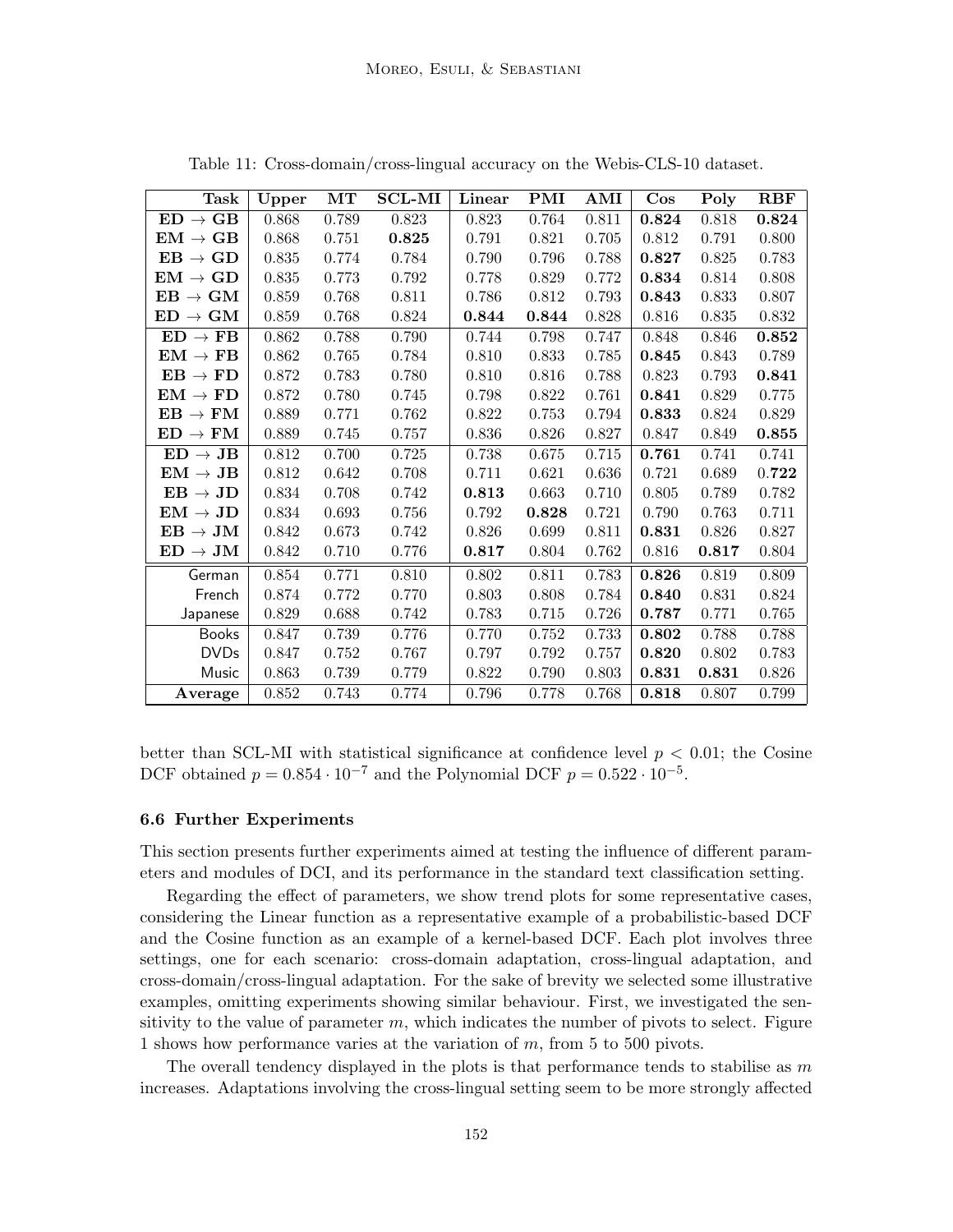| Task                                 | Upper     | $\mathbf{MT}$ | <b>SCL-MI</b> | Linear | <b>PMI</b> | AMI   | $\cos$ | Poly  | <b>RBF</b> |
|--------------------------------------|-----------|---------------|---------------|--------|------------|-------|--------|-------|------------|
| $ED \rightarrow GB$                  | 0.868     | 0.789         | 0.823         | 0.823  | 0.764      | 0.811 | 0.824  | 0.818 | 0.824      |
| $\mathrm{EM}\rightarrow\mathrm{GB}$  | 0.868     | 0.751         | 0.825         | 0.791  | 0.821      | 0.705 | 0.812  | 0.791 | 0.800      |
| $\mathbf{EB}\to\mathbf{GD}$          | $0.835\,$ | 0.774         | 0.784         | 0.790  | 0.796      | 0.788 | 0.827  | 0.825 | 0.783      |
| $\text{EM}\rightarrow\text{GD}$      | 0.835     | 0.773         | 0.792         | 0.778  | 0.829      | 0.772 | 0.834  | 0.814 | 0.808      |
| $EB \rightarrow GM$                  | 0.859     | 0.768         | 0.811         | 0.786  | 0.812      | 0.793 | 0.843  | 0.833 | 0.807      |
| $\mathbf{ED}\rightarrow\mathbf{GM}$  | 0.859     | 0.768         | 0.824         | 0.844  | 0.844      | 0.828 | 0.816  | 0.835 | 0.832      |
| $ED \rightarrow FB$                  | 0.862     | 0.788         | 0.790         | 0.744  | 0.798      | 0.747 | 0.848  | 0.846 | 0.852      |
| $\mathrm{EM}\rightarrow\mathrm{FB}$  | 0.862     | 0.765         | 0.784         | 0.810  | 0.833      | 0.785 | 0.845  | 0.843 | 0.789      |
| $EB \rightarrow FD$                  | 0.872     | 0.783         | 0.780         | 0.810  | 0.816      | 0.788 | 0.823  | 0.793 | 0.841      |
| $EM \rightarrow FD$                  | 0.872     | 0.780         | 0.745         | 0.798  | 0.822      | 0.761 | 0.841  | 0.829 | 0.775      |
| $EB \rightarrow FM$                  | 0.889     | 0.771         | 0.762         | 0.822  | 0.753      | 0.794 | 0.833  | 0.824 | 0.829      |
| $ED \rightarrow FM$                  | 0.889     | 0.745         | 0.757         | 0.836  | 0.826      | 0.827 | 0.847  | 0.849 | 0.855      |
| $ED \rightarrow JB$                  | 0.812     | 0.700         | 0.725         | 0.738  | 0.675      | 0.715 | 0.761  | 0.741 | 0.741      |
| $\mathrm{EM}\rightarrow\mathrm{JB}$  | 0.812     | 0.642         | 0.708         | 0.711  | 0.621      | 0.636 | 0.721  | 0.689 | 0.722      |
| $\mathrm{EB}\rightarrow\mathrm{JD}$  | 0.834     | 0.708         | 0.742         | 0.813  | 0.663      | 0.710 | 0.805  | 0.789 | 0.782      |
| $\mathrm{EM}\rightarrow\mathrm{JD}$  | 0.834     | 0.693         | 0.756         | 0.792  | 0.828      | 0.721 | 0.790  | 0.763 | 0.711      |
| $EB \rightarrow JM$                  | 0.842     | 0.673         | 0.742         | 0.826  | 0.699      | 0.811 | 0.831  | 0.826 | 0.827      |
| $\mathbf{ED}\rightarrow \mathbf{JM}$ | 0.842     | 0.710         | 0.776         | 0.817  | 0.804      | 0.762 | 0.816  | 0.817 | 0.804      |
| German                               | 0.854     | 0.771         | 0.810         | 0.802  | 0.811      | 0.783 | 0.826  | 0.819 | 0.809      |
| French                               | 0.874     | 0.772         | 0.770         | 0.803  | 0.808      | 0.784 | 0.840  | 0.831 | 0.824      |
| Japanese                             | 0.829     | 0.688         | 0.742         | 0.783  | 0.715      | 0.726 | 0.787  | 0.771 | 0.765      |
| <b>Books</b>                         | 0.847     | 0.739         | 0.776         | 0.770  | 0.752      | 0.733 | 0.802  | 0.788 | 0.788      |
| <b>DVDs</b>                          | 0.847     | 0.752         | 0.767         | 0.797  | 0.792      | 0.757 | 0.820  | 0.802 | 0.783      |
| Music                                | 0.863     | 0.739         | 0.779         | 0.822  | 0.790      | 0.803 | 0.831  | 0.831 | 0.826      |
| Average                              | $0.852\,$ | 0.743         | 0.774         | 0.796  | 0.778      | 0.768 | 0.818  | 0.807 | 0.799      |

Table 11: Cross-domain/cross-lingual accuracy on the Webis-CLS-10 dataset.

better than SCL-MI with statistical significance at confidence level  $p < 0.01$ ; the Cosine DCF obtained  $p = 0.854 \cdot 10^{-7}$  and the Polynomial DCF  $p = 0.522 \cdot 10^{-5}$ .

## 6.6 Further Experiments

This section presents further experiments aimed at testing the influence of different parameters and modules of DCI, and its performance in the standard text classification setting.

Regarding the effect of parameters, we show trend plots for some representative cases, considering the Linear function as a representative example of a probabilistic-based DCF and the Cosine function as an example of a kernel-based DCF. Each plot involves three settings, one for each scenario: cross-domain adaptation, cross-lingual adaptation, and cross-domain/cross-lingual adaptation. For the sake of brevity we selected some illustrative examples, omitting experiments showing similar behaviour. First, we investigated the sensitivity to the value of parameter  $m$ , which indicates the number of pivots to select. Figure 1 shows how performance varies at the variation of  $m$ , from 5 to 500 pivots.

The overall tendency displayed in the plots is that performance tends to stabilise as  $m$ increases. Adaptations involving the cross-lingual setting seem to be more strongly affected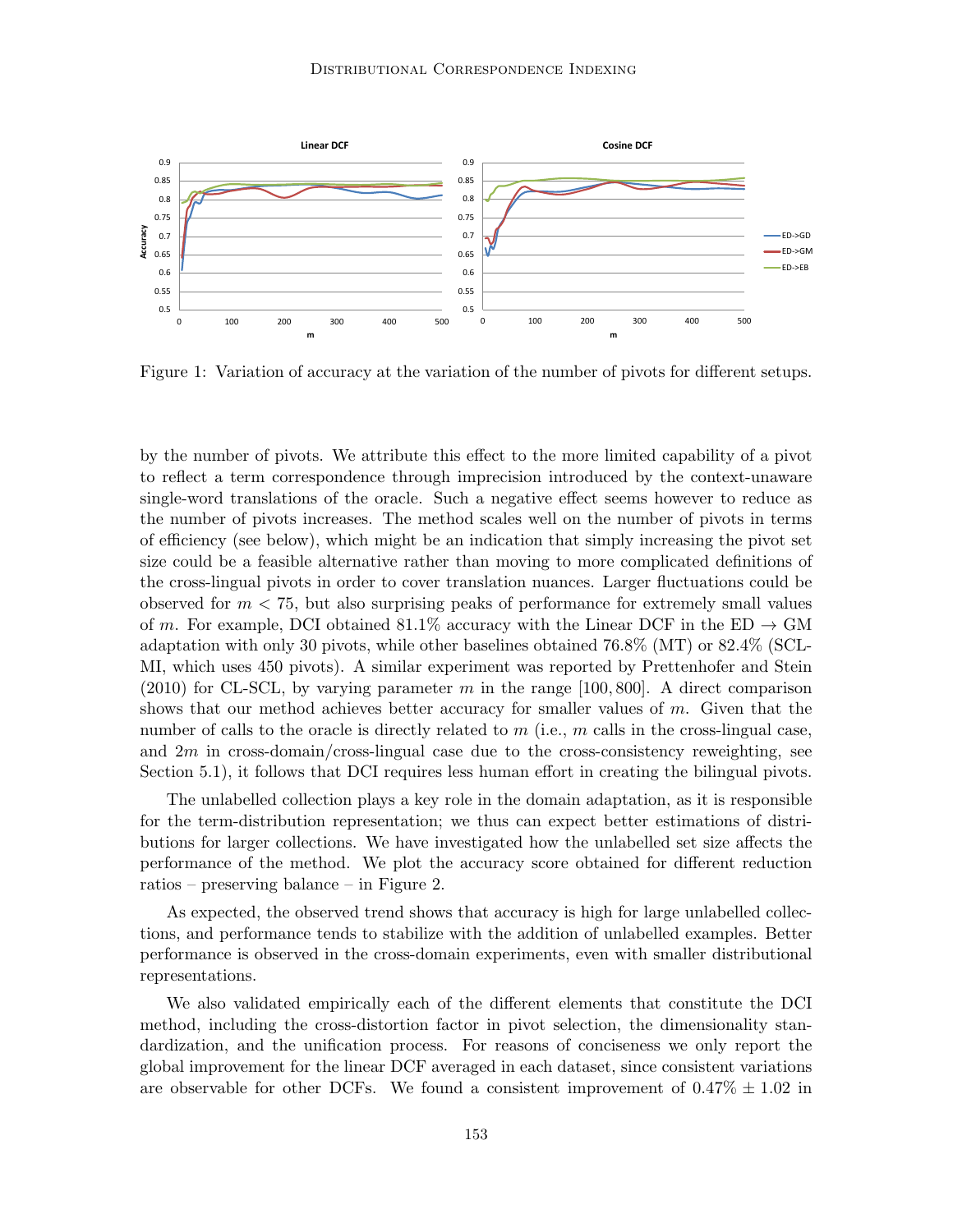

Figure 1: Variation of accuracy at the variation of the number of pivots for different setups.

by the number of pivots. We attribute this effect to the more limited capability of a pivot to reflect a term correspondence through imprecision introduced by the context-unaware single-word translations of the oracle. Such a negative effect seems however to reduce as the number of pivots increases. The method scales well on the number of pivots in terms of efficiency (see below), which might be an indication that simply increasing the pivot set size could be a feasible alternative rather than moving to more complicated definitions of the cross-lingual pivots in order to cover translation nuances. Larger fluctuations could be observed for  $m < 75$ , but also surprising peaks of performance for extremely small values of m. For example, DCI obtained 81.1% accuracy with the Linear DCF in the ED  $\rightarrow$  GM adaptation with only 30 pivots, while other baselines obtained 76.8% (MT) or 82.4% (SCL-MI, which uses 450 pivots). A similar experiment was reported by Prettenhofer and Stein  $(2010)$  for CL-SCL, by varying parameter m in the range [100, 800]. A direct comparison shows that our method achieves better accuracy for smaller values of  $m$ . Given that the number of calls to the oracle is directly related to  $m$  (i.e.,  $m$  calls in the cross-lingual case, and  $2m$  in cross-domain/cross-lingual case due to the cross-consistency reweighting, see Section 5.1), it follows that DCI requires less human effort in creating the bilingual pivots.

The unlabelled collection plays a key role in the domain adaptation, as it is responsible for the term-distribution representation; we thus can expect better estimations of distributions for larger collections. We have investigated how the unlabelled set size affects the performance of the method. We plot the accuracy score obtained for different reduction ratios – preserving balance – in Figure 2.

As expected, the observed trend shows that accuracy is high for large unlabelled collections, and performance tends to stabilize with the addition of unlabelled examples. Better performance is observed in the cross-domain experiments, even with smaller distributional representations.

We also validated empirically each of the different elements that constitute the DCI method, including the cross-distortion factor in pivot selection, the dimensionality standardization, and the unification process. For reasons of conciseness we only report the global improvement for the linear DCF averaged in each dataset, since consistent variations are observable for other DCFs. We found a consistent improvement of  $0.47\% \pm 1.02$  in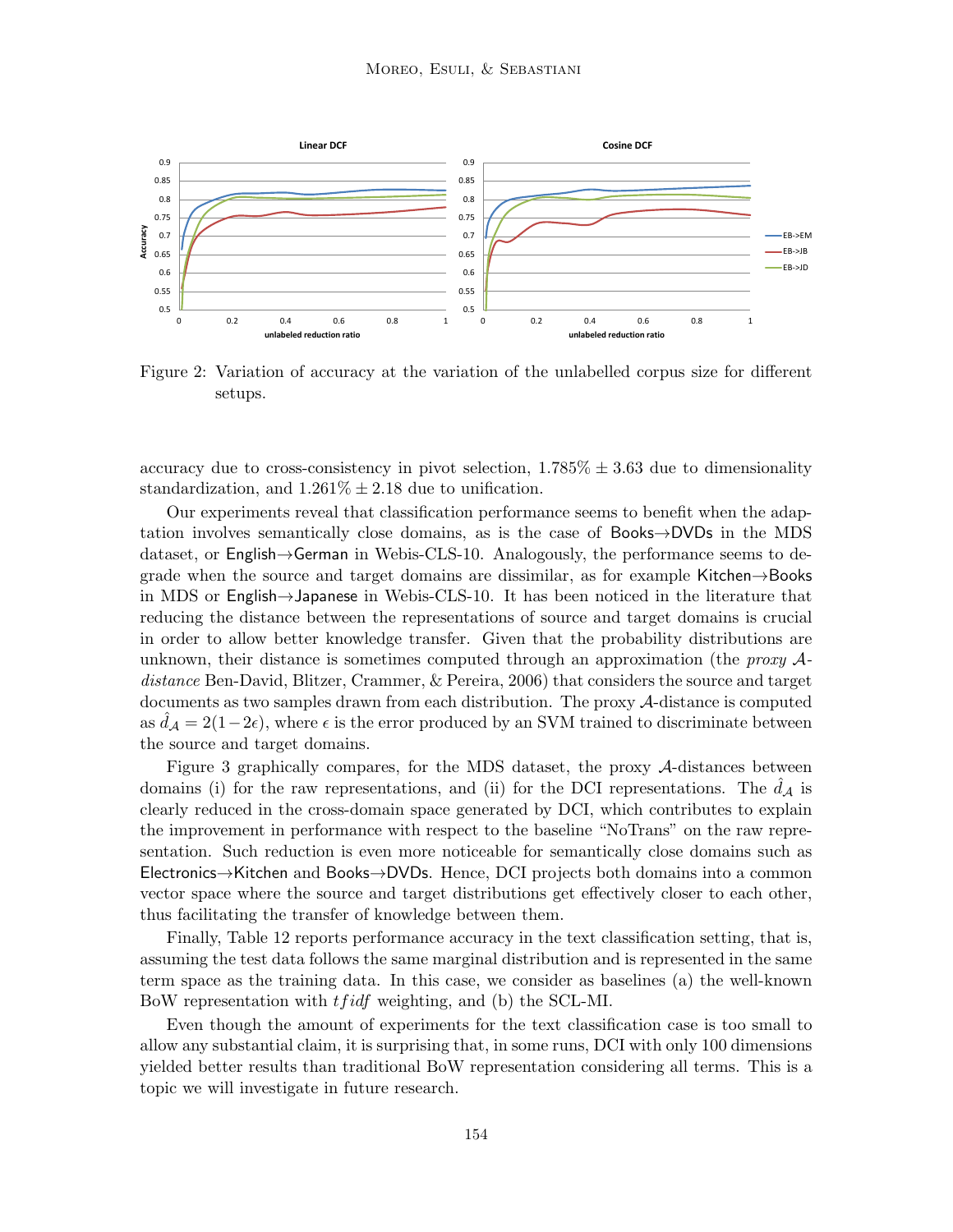

Figure 2: Variation of accuracy at the variation of the unlabelled corpus size for different setups.

accuracy due to cross-consistency in pivot selection,  $1.785\% \pm 3.63$  due to dimensionality standardization, and  $1.261\% \pm 2.18$  due to unification.

Our experiments reveal that classification performance seems to benefit when the adaptation involves semantically close domains, as is the case of Books→DVDs in the MDS dataset, or English→German in Webis-CLS-10. Analogously, the performance seems to degrade when the source and target domains are dissimilar, as for example Kitchen→Books in MDS or English→Japanese in Webis-CLS-10. It has been noticed in the literature that reducing the distance between the representations of source and target domains is crucial in order to allow better knowledge transfer. Given that the probability distributions are unknown, their distance is sometimes computed through an approximation (the *proxy*  $A$ distance Ben-David, Blitzer, Crammer, & Pereira, 2006) that considers the source and target documents as two samples drawn from each distribution. The proxy A-distance is computed as  $d_A = 2(1-2\epsilon)$ , where  $\epsilon$  is the error produced by an SVM trained to discriminate between the source and target domains.

Figure 3 graphically compares, for the MDS dataset, the proxy A-distances between domains (i) for the raw representations, and (ii) for the DCI representations. The  $d_{\mathcal{A}}$  is clearly reduced in the cross-domain space generated by DCI, which contributes to explain the improvement in performance with respect to the baseline "NoTrans" on the raw representation. Such reduction is even more noticeable for semantically close domains such as Electronics→Kitchen and Books→DVDs. Hence, DCI projects both domains into a common vector space where the source and target distributions get effectively closer to each other, thus facilitating the transfer of knowledge between them.

Finally, Table 12 reports performance accuracy in the text classification setting, that is, assuming the test data follows the same marginal distribution and is represented in the same term space as the training data. In this case, we consider as baselines (a) the well-known BoW representation with *t fidf* weighting, and (b) the SCL-MI.

Even though the amount of experiments for the text classification case is too small to allow any substantial claim, it is surprising that, in some runs, DCI with only 100 dimensions yielded better results than traditional BoW representation considering all terms. This is a topic we will investigate in future research.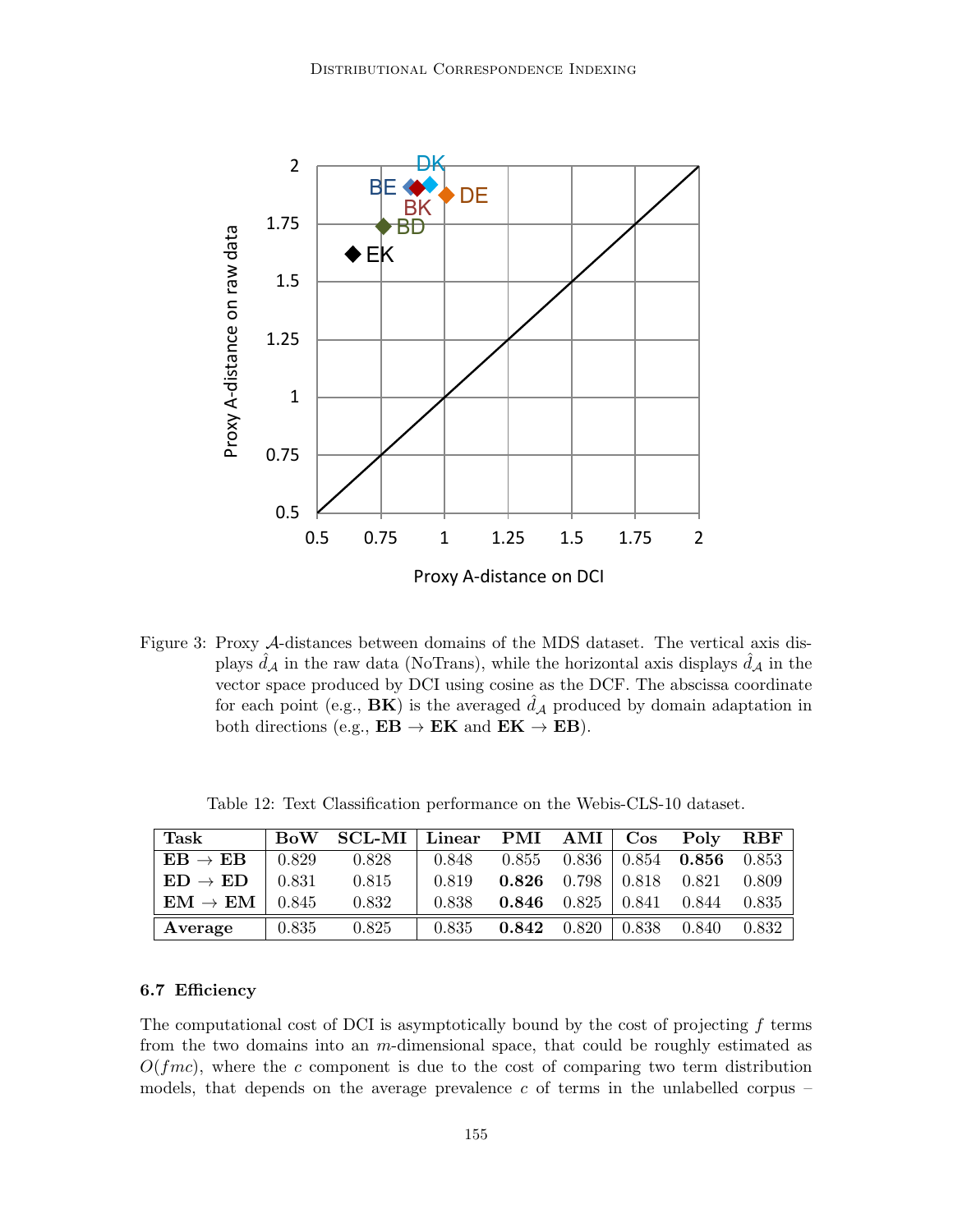

Figure 3: Proxy A-distances between domains of the MDS dataset. The vertical axis displays  $d_A$  in the raw data (NoTrans), while the horizontal axis displays  $d_A$  in the vector space produced by DCI using cosine as the DCF. The abscissa coordinate for each point (e.g.,  $\mathbf{B}\mathbf{K}$ ) is the averaged  $\hat{d}_\mathcal{A}$  produced by domain adaptation in both directions (e.g.,  $EB \rightarrow EK$  and  $EK \rightarrow EB$ ).

| Task                                         |               | BoW SCL-MI Linear PMI AMI Cos Poly RBF |       |                                       |                                        |       |
|----------------------------------------------|---------------|----------------------------------------|-------|---------------------------------------|----------------------------------------|-------|
| $\mathrm{EB}\rightarrow\mathrm{EB}$          | $\pm 0.829$   | 0.828                                  | 0.848 |                                       | $0.855$ $0.836$   $0.854$ <b>0.856</b> | 0.853 |
| $ED \rightarrow ED$ 0.831                    |               | 0.815                                  | 0.819 | <b>0.826</b> 0.798   0.818 0.821      |                                        | 0.809 |
| $\mathrm{EM}\rightarrow \mathrm{EM}$   0.845 |               | 0.832                                  | 0.838 | <b>0.846</b> $0.825 \div 0.841$ 0.844 |                                        | 0.835 |
| Average                                      | $\vert$ 0.835 | 0.825                                  | 0.835 | <b>0.842</b> 0.820   0.838 0.840      |                                        | 0.832 |

Table 12: Text Classification performance on the Webis-CLS-10 dataset.

## 6.7 Efficiency

The computational cost of DCI is asymptotically bound by the cost of projecting  $f$  terms from the two domains into an m-dimensional space, that could be roughly estimated as  $O(fmc)$ , where the c component is due to the cost of comparing two term distribution models, that depends on the average prevalence  $c$  of terms in the unlabelled corpus –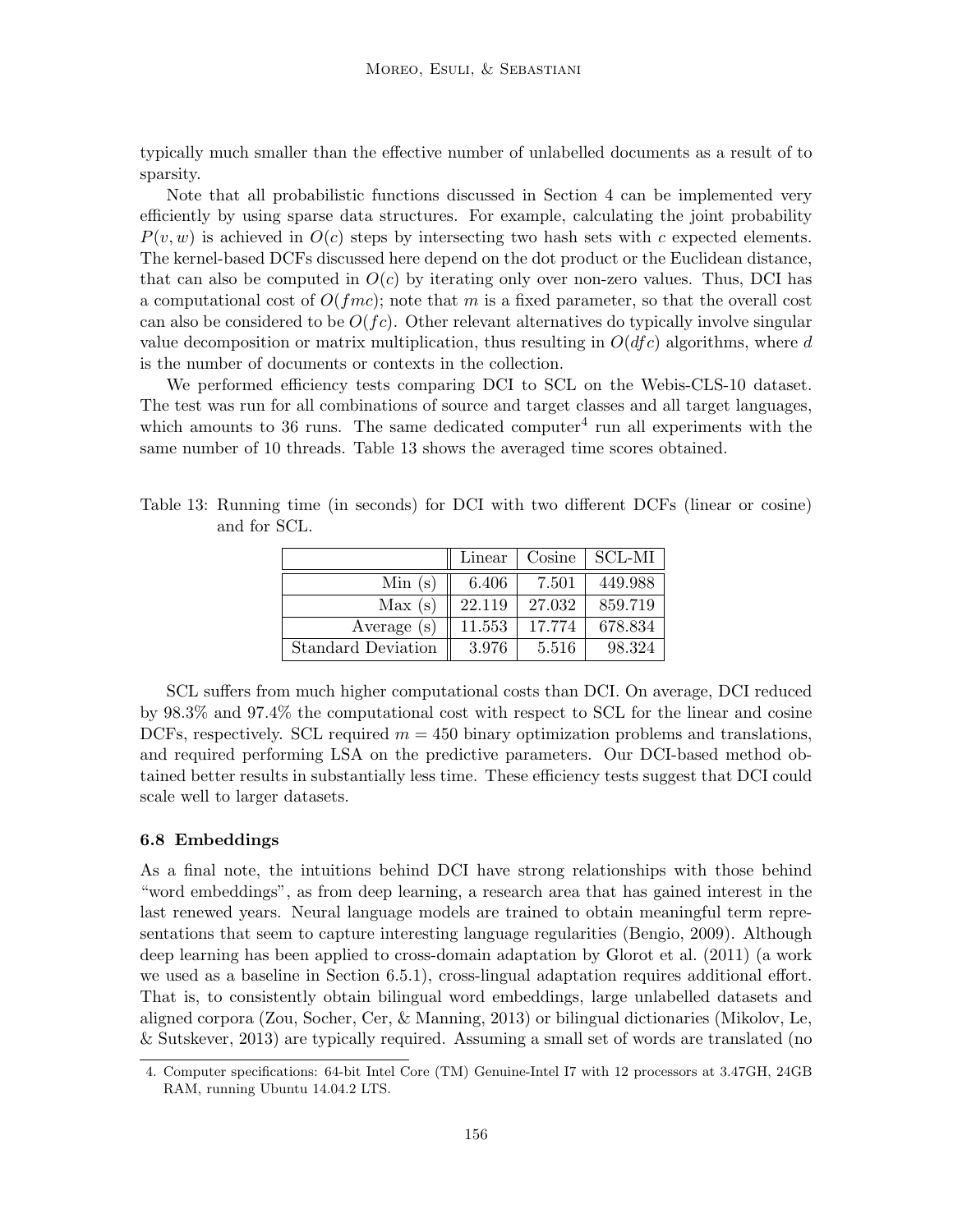typically much smaller than the effective number of unlabelled documents as a result of to sparsity.

Note that all probabilistic functions discussed in Section 4 can be implemented very efficiently by using sparse data structures. For example, calculating the joint probability  $P(v, w)$  is achieved in  $O(c)$  steps by intersecting two hash sets with c expected elements. The kernel-based DCFs discussed here depend on the dot product or the Euclidean distance, that can also be computed in  $O(c)$  by iterating only over non-zero values. Thus, DCI has a computational cost of  $O(fmc)$ ; note that m is a fixed parameter, so that the overall cost can also be considered to be  $O(f_c)$ . Other relevant alternatives do typically involve singular value decomposition or matrix multiplication, thus resulting in  $O(dfc)$  algorithms, where d is the number of documents or contexts in the collection.

We performed efficiency tests comparing DCI to SCL on the Webis-CLS-10 dataset. The test was run for all combinations of source and target classes and all target languages, which amounts to 36 runs. The same dedicated computer<sup>4</sup> run all experiments with the same number of 10 threads. Table 13 shows the averaged time scores obtained.

| Table 13: Running time (in seconds) for DCI with two different DCFs (linear or cosine) |  |  |  |  |  |
|----------------------------------------------------------------------------------------|--|--|--|--|--|
| and for SCL.                                                                           |  |  |  |  |  |

|                           | Linear | Cosine | <b>SCL-MI</b> |
|---------------------------|--------|--------|---------------|
| Min(s)                    | 6.406  | 7.501  | 449.988       |
| Max(s)                    | 22.119 | 27.032 | 859.719       |
| Average $(s)$             | 11.553 | 17.774 | 678.834       |
| <b>Standard Deviation</b> | 3.976  | 5.516  | 98.324        |

SCL suffers from much higher computational costs than DCI. On average, DCI reduced by 98.3% and 97.4% the computational cost with respect to SCL for the linear and cosine DCFs, respectively. SCL required  $m = 450$  binary optimization problems and translations, and required performing LSA on the predictive parameters. Our DCI-based method obtained better results in substantially less time. These efficiency tests suggest that DCI could scale well to larger datasets.

## 6.8 Embeddings

As a final note, the intuitions behind DCI have strong relationships with those behind "word embeddings", as from deep learning, a research area that has gained interest in the last renewed years. Neural language models are trained to obtain meaningful term representations that seem to capture interesting language regularities (Bengio, 2009). Although deep learning has been applied to cross-domain adaptation by Glorot et al. (2011) (a work we used as a baseline in Section 6.5.1), cross-lingual adaptation requires additional effort. That is, to consistently obtain bilingual word embeddings, large unlabelled datasets and aligned corpora (Zou, Socher, Cer, & Manning, 2013) or bilingual dictionaries (Mikolov, Le, & Sutskever, 2013) are typically required. Assuming a small set of words are translated (no

<sup>4.</sup> Computer specifications: 64-bit Intel Core (TM) Genuine-Intel I7 with 12 processors at 3.47GH, 24GB RAM, running Ubuntu 14.04.2 LTS.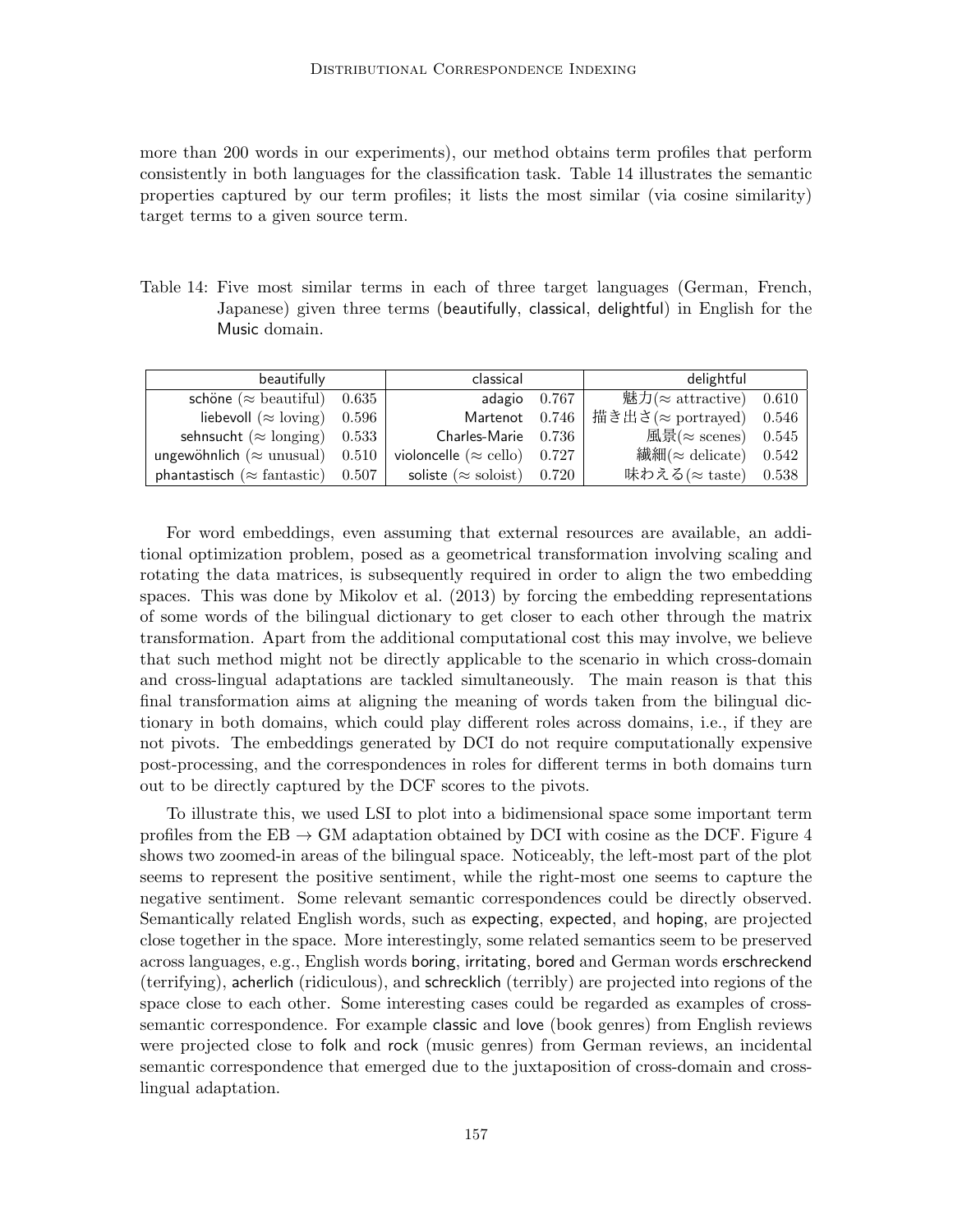more than 200 words in our experiments), our method obtains term profiles that perform consistently in both languages for the classification task. Table 14 illustrates the semantic properties captured by our term profiles; it lists the most similar (via cosine similarity) target terms to a given source term.

Table 14: Five most similar terms in each of three target languages (German, French, Japanese) given three terms (beautifully, classical, delightful) in English for the Music domain.

| beautifully                               | classical                            | delightful                               |  |
|-------------------------------------------|--------------------------------------|------------------------------------------|--|
| schöne ( $\approx$ beautiful) 0.635       | adagio $0.767$                       | 魅力( $\approx$ attractive) 0.610          |  |
| liebevoll ( $\approx$ loving) 0.596       |                                      | Martenot 0.746   描き出さ(≈ portrayed) 0.546 |  |
| sehnsucht ( $\approx$ longing) 0.533      | $Charles$ -Marie $0.736$             | 風景( $\approx$ scenes) 0.545              |  |
| ungewöhnlich ( $\approx$ unusual) 0.510   | violoncelle ( $\approx$ cello) 0.727 | 繊細( $\approx$ delicate) 0.542            |  |
| phantastisch ( $\approx$ fantastic) 0.507 | soliste ( $\approx$ soloist) 0.720   | 味わえる( $\approx$ taste) 0.538             |  |

For word embeddings, even assuming that external resources are available, an additional optimization problem, posed as a geometrical transformation involving scaling and rotating the data matrices, is subsequently required in order to align the two embedding spaces. This was done by Mikolov et al. (2013) by forcing the embedding representations of some words of the bilingual dictionary to get closer to each other through the matrix transformation. Apart from the additional computational cost this may involve, we believe that such method might not be directly applicable to the scenario in which cross-domain and cross-lingual adaptations are tackled simultaneously. The main reason is that this final transformation aims at aligning the meaning of words taken from the bilingual dictionary in both domains, which could play different roles across domains, i.e., if they are not pivots. The embeddings generated by DCI do not require computationally expensive post-processing, and the correspondences in roles for different terms in both domains turn out to be directly captured by the DCF scores to the pivots.

To illustrate this, we used LSI to plot into a bidimensional space some important term profiles from the  $EB \rightarrow GM$  adaptation obtained by DCI with cosine as the DCF. Figure 4 shows two zoomed-in areas of the bilingual space. Noticeably, the left-most part of the plot seems to represent the positive sentiment, while the right-most one seems to capture the negative sentiment. Some relevant semantic correspondences could be directly observed. Semantically related English words, such as expecting, expected, and hoping, are projected close together in the space. More interestingly, some related semantics seem to be preserved across languages, e.g., English words boring, irritating, bored and German words erschreckend (terrifying), acherlich (ridiculous), and schrecklich (terribly) are projected into regions of the space close to each other. Some interesting cases could be regarded as examples of crosssemantic correspondence. For example classic and love (book genres) from English reviews were projected close to folk and rock (music genres) from German reviews, an incidental semantic correspondence that emerged due to the juxtaposition of cross-domain and crosslingual adaptation.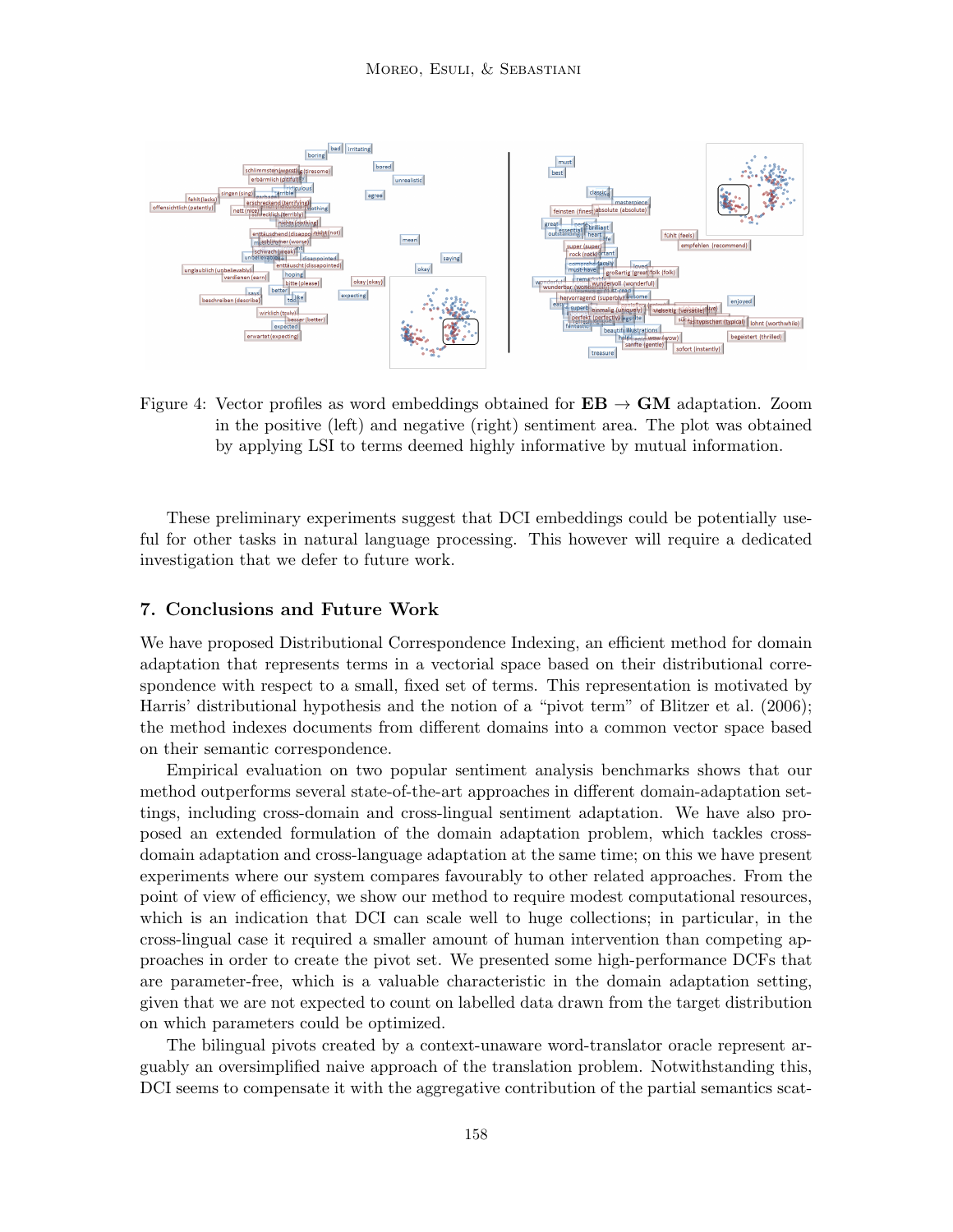

Figure 4: Vector profiles as word embeddings obtained for  $EB \rightarrow GM$  adaptation. Zoom in the positive (left) and negative (right) sentiment area. The plot was obtained by applying LSI to terms deemed highly informative by mutual information.

These preliminary experiments suggest that DCI embeddings could be potentially useful for other tasks in natural language processing. This however will require a dedicated investigation that we defer to future work.

## 7. Conclusions and Future Work

We have proposed Distributional Correspondence Indexing, an efficient method for domain adaptation that represents terms in a vectorial space based on their distributional correspondence with respect to a small, fixed set of terms. This representation is motivated by Harris' distributional hypothesis and the notion of a "pivot term" of Blitzer et al. (2006); the method indexes documents from different domains into a common vector space based on their semantic correspondence.

Empirical evaluation on two popular sentiment analysis benchmarks shows that our method outperforms several state-of-the-art approaches in different domain-adaptation settings, including cross-domain and cross-lingual sentiment adaptation. We have also proposed an extended formulation of the domain adaptation problem, which tackles crossdomain adaptation and cross-language adaptation at the same time; on this we have present experiments where our system compares favourably to other related approaches. From the point of view of efficiency, we show our method to require modest computational resources, which is an indication that DCI can scale well to huge collections; in particular, in the cross-lingual case it required a smaller amount of human intervention than competing approaches in order to create the pivot set. We presented some high-performance DCFs that are parameter-free, which is a valuable characteristic in the domain adaptation setting, given that we are not expected to count on labelled data drawn from the target distribution on which parameters could be optimized.

The bilingual pivots created by a context-unaware word-translator oracle represent arguably an oversimplified naive approach of the translation problem. Notwithstanding this, DCI seems to compensate it with the aggregative contribution of the partial semantics scat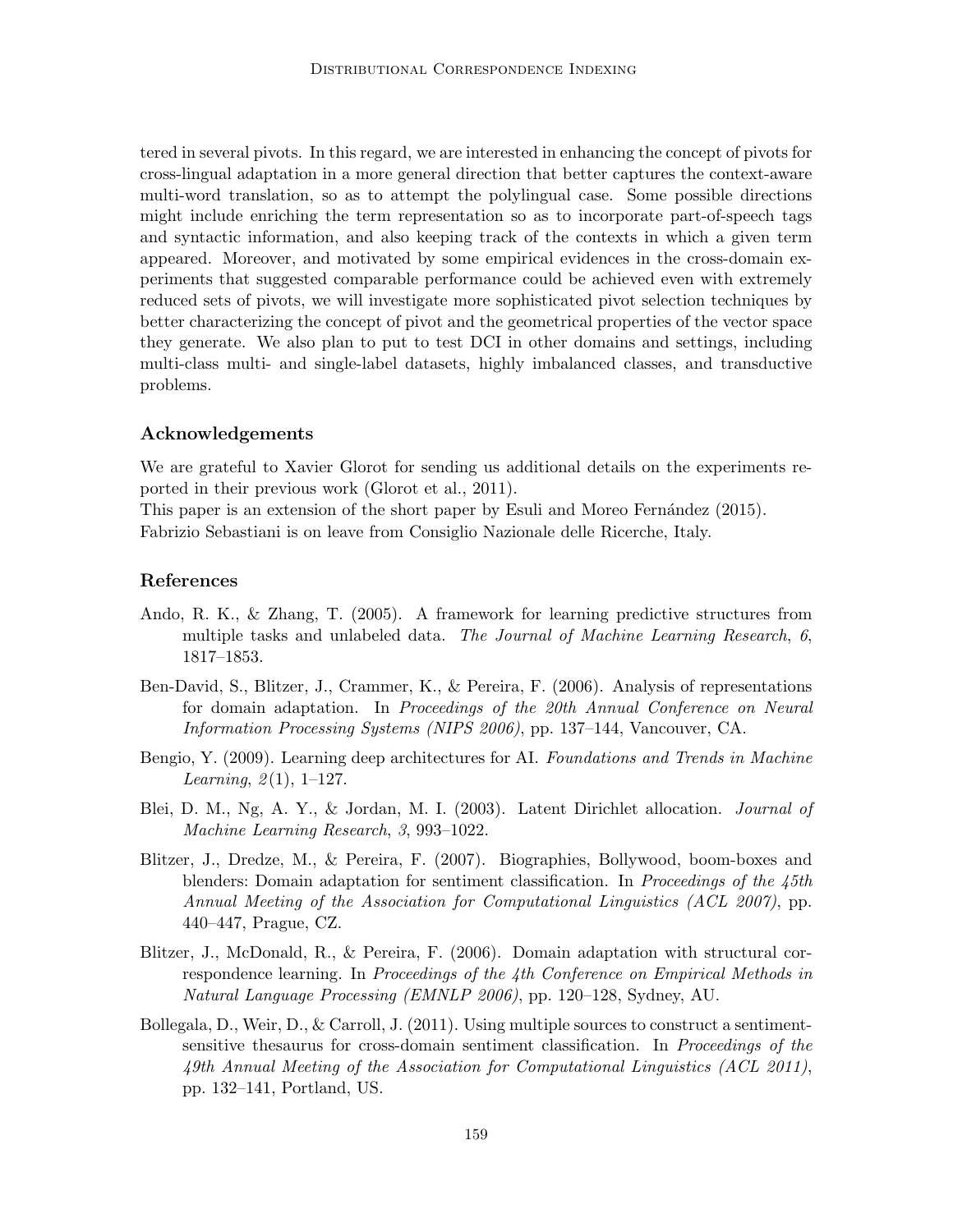tered in several pivots. In this regard, we are interested in enhancing the concept of pivots for cross-lingual adaptation in a more general direction that better captures the context-aware multi-word translation, so as to attempt the polylingual case. Some possible directions might include enriching the term representation so as to incorporate part-of-speech tags and syntactic information, and also keeping track of the contexts in which a given term appeared. Moreover, and motivated by some empirical evidences in the cross-domain experiments that suggested comparable performance could be achieved even with extremely reduced sets of pivots, we will investigate more sophisticated pivot selection techniques by better characterizing the concept of pivot and the geometrical properties of the vector space they generate. We also plan to put to test DCI in other domains and settings, including multi-class multi- and single-label datasets, highly imbalanced classes, and transductive problems.

## Acknowledgements

We are grateful to Xavier Glorot for sending us additional details on the experiments reported in their previous work (Glorot et al., 2011).

This paper is an extension of the short paper by Esuli and Moreo Fernández (2015). Fabrizio Sebastiani is on leave from Consiglio Nazionale delle Ricerche, Italy.

## References

- Ando, R. K., & Zhang, T. (2005). A framework for learning predictive structures from multiple tasks and unlabeled data. The Journal of Machine Learning Research, 6, 1817–1853.
- Ben-David, S., Blitzer, J., Crammer, K., & Pereira, F. (2006). Analysis of representations for domain adaptation. In Proceedings of the 20th Annual Conference on Neural Information Processing Systems (NIPS 2006), pp. 137–144, Vancouver, CA.
- Bengio, Y. (2009). Learning deep architectures for AI. Foundations and Trends in Machine *Learning*,  $2(1)$ ,  $1-127$ .
- Blei, D. M., Ng, A. Y., & Jordan, M. I. (2003). Latent Dirichlet allocation. Journal of Machine Learning Research, 3, 993–1022.
- Blitzer, J., Dredze, M., & Pereira, F. (2007). Biographies, Bollywood, boom-boxes and blenders: Domain adaptation for sentiment classification. In Proceedings of the 45th Annual Meeting of the Association for Computational Linguistics (ACL 2007), pp. 440–447, Prague, CZ.
- Blitzer, J., McDonald, R., & Pereira, F. (2006). Domain adaptation with structural correspondence learning. In Proceedings of the 4th Conference on Empirical Methods in Natural Language Processing (EMNLP 2006), pp. 120–128, Sydney, AU.
- Bollegala, D., Weir, D., & Carroll, J. (2011). Using multiple sources to construct a sentimentsensitive thesaurus for cross-domain sentiment classification. In Proceedings of the 49th Annual Meeting of the Association for Computational Linguistics (ACL 2011), pp. 132–141, Portland, US.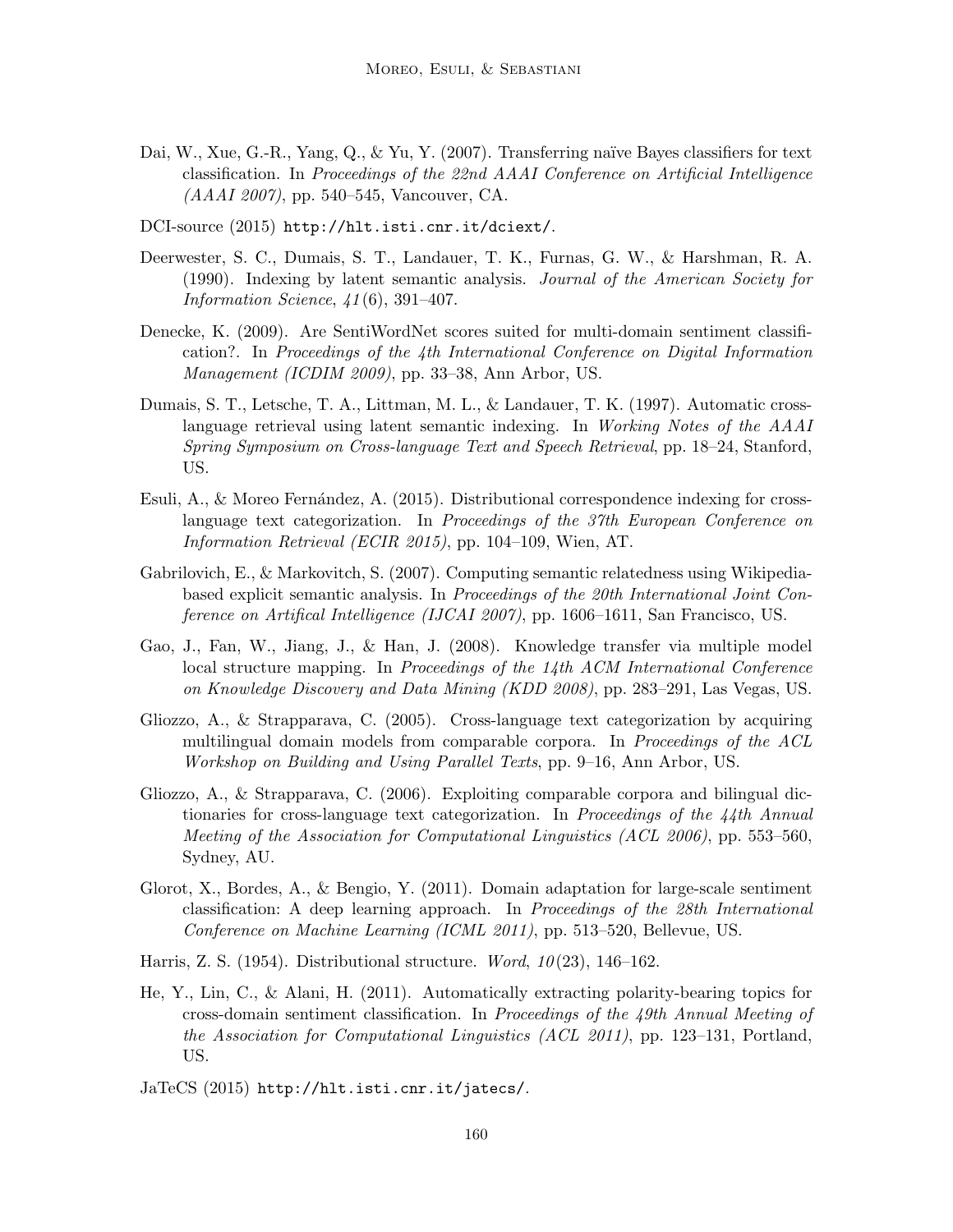- Dai, W., Xue, G.-R., Yang, Q., & Yu, Y. (2007). Transferring naïve Bayes classifiers for text classification. In Proceedings of the 22nd AAAI Conference on Artificial Intelligence (AAAI 2007), pp. 540–545, Vancouver, CA.
- DCI-source (2015) http://hlt.isti.cnr.it/dciext/.
- Deerwester, S. C., Dumais, S. T., Landauer, T. K., Furnas, G. W., & Harshman, R. A. (1990). Indexing by latent semantic analysis. Journal of the American Society for Information Science,  $41(6)$ , 391-407.
- Denecke, K. (2009). Are SentiWordNet scores suited for multi-domain sentiment classification?. In Proceedings of the 4th International Conference on Digital Information Management (ICDIM 2009), pp. 33–38, Ann Arbor, US.
- Dumais, S. T., Letsche, T. A., Littman, M. L., & Landauer, T. K. (1997). Automatic crosslanguage retrieval using latent semantic indexing. In Working Notes of the AAAI Spring Symposium on Cross-language Text and Speech Retrieval, pp. 18–24, Stanford, US.
- Esuli, A., & Moreo Fernández, A.  $(2015)$ . Distributional correspondence indexing for crosslanguage text categorization. In Proceedings of the 37th European Conference on Information Retrieval (ECIR 2015), pp. 104–109, Wien, AT.
- Gabrilovich, E., & Markovitch, S. (2007). Computing semantic relatedness using Wikipediabased explicit semantic analysis. In Proceedings of the 20th International Joint Conference on Artifical Intelligence (IJCAI 2007), pp. 1606–1611, San Francisco, US.
- Gao, J., Fan, W., Jiang, J., & Han, J. (2008). Knowledge transfer via multiple model local structure mapping. In Proceedings of the 14th ACM International Conference on Knowledge Discovery and Data Mining (KDD 2008), pp. 283–291, Las Vegas, US.
- Gliozzo, A., & Strapparava, C. (2005). Cross-language text categorization by acquiring multilingual domain models from comparable corpora. In Proceedings of the ACL Workshop on Building and Using Parallel Texts, pp. 9–16, Ann Arbor, US.
- Gliozzo, A., & Strapparava, C. (2006). Exploiting comparable corpora and bilingual dictionaries for cross-language text categorization. In Proceedings of the  $\frac{1}{4}$ th Annual Meeting of the Association for Computational Linguistics (ACL 2006), pp. 553–560, Sydney, AU.
- Glorot, X., Bordes, A., & Bengio, Y. (2011). Domain adaptation for large-scale sentiment classification: A deep learning approach. In Proceedings of the 28th International Conference on Machine Learning (ICML 2011), pp. 513–520, Bellevue, US.
- Harris, Z. S. (1954). Distributional structure. Word,  $10(23)$ , 146-162.
- He, Y., Lin, C., & Alani, H. (2011). Automatically extracting polarity-bearing topics for cross-domain sentiment classification. In Proceedings of the 49th Annual Meeting of the Association for Computational Linguistics (ACL 2011), pp. 123–131, Portland, US.
- JaTeCS (2015) http://hlt.isti.cnr.it/jatecs/.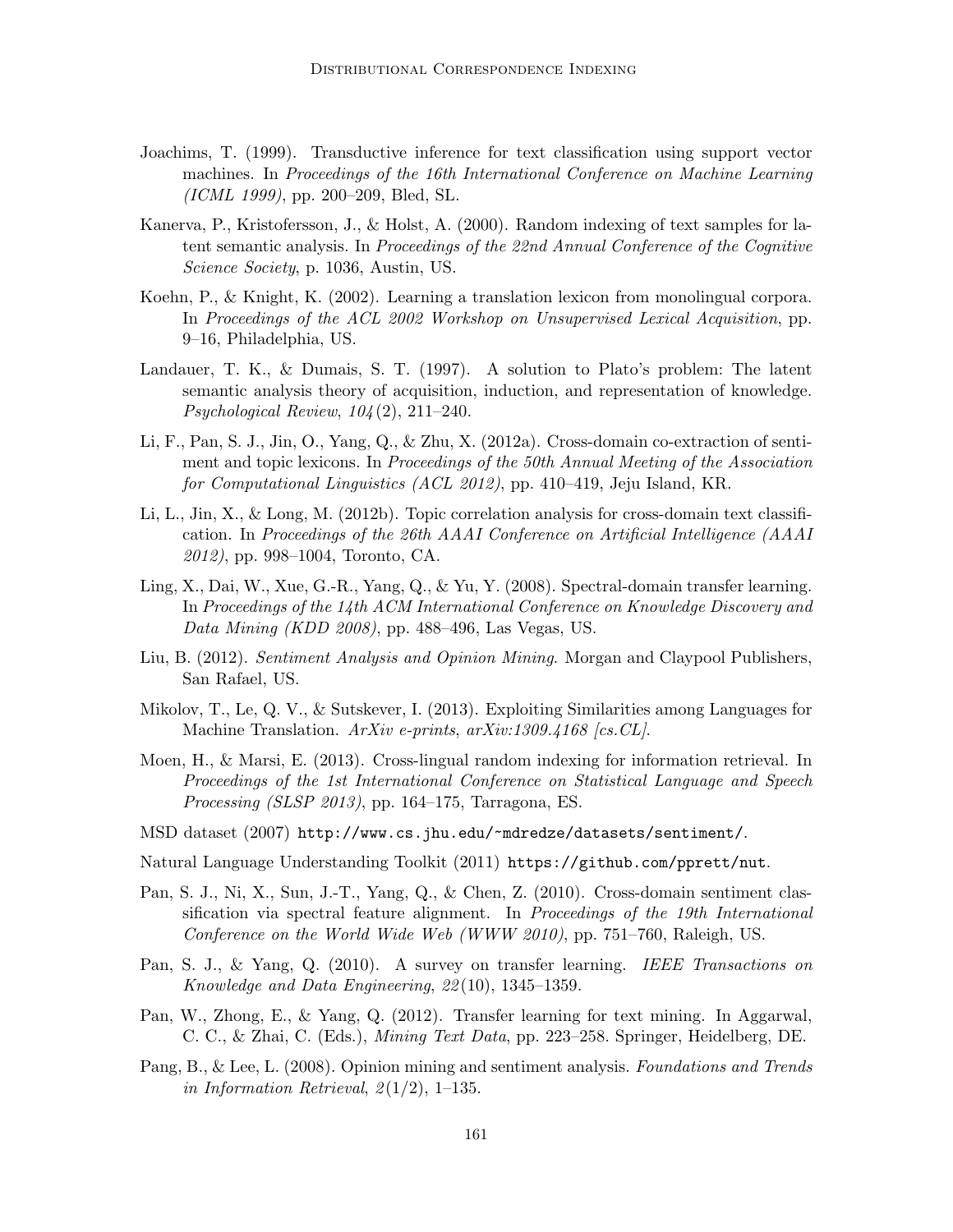- Joachims, T. (1999). Transductive inference for text classification using support vector machines. In Proceedings of the 16th International Conference on Machine Learning (ICML 1999), pp. 200–209, Bled, SL.
- Kanerva, P., Kristofersson, J., & Holst, A. (2000). Random indexing of text samples for latent semantic analysis. In Proceedings of the 22nd Annual Conference of the Cognitive Science Society, p. 1036, Austin, US.
- Koehn, P., & Knight, K. (2002). Learning a translation lexicon from monolingual corpora. In Proceedings of the ACL 2002 Workshop on Unsupervised Lexical Acquisition, pp. 9–16, Philadelphia, US.
- Landauer, T. K., & Dumais, S. T. (1997). A solution to Plato's problem: The latent semantic analysis theory of acquisition, induction, and representation of knowledge. Psychological Review,  $104(2)$ ,  $211-240$ .
- Li, F., Pan, S. J., Jin, O., Yang, Q., & Zhu, X. (2012a). Cross-domain co-extraction of sentiment and topic lexicons. In Proceedings of the 50th Annual Meeting of the Association for Computational Linguistics (ACL 2012), pp. 410–419, Jeju Island, KR.
- Li, L., Jin, X., & Long, M. (2012b). Topic correlation analysis for cross-domain text classification. In Proceedings of the 26th AAAI Conference on Artificial Intelligence (AAAI 2012), pp. 998–1004, Toronto, CA.
- Ling, X., Dai, W., Xue, G.-R., Yang, Q., & Yu, Y. (2008). Spectral-domain transfer learning. In Proceedings of the 14th ACM International Conference on Knowledge Discovery and Data Mining (KDD 2008), pp. 488–496, Las Vegas, US.
- Liu, B. (2012). Sentiment Analysis and Opinion Mining. Morgan and Claypool Publishers, San Rafael, US.
- Mikolov, T., Le, Q. V., & Sutskever, I. (2013). Exploiting Similarities among Languages for Machine Translation.  $ArXiv$  e-prints, arXiv:1309.4168 [cs.CL].
- Moen, H., & Marsi, E. (2013). Cross-lingual random indexing for information retrieval. In Proceedings of the 1st International Conference on Statistical Language and Speech *Processing (SLSP 2013)*, pp. 164–175, Tarragona, ES.
- MSD dataset (2007) http://www.cs.jhu.edu/~mdredze/datasets/sentiment/.
- Natural Language Understanding Toolkit (2011) https://github.com/pprett/nut.
- Pan, S. J., Ni, X., Sun, J.-T., Yang, Q., & Chen, Z. (2010). Cross-domain sentiment classification via spectral feature alignment. In *Proceedings of the 19th International* Conference on the World Wide Web (WWW 2010), pp. 751–760, Raleigh, US.
- Pan, S. J., & Yang, Q. (2010). A survey on transfer learning. IEEE Transactions on Knowledge and Data Engineering, 22 (10), 1345–1359.
- Pan, W., Zhong, E., & Yang, Q. (2012). Transfer learning for text mining. In Aggarwal, C. C., & Zhai, C. (Eds.), Mining Text Data, pp. 223–258. Springer, Heidelberg, DE.
- Pang, B., & Lee, L. (2008). Opinion mining and sentiment analysis. Foundations and Trends in Information Retrieval,  $2(1/2)$ , 1–135.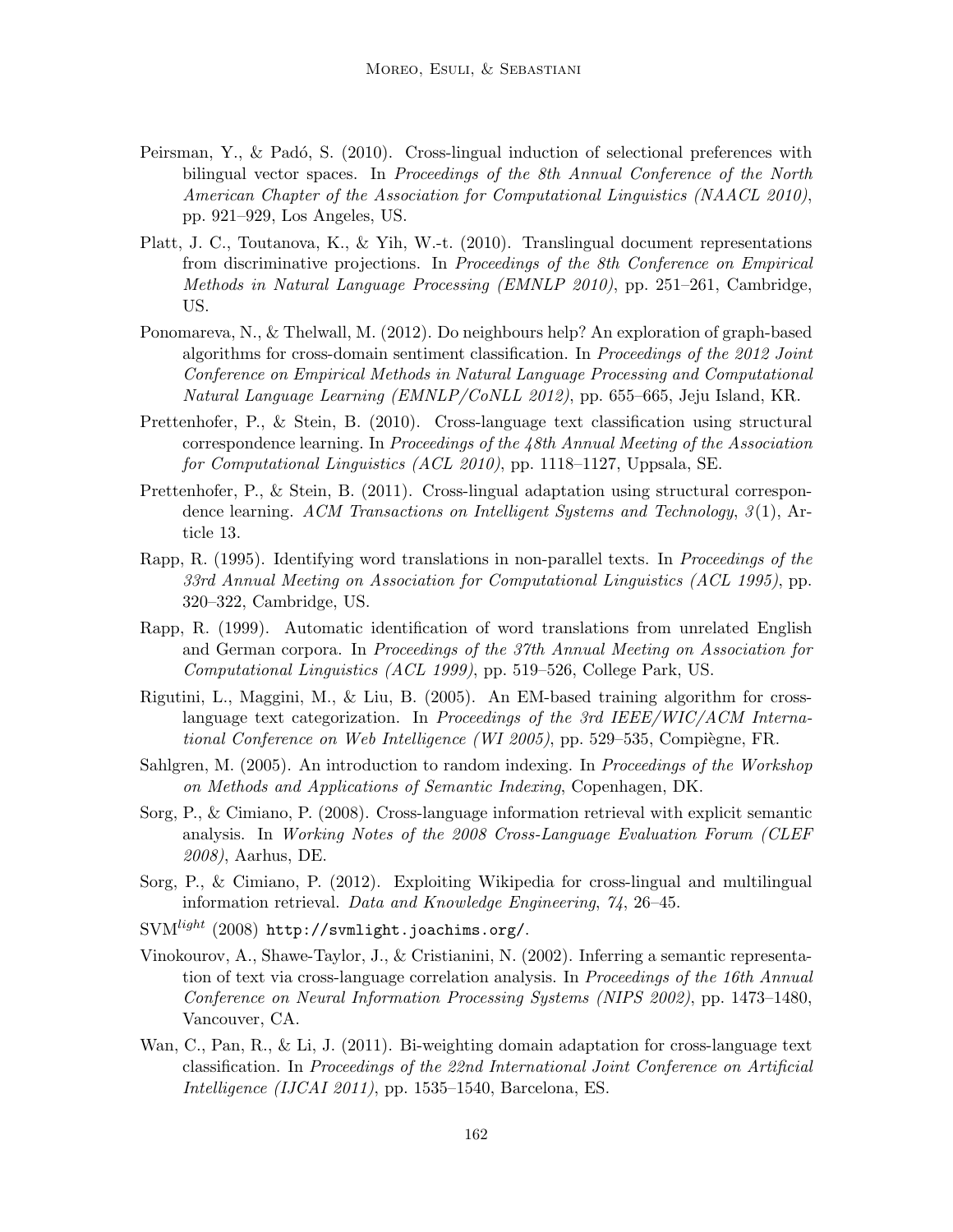- Peirsman, Y., & Padó, S.  $(2010)$ . Cross-lingual induction of selectional preferences with bilingual vector spaces. In Proceedings of the 8th Annual Conference of the North American Chapter of the Association for Computational Linguistics (NAACL 2010), pp. 921–929, Los Angeles, US.
- Platt, J. C., Toutanova, K., & Yih, W.-t. (2010). Translingual document representations from discriminative projections. In Proceedings of the 8th Conference on Empirical Methods in Natural Language Processing (EMNLP 2010), pp. 251–261, Cambridge, US.
- Ponomareva, N., & Thelwall, M. (2012). Do neighbours help? An exploration of graph-based algorithms for cross-domain sentiment classification. In Proceedings of the 2012 Joint Conference on Empirical Methods in Natural Language Processing and Computational Natural Language Learning (EMNLP/CoNLL 2012), pp. 655–665, Jeju Island, KR.
- Prettenhofer, P., & Stein, B. (2010). Cross-language text classification using structural correspondence learning. In Proceedings of the 48th Annual Meeting of the Association for Computational Linguistics (ACL 2010), pp. 1118–1127, Uppsala, SE.
- Prettenhofer, P., & Stein, B. (2011). Cross-lingual adaptation using structural correspondence learning. ACM Transactions on Intelligent Systems and Technology,  $3(1)$ , Article 13.
- Rapp, R. (1995). Identifying word translations in non-parallel texts. In *Proceedings of the* 33rd Annual Meeting on Association for Computational Linguistics (ACL 1995), pp. 320–322, Cambridge, US.
- Rapp, R. (1999). Automatic identification of word translations from unrelated English and German corpora. In Proceedings of the 37th Annual Meeting on Association for Computational Linguistics (ACL 1999), pp. 519–526, College Park, US.
- Rigutini, L., Maggini, M., & Liu, B. (2005). An EM-based training algorithm for crosslanguage text categorization. In Proceedings of the 3rd IEEE/WIC/ACM International Conference on Web Intelligence (WI 2005), pp. 529–535, Compiègne, FR.
- Sahlgren, M. (2005). An introduction to random indexing. In *Proceedings of the Workshop* on Methods and Applications of Semantic Indexing, Copenhagen, DK.
- Sorg, P., & Cimiano, P. (2008). Cross-language information retrieval with explicit semantic analysis. In Working Notes of the 2008 Cross-Language Evaluation Forum (CLEF 2008), Aarhus, DE.
- Sorg, P., & Cimiano, P. (2012). Exploiting Wikipedia for cross-lingual and multilingual information retrieval. Data and Knowledge Engineering, 74, 26–45.
- SVMlight (2008) http://svmlight.joachims.org/.
- Vinokourov, A., Shawe-Taylor, J., & Cristianini, N. (2002). Inferring a semantic representation of text via cross-language correlation analysis. In Proceedings of the 16th Annual Conference on Neural Information Processing Systems (NIPS 2002), pp. 1473–1480, Vancouver, CA.
- Wan, C., Pan, R., & Li, J. (2011). Bi-weighting domain adaptation for cross-language text classification. In Proceedings of the 22nd International Joint Conference on Artificial Intelligence (IJCAI 2011), pp. 1535–1540, Barcelona, ES.